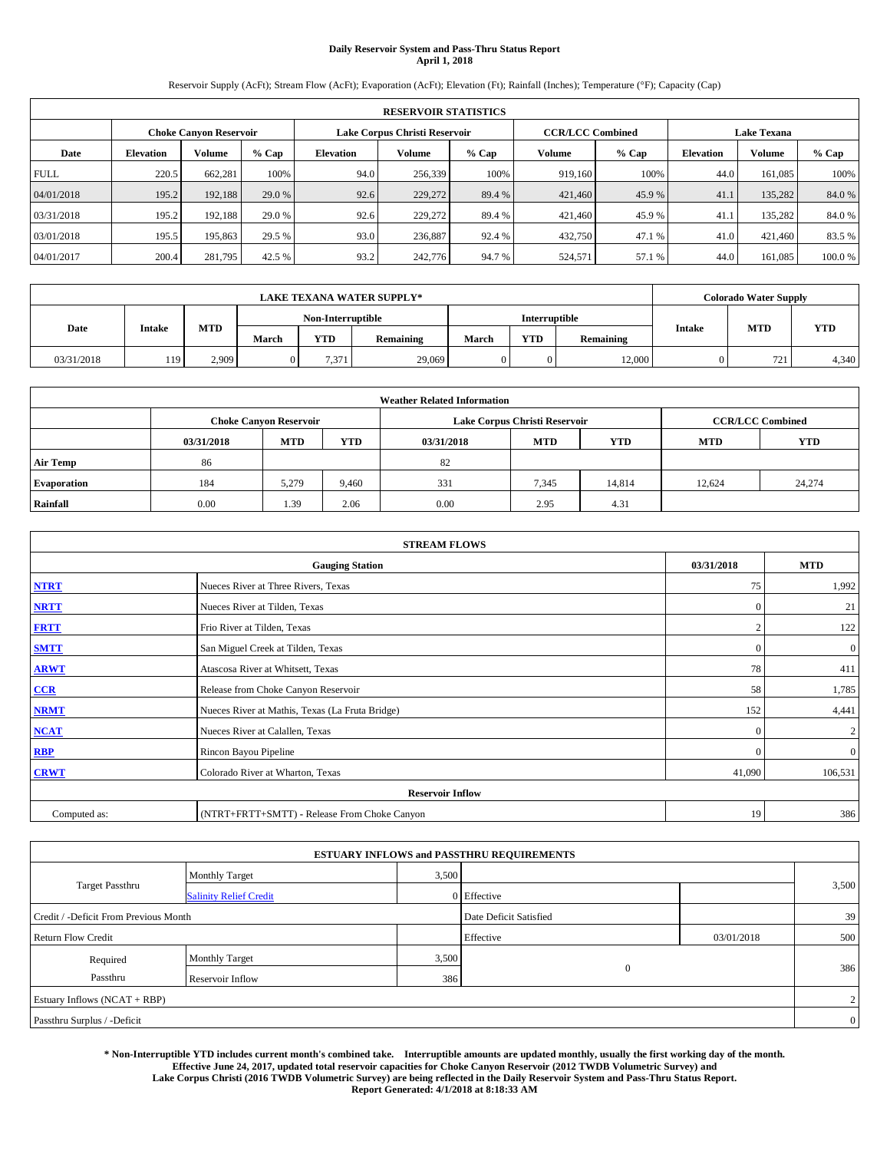# **Daily Reservoir System and Pass-Thru Status Report April 1, 2018**

Reservoir Supply (AcFt); Stream Flow (AcFt); Evaporation (AcFt); Elevation (Ft); Rainfall (Inches); Temperature (°F); Capacity (Cap)

| <b>RESERVOIR STATISTICS</b> |                  |                               |         |                  |                               |         |                         |         |                  |                    |        |  |
|-----------------------------|------------------|-------------------------------|---------|------------------|-------------------------------|---------|-------------------------|---------|------------------|--------------------|--------|--|
|                             |                  | <b>Choke Canyon Reservoir</b> |         |                  | Lake Corpus Christi Reservoir |         | <b>CCR/LCC Combined</b> |         |                  | <b>Lake Texana</b> |        |  |
| Date                        | <b>Elevation</b> | Volume                        | $%$ Cap | <b>Elevation</b> | Volume                        | $%$ Cap | Volume                  | $%$ Cap | <b>Elevation</b> | <b>Volume</b>      | % Cap  |  |
| <b>FULL</b>                 | 220.5            | 662,281                       | 100%    | 94.0             | 256,339                       | 100%    | 919.160                 | 100%    | 44.0             | 161.085            | 100%   |  |
| 04/01/2018                  | 195.2            | 192,188                       | 29.0 %  | 92.6             | 229,272                       | 89.4 %  | 421,460                 | 45.9 %  | 41.              | 135.282            | 84.0%  |  |
| 03/31/2018                  | 195.2            | 192,188                       | 29.0 %  | 92.6             | 229,272                       | 89.4 %  | 421,460                 | 45.9%   | 41.              | 135.282            | 84.0%  |  |
| 03/01/2018                  | 195.5            | 195,863                       | 29.5 %  | 93.0             | 236,887                       | 92.4 %  | 432,750                 | 47.1 %  | 41.0             | 421.460            | 83.5 % |  |
| 04/01/2017                  | 200.4            | 281,795                       | 42.5 %  | 93.2             | 242,776                       | 94.7%   | 524,571                 | 57.1 %  | 44.0             | 161,085            | 100.0% |  |

|            | <b>LAKE TEXANA WATER SUPPLY*</b> |       |       |                   |           |       |                      |           |               | <b>Colorado Water Supply</b> |       |  |
|------------|----------------------------------|-------|-------|-------------------|-----------|-------|----------------------|-----------|---------------|------------------------------|-------|--|
|            |                                  |       |       | Non-Interruptible |           |       | <b>Interruptible</b> |           |               |                              |       |  |
| Date       | <b>Intake</b>                    | MTD   | March | <b>YTD</b>        | Remaining | March | YTD                  | Remaining | <b>Intake</b> | <b>MTD</b>                   | YTD   |  |
| 03/31/2018 | 119                              | 2.909 |       | 7.371             | 29,069    |       |                      | 12,000    |               | 721                          | 4,340 |  |

| <b>Weather Related Information</b> |            |                                                                                  |       |      |                               |                         |        |        |  |  |  |
|------------------------------------|------------|----------------------------------------------------------------------------------|-------|------|-------------------------------|-------------------------|--------|--------|--|--|--|
|                                    |            | <b>Choke Canvon Reservoir</b>                                                    |       |      | Lake Corpus Christi Reservoir | <b>CCR/LCC Combined</b> |        |        |  |  |  |
|                                    | 03/31/2018 | <b>YTD</b><br><b>MTD</b><br><b>MTD</b><br><b>MTD</b><br><b>YTD</b><br>03/31/2018 |       |      |                               |                         |        |        |  |  |  |
| <b>Air Temp</b>                    | 86         |                                                                                  |       | 82   |                               |                         |        |        |  |  |  |
| <b>Evaporation</b>                 | 184        | 5.279                                                                            | 9,460 | 331  | 7,345                         | 14,814                  | 12.624 | 24,274 |  |  |  |
| Rainfall                           | 0.00       | 1.39                                                                             | 2.06  | 0.00 | 2.95                          | 4.31                    |        |        |  |  |  |

| <b>STREAM FLOWS</b> |                                                 |              |                |  |  |  |  |  |  |
|---------------------|-------------------------------------------------|--------------|----------------|--|--|--|--|--|--|
|                     | <b>Gauging Station</b>                          | 03/31/2018   | <b>MTD</b>     |  |  |  |  |  |  |
| <b>NTRT</b>         | Nueces River at Three Rivers, Texas             | 75           | 1,992          |  |  |  |  |  |  |
| <b>NRTT</b>         | Nueces River at Tilden, Texas                   | $\mathbf{0}$ | 21             |  |  |  |  |  |  |
| <b>FRTT</b>         | Frio River at Tilden, Texas                     |              | 122            |  |  |  |  |  |  |
| <b>SMTT</b>         | San Miguel Creek at Tilden, Texas               | $\mathbf{0}$ | $\mathbf{0}$   |  |  |  |  |  |  |
| <b>ARWT</b>         | Atascosa River at Whitsett, Texas               | 78           | 411            |  |  |  |  |  |  |
| CCR                 | Release from Choke Canyon Reservoir             | 58           | 1,785          |  |  |  |  |  |  |
| <b>NRMT</b>         | Nueces River at Mathis, Texas (La Fruta Bridge) | 152          | 4,441          |  |  |  |  |  |  |
| <b>NCAT</b>         | Nueces River at Calallen, Texas                 | $\mathbf{0}$ | $\overline{c}$ |  |  |  |  |  |  |
| <b>RBP</b>          | Rincon Bayou Pipeline                           | $\Omega$     | $\mathbf{0}$   |  |  |  |  |  |  |
| <b>CRWT</b>         | Colorado River at Wharton, Texas                | 41,090       | 106,531        |  |  |  |  |  |  |
|                     | <b>Reservoir Inflow</b>                         |              |                |  |  |  |  |  |  |
| Computed as:        | (NTRT+FRTT+SMTT) - Release From Choke Canyon    |              |                |  |  |  |  |  |  |

| <b>ESTUARY INFLOWS and PASSTHRU REQUIREMENTS</b> |                               |                        |              |            |       |  |  |  |  |  |
|--------------------------------------------------|-------------------------------|------------------------|--------------|------------|-------|--|--|--|--|--|
|                                                  | <b>Monthly Target</b>         | 3,500                  |              |            |       |  |  |  |  |  |
| <b>Target Passthru</b>                           | <b>Salinity Relief Credit</b> |                        | 0 Effective  |            | 3,500 |  |  |  |  |  |
| Credit / -Deficit From Previous Month            |                               | Date Deficit Satisfied |              | 39         |       |  |  |  |  |  |
| <b>Return Flow Credit</b>                        |                               |                        | Effective    | 03/01/2018 | 500   |  |  |  |  |  |
| Required                                         | Monthly Target                | 3,500                  |              |            |       |  |  |  |  |  |
| Passthru                                         | Reservoir Inflow              | 386                    | $\mathbf{0}$ |            | 386   |  |  |  |  |  |
| Estuary Inflows (NCAT + RBP)                     |                               |                        |              |            |       |  |  |  |  |  |
| Passthru Surplus / -Deficit                      |                               |                        |              |            |       |  |  |  |  |  |

**\* Non-Interruptible YTD includes current month's combined take. Interruptible amounts are updated monthly, usually the first working day of the month. Effective June 24, 2017, updated total reservoir capacities for Choke Canyon Reservoir (2012 TWDB Volumetric Survey) and Lake Corpus Christi (2016 TWDB Volumetric Survey) are being reflected in the Daily Reservoir System and Pass-Thru Status Report. Report Generated: 4/1/2018 at 8:18:33 AM**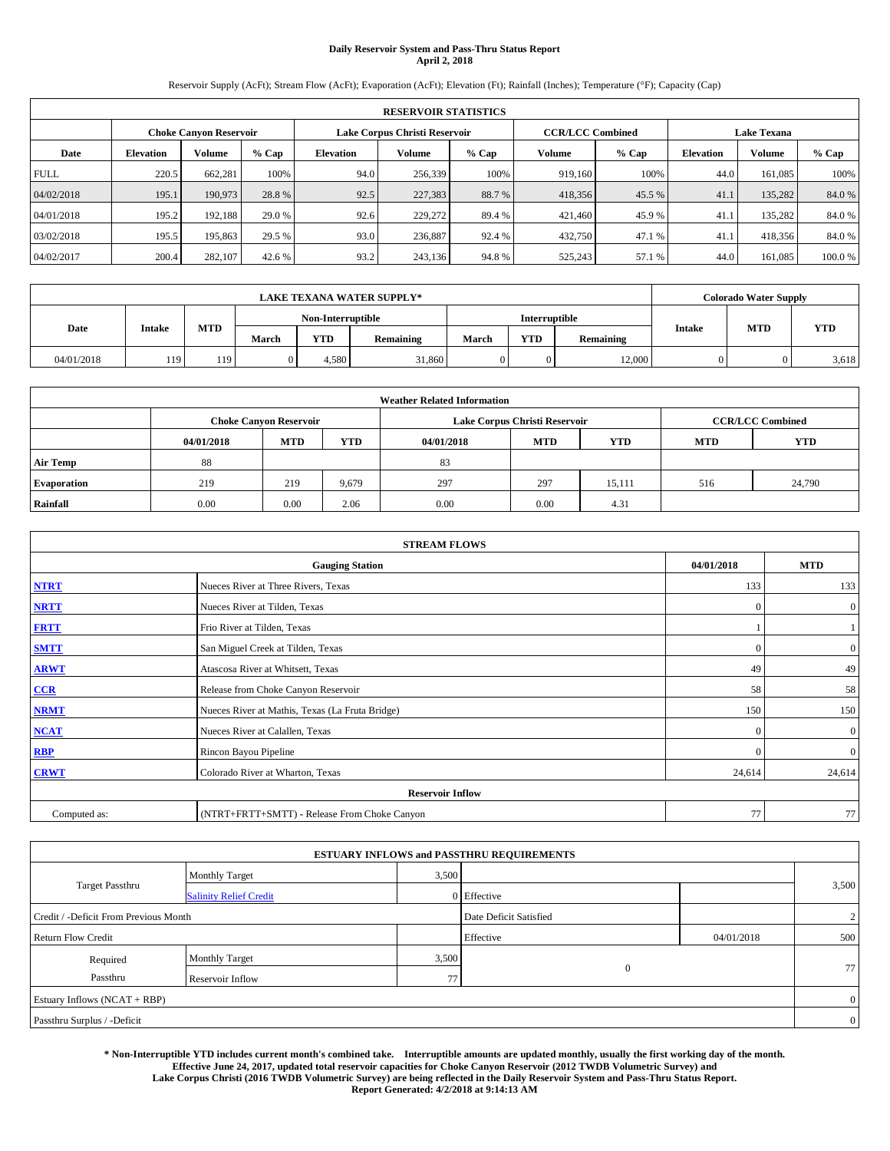# **Daily Reservoir System and Pass-Thru Status Report April 2, 2018**

Reservoir Supply (AcFt); Stream Flow (AcFt); Evaporation (AcFt); Elevation (Ft); Rainfall (Inches); Temperature (°F); Capacity (Cap)

| <b>RESERVOIR STATISTICS</b> |                  |                        |         |                  |                               |         |                         |         |                  |                    |        |  |
|-----------------------------|------------------|------------------------|---------|------------------|-------------------------------|---------|-------------------------|---------|------------------|--------------------|--------|--|
|                             |                  | Choke Canvon Reservoir |         |                  | Lake Corpus Christi Reservoir |         | <b>CCR/LCC Combined</b> |         |                  | <b>Lake Texana</b> |        |  |
| Date                        | <b>Elevation</b> | Volume                 | $%$ Cap | <b>Elevation</b> | Volume                        | $%$ Cap | <b>Volume</b>           | $%$ Cap | <b>Elevation</b> | <b>Volume</b>      | % Cap  |  |
| <b>FULL</b>                 | 220.5            | 662,281                | 100%    | 94.0             | 256,339                       | 100%    | 919.160                 | 100%    | 44.0             | 161.085            | 100%   |  |
| 04/02/2018                  | 195.1            | 190,973                | 28.8%   | 92.5             | 227,383                       | 88.7%   | 418,356                 | 45.5 %  | 41.              | 135,282            | 84.0%  |  |
| 04/01/2018                  | 195.2            | 192,188                | 29.0 %  | 92.6             | 229,272                       | 89.4 %  | 421,460                 | 45.9 %  | 41.              | 135,282            | 84.0%  |  |
| 03/02/2018                  | 195.5            | 195,863                | 29.5 %  | 93.0             | 236,887                       | 92.4 %  | 432,750                 | 47.1 %  | 41.              | 418,356            | 84.0%  |  |
| 04/02/2017                  | 200.4            | 282,107                | 42.6 %  | 93.2             | 243,136                       | 94.8%   | 525,243                 | 57.1 %  | 44.0             | 161.085            | 100.0% |  |

|            | <b>LAKE TEXANA WATER SUPPLY*</b> |            |       |                   |           |       |                      |                  |        | <b>Colorado Water Supply</b> |       |  |
|------------|----------------------------------|------------|-------|-------------------|-----------|-------|----------------------|------------------|--------|------------------------------|-------|--|
|            |                                  |            |       | Non-Interruptible |           |       | <b>Interruptible</b> |                  |        |                              |       |  |
| Date       | <b>Intake</b>                    | <b>MTD</b> | March | <b>YTD</b>        | Remaining | March | <b>YTD</b>           | <b>Remaining</b> | Intake | MTD                          | YTD   |  |
| 04/01/2018 | 119                              | 119        |       | 4.580             | 31,860    |       |                      | 12,000           |        |                              | 3,618 |  |

| <b>Weather Related Information</b> |            |                               |                                                                    |      |                               |                         |     |        |  |  |
|------------------------------------|------------|-------------------------------|--------------------------------------------------------------------|------|-------------------------------|-------------------------|-----|--------|--|--|
|                                    |            | <b>Choke Canyon Reservoir</b> |                                                                    |      | Lake Corpus Christi Reservoir | <b>CCR/LCC Combined</b> |     |        |  |  |
|                                    | 04/01/2018 | <b>MTD</b>                    | <b>YTD</b><br><b>MTD</b><br><b>YTD</b><br><b>MTD</b><br>04/01/2018 |      |                               |                         |     |        |  |  |
| <b>Air Temp</b>                    | 88         |                               |                                                                    | 83   |                               |                         |     |        |  |  |
| <b>Evaporation</b>                 | 219        | 219                           | 9.679                                                              | 297  | 297                           | 15.111                  | 516 | 24,790 |  |  |
| Rainfall                           | 0.00       | 0.00                          | 2.06                                                               | 0.00 | 0.00                          | 4.31                    |     |        |  |  |

| <b>STREAM FLOWS</b> |                                                 |            |                |  |  |  |  |  |  |
|---------------------|-------------------------------------------------|------------|----------------|--|--|--|--|--|--|
|                     | <b>Gauging Station</b>                          | 04/01/2018 | <b>MTD</b>     |  |  |  |  |  |  |
| <b>NTRT</b>         | Nueces River at Three Rivers, Texas             | 133        | 133            |  |  |  |  |  |  |
| <b>NRTT</b>         | Nueces River at Tilden, Texas                   | $\Omega$   | $\overline{0}$ |  |  |  |  |  |  |
| <b>FRTT</b>         | Frio River at Tilden, Texas                     |            |                |  |  |  |  |  |  |
| <b>SMTT</b>         | San Miguel Creek at Tilden, Texas               | $\Omega$   | $\overline{0}$ |  |  |  |  |  |  |
| <b>ARWT</b>         | Atascosa River at Whitsett, Texas               | 49         | 49             |  |  |  |  |  |  |
| CCR                 | Release from Choke Canyon Reservoir             | 58         | 58             |  |  |  |  |  |  |
| <b>NRMT</b>         | Nueces River at Mathis, Texas (La Fruta Bridge) | 150        | 150            |  |  |  |  |  |  |
| NCAT                | Nueces River at Calallen, Texas                 | $\Omega$   | $\overline{0}$ |  |  |  |  |  |  |
| <b>RBP</b>          | Rincon Bayou Pipeline                           | $\Omega$   | $\overline{0}$ |  |  |  |  |  |  |
| <b>CRWT</b>         | Colorado River at Wharton, Texas                | 24,614     | 24,614         |  |  |  |  |  |  |
|                     | <b>Reservoir Inflow</b>                         |            |                |  |  |  |  |  |  |
| Computed as:        | (NTRT+FRTT+SMTT) - Release From Choke Canyon    | 77         | 77             |  |  |  |  |  |  |

| <b>ESTUARY INFLOWS and PASSTHRU REQUIREMENTS</b> |                               |                        |                |            |       |  |  |  |  |  |
|--------------------------------------------------|-------------------------------|------------------------|----------------|------------|-------|--|--|--|--|--|
|                                                  | Monthly Target                | 3,500                  |                |            |       |  |  |  |  |  |
| <b>Target Passthru</b>                           | <b>Salinity Relief Credit</b> |                        | 0 Effective    |            | 3,500 |  |  |  |  |  |
| Credit / -Deficit From Previous Month            |                               | Date Deficit Satisfied | $\overline{2}$ |            |       |  |  |  |  |  |
| <b>Return Flow Credit</b>                        |                               |                        | Effective      | 04/01/2018 | 500   |  |  |  |  |  |
| Required                                         | Monthly Target                | 3,500                  |                |            |       |  |  |  |  |  |
| Passthru                                         | Reservoir Inflow              | 77                     | $\mathbf{0}$   |            | 77    |  |  |  |  |  |
| Estuary Inflows (NCAT + RBP)                     |                               |                        |                |            |       |  |  |  |  |  |
| Passthru Surplus / -Deficit                      |                               |                        |                |            |       |  |  |  |  |  |

**\* Non-Interruptible YTD includes current month's combined take. Interruptible amounts are updated monthly, usually the first working day of the month. Effective June 24, 2017, updated total reservoir capacities for Choke Canyon Reservoir (2012 TWDB Volumetric Survey) and Lake Corpus Christi (2016 TWDB Volumetric Survey) are being reflected in the Daily Reservoir System and Pass-Thru Status Report. Report Generated: 4/2/2018 at 9:14:13 AM**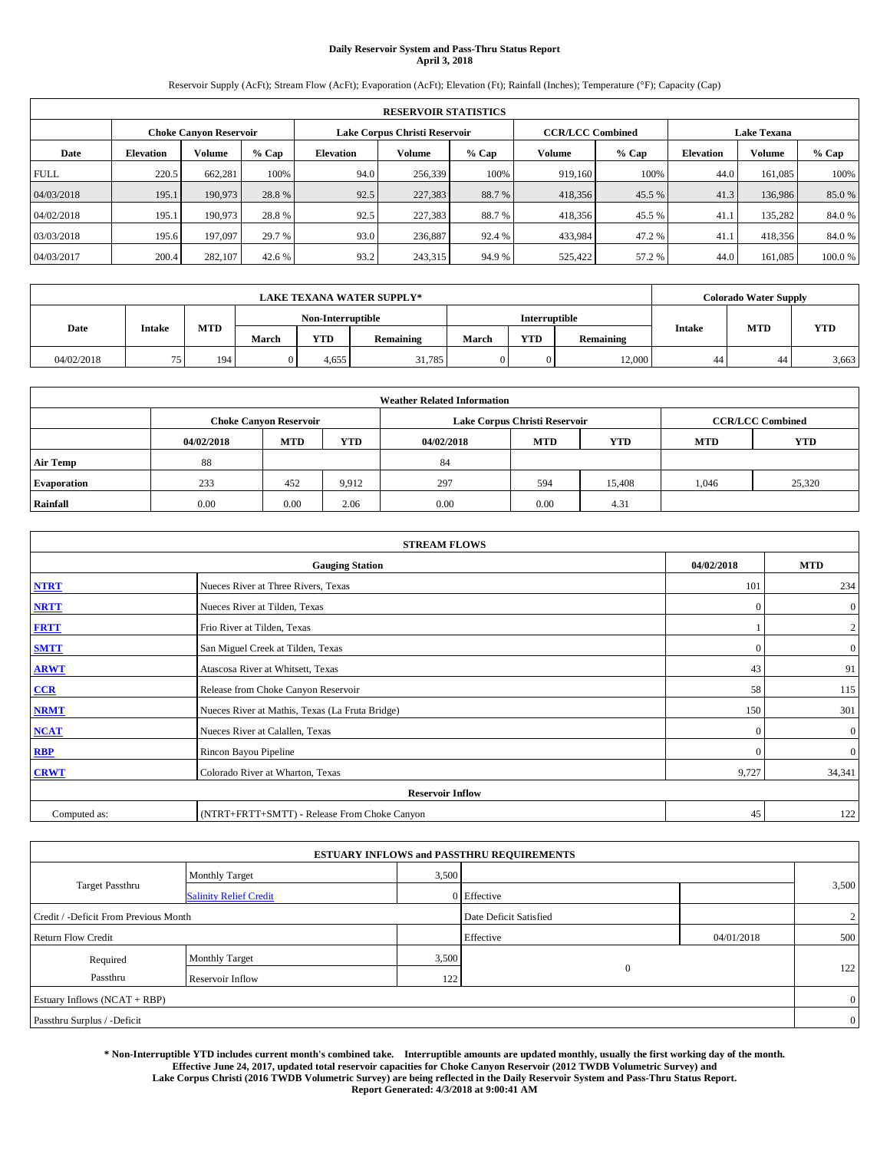# **Daily Reservoir System and Pass-Thru Status Report April 3, 2018**

Reservoir Supply (AcFt); Stream Flow (AcFt); Evaporation (AcFt); Elevation (Ft); Rainfall (Inches); Temperature (°F); Capacity (Cap)

|             | <b>RESERVOIR STATISTICS</b> |                        |         |                  |                               |         |                         |         |                  |                    |        |  |
|-------------|-----------------------------|------------------------|---------|------------------|-------------------------------|---------|-------------------------|---------|------------------|--------------------|--------|--|
|             |                             | Choke Canvon Reservoir |         |                  | Lake Corpus Christi Reservoir |         | <b>CCR/LCC Combined</b> |         |                  | <b>Lake Texana</b> |        |  |
| Date        | <b>Elevation</b>            | Volume                 | $%$ Cap | <b>Elevation</b> | <b>Volume</b>                 | $%$ Cap | Volume                  | $%$ Cap | <b>Elevation</b> | <b>Volume</b>      | % Cap  |  |
| <b>FULL</b> | 220.5                       | 662,281                | 100%    | 94.0             | 256,339                       | 100%    | 919.160                 | 100%    | 44.0             | 161.085            | 100%   |  |
| 04/03/2018  | 195.1                       | 190,973                | 28.8%   | 92.5             | 227,383                       | 88.7 %  | 418,356                 | 45.5 %  | 41.3             | 136,986            | 85.0%  |  |
| 04/02/2018  | 195.1                       | 190,973                | 28.8%   | 92.5             | 227,383                       | 88.7%   | 418,356                 | 45.5 %  | 41.1             | 135.282            | 84.0%  |  |
| 03/03/2018  | 195.6                       | 197,097                | 29.7 %  | 93.0             | 236,887                       | 92.4 %  | 433,984                 | 47.2 %  | 41.              | 418,356            | 84.0%  |  |
| 04/03/2017  | 200.4                       | 282,107                | 42.6 %  | 93.2             | 243,315                       | 94.9%   | 525,422                 | 57.2 %  | 44.0             | 161.085            | 100.0% |  |

|            | <b>LAKE TEXANA WATER SUPPLY*</b> |     |       |                   |           |       |                      |                  |               | <b>Colorado Water Supply</b> |       |  |
|------------|----------------------------------|-----|-------|-------------------|-----------|-------|----------------------|------------------|---------------|------------------------------|-------|--|
|            |                                  |     |       | Non-Interruptible |           |       | <b>Interruptible</b> |                  |               | <b>MTD</b>                   |       |  |
| Date       | <b>Intake</b>                    | MTD | March | <b>YTD</b>        | Remaining | March | <b>YTD</b>           | <b>Remaining</b> | <b>Intake</b> |                              | YTD   |  |
| 04/02/2018 | フぐ                               | 194 |       | 4.655             | 31.785    |       |                      | 12,000           | 44            | 44                           | 3,663 |  |

| <b>Weather Related Information</b> |            |                               |            |                                                                    |                               |                         |       |        |  |  |
|------------------------------------|------------|-------------------------------|------------|--------------------------------------------------------------------|-------------------------------|-------------------------|-------|--------|--|--|
|                                    |            | <b>Choke Canvon Reservoir</b> |            |                                                                    | Lake Corpus Christi Reservoir | <b>CCR/LCC Combined</b> |       |        |  |  |
|                                    | 04/02/2018 | <b>MTD</b>                    | <b>YTD</b> | <b>YTD</b><br><b>MTD</b><br><b>YTD</b><br><b>MTD</b><br>04/02/2018 |                               |                         |       |        |  |  |
| <b>Air Temp</b>                    | 88         |                               |            | 84                                                                 |                               |                         |       |        |  |  |
| <b>Evaporation</b>                 | 233        | 452                           | 9,912      | 297                                                                | 594                           | 15,408                  | 1.046 | 25,320 |  |  |
| Rainfall                           | 0.00       | 0.00                          | 2.06       | 0.00                                                               | 0.00                          | 4.31                    |       |        |  |  |

| <b>STREAM FLOWS</b> |                                                 |            |                  |  |  |  |  |  |
|---------------------|-------------------------------------------------|------------|------------------|--|--|--|--|--|
|                     | 04/02/2018                                      | <b>MTD</b> |                  |  |  |  |  |  |
| <b>NTRT</b>         | Nueces River at Three Rivers, Texas             | 101        | 234              |  |  |  |  |  |
| <b>NRTT</b>         | Nueces River at Tilden, Texas                   | $\Omega$   | $\boldsymbol{0}$ |  |  |  |  |  |
| <b>FRTT</b>         | Frio River at Tilden, Texas                     |            | $\overline{c}$   |  |  |  |  |  |
| <b>SMTT</b>         | San Miguel Creek at Tilden, Texas               | $\theta$   | $\overline{0}$   |  |  |  |  |  |
| <b>ARWT</b>         | Atascosa River at Whitsett, Texas               | 43         | 91               |  |  |  |  |  |
| CCR                 | Release from Choke Canyon Reservoir             | 58         | 115              |  |  |  |  |  |
| <b>NRMT</b>         | Nueces River at Mathis, Texas (La Fruta Bridge) | 150        | 301              |  |  |  |  |  |
| <b>NCAT</b>         | Nueces River at Calallen, Texas                 | $\Omega$   | $\boldsymbol{0}$ |  |  |  |  |  |
| <b>RBP</b>          | Rincon Bayou Pipeline                           | $\Omega$   | $\overline{0}$   |  |  |  |  |  |
| <b>CRWT</b>         | Colorado River at Wharton, Texas                | 9,727      | 34,341           |  |  |  |  |  |
|                     |                                                 |            |                  |  |  |  |  |  |
| Computed as:        | (NTRT+FRTT+SMTT) - Release From Choke Canyon    | 45         | 122              |  |  |  |  |  |

|                                       |                               |       | <b>ESTUARY INFLOWS and PASSTHRU REQUIREMENTS</b> |            |                |  |  |  |
|---------------------------------------|-------------------------------|-------|--------------------------------------------------|------------|----------------|--|--|--|
|                                       | <b>Monthly Target</b>         | 3,500 |                                                  |            |                |  |  |  |
| <b>Target Passthru</b>                | <b>Salinity Relief Credit</b> |       | $0$ Effective                                    |            | 3,500          |  |  |  |
| Credit / -Deficit From Previous Month |                               |       | Date Deficit Satisfied                           |            | $\overline{2}$ |  |  |  |
| <b>Return Flow Credit</b>             |                               |       | Effective                                        | 04/01/2018 | 500            |  |  |  |
| Required                              | Monthly Target                | 3,500 |                                                  |            |                |  |  |  |
| Passthru                              | Reservoir Inflow              | 122   | $\mathbf{0}$                                     |            | 122            |  |  |  |
| Estuary Inflows (NCAT + RBP)          |                               |       |                                                  |            |                |  |  |  |
| Passthru Surplus / -Deficit           |                               |       |                                                  |            | $\overline{0}$ |  |  |  |

**\* Non-Interruptible YTD includes current month's combined take. Interruptible amounts are updated monthly, usually the first working day of the month. Effective June 24, 2017, updated total reservoir capacities for Choke Canyon Reservoir (2012 TWDB Volumetric Survey) and Lake Corpus Christi (2016 TWDB Volumetric Survey) are being reflected in the Daily Reservoir System and Pass-Thru Status Report. Report Generated: 4/3/2018 at 9:00:41 AM**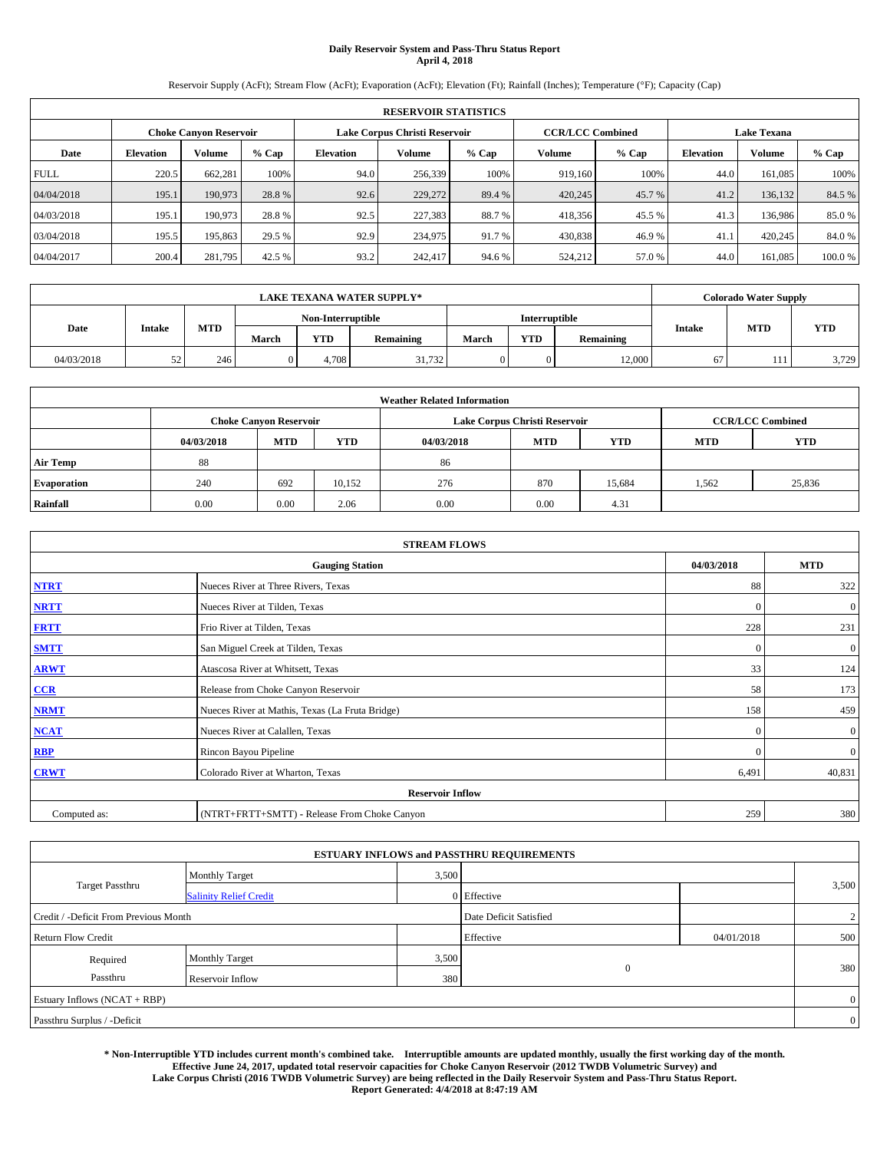# **Daily Reservoir System and Pass-Thru Status Report April 4, 2018**

Reservoir Supply (AcFt); Stream Flow (AcFt); Evaporation (AcFt); Elevation (Ft); Rainfall (Inches); Temperature (°F); Capacity (Cap)

| <b>RESERVOIR STATISTICS</b> |                  |                        |         |                  |                               |         |                         |         |                  |                    |        |  |
|-----------------------------|------------------|------------------------|---------|------------------|-------------------------------|---------|-------------------------|---------|------------------|--------------------|--------|--|
|                             |                  | Choke Canvon Reservoir |         |                  | Lake Corpus Christi Reservoir |         | <b>CCR/LCC Combined</b> |         |                  | <b>Lake Texana</b> |        |  |
| Date                        | <b>Elevation</b> | Volume                 | $%$ Cap | <b>Elevation</b> | <b>Volume</b>                 | $%$ Cap | Volume                  | $%$ Cap | <b>Elevation</b> | <b>Volume</b>      | % Cap  |  |
| <b>FULL</b>                 | 220.5            | 662,281                | 100%    | 94.0             | 256,339                       | 100%    | 919.160                 | 100%    | 44.0             | 161.085            | 100%   |  |
| 04/04/2018                  | 195.1            | 190,973                | 28.8%   | 92.6             | 229,272                       | 89.4 %  | 420,245                 | 45.7 %  | 41.2             | 136,132            | 84.5 % |  |
| 04/03/2018                  | 195.1            | 190,973                | 28.8%   | 92.5             | 227,383                       | 88.7%   | 418,356                 | 45.5 %  | 41.3             | 136,986            | 85.0%  |  |
| 03/04/2018                  | 195.5            | 195,863                | 29.5 %  | 92.9             | 234,975                       | 91.7 %  | 430,838                 | 46.9%   | 41.              | 420,245            | 84.0%  |  |
| 04/04/2017                  | 200.4            | 281,795                | 42.5 %  | 93.2             | 242,417                       | 94.6%   | 524,212                 | 57.0 %  | 44.0             | 161.085            | 100.0% |  |

| <b>LAKE TEXANA WATER SUPPLY*</b> |               |            |       |                   |           |       |                      |                  |        | <b>Colorado Water Supply</b> |       |
|----------------------------------|---------------|------------|-------|-------------------|-----------|-------|----------------------|------------------|--------|------------------------------|-------|
|                                  |               |            |       | Non-Interruptible |           |       | <b>Interruptible</b> |                  |        |                              |       |
| Date                             | <b>Intake</b> | <b>MTD</b> | March | YTD               | Remaining | March | <b>YTD</b>           | <b>Remaining</b> | Intake | MTD                          | YTD   |
| 04/03/2018                       |               | 246        |       | 4.708             | 31.732    |       |                      | 12,000           | 67     | .                            | 3,729 |

| <b>Weather Related Information</b> |            |                               |            |            |                               |                         |       |        |  |
|------------------------------------|------------|-------------------------------|------------|------------|-------------------------------|-------------------------|-------|--------|--|
|                                    |            | <b>Choke Canyon Reservoir</b> |            |            | Lake Corpus Christi Reservoir | <b>CCR/LCC Combined</b> |       |        |  |
|                                    | 04/03/2018 | <b>MTD</b>                    | <b>YTD</b> | 04/03/2018 | <b>MTD</b>                    | <b>YTD</b>              |       |        |  |
| <b>Air Temp</b>                    | 88         |                               |            | 86         |                               |                         |       |        |  |
| <b>Evaporation</b>                 | 240        | 692                           | 10,152     | 276        | 870                           | 15,684                  | 1,562 | 25,836 |  |
| Rainfall                           | 0.00       | 0.00                          | 2.06       | 0.00       | 0.00                          | 4.31                    |       |        |  |

| <b>STREAM FLOWS</b> |                                                 |              |              |  |  |  |  |  |
|---------------------|-------------------------------------------------|--------------|--------------|--|--|--|--|--|
|                     | 04/03/2018                                      | <b>MTD</b>   |              |  |  |  |  |  |
| <b>NTRT</b>         | Nueces River at Three Rivers, Texas             | 88           | 322          |  |  |  |  |  |
| <b>NRTT</b>         | Nueces River at Tilden, Texas                   | $\mathbf{0}$ | $\mathbf{0}$ |  |  |  |  |  |
| <b>FRTT</b>         | Frio River at Tilden, Texas                     | 228          | 231          |  |  |  |  |  |
| <b>SMTT</b>         | San Miguel Creek at Tilden, Texas               | $\mathbf{0}$ | $\mathbf{0}$ |  |  |  |  |  |
| <b>ARWT</b>         | Atascosa River at Whitsett, Texas               | 33           | 124          |  |  |  |  |  |
| $CCR$               | Release from Choke Canyon Reservoir             | 58           | 173          |  |  |  |  |  |
| <b>NRMT</b>         | Nueces River at Mathis, Texas (La Fruta Bridge) | 158          | 459          |  |  |  |  |  |
| <b>NCAT</b>         | Nueces River at Calallen, Texas                 | $\mathbf{0}$ | $\mathbf{0}$ |  |  |  |  |  |
| RBP                 | Rincon Bayou Pipeline                           | $\mathbf{0}$ | $\mathbf{0}$ |  |  |  |  |  |
| <b>CRWT</b>         | Colorado River at Wharton, Texas                | 6,491        | 40,831       |  |  |  |  |  |
|                     | <b>Reservoir Inflow</b>                         |              |              |  |  |  |  |  |
| Computed as:        | (NTRT+FRTT+SMTT) - Release From Choke Canyon    | 259          | 380          |  |  |  |  |  |

|                                       |                               |       | <b>ESTUARY INFLOWS and PASSTHRU REQUIREMENTS</b> |            |                |
|---------------------------------------|-------------------------------|-------|--------------------------------------------------|------------|----------------|
|                                       | <b>Monthly Target</b>         | 3,500 |                                                  |            |                |
| <b>Target Passthru</b>                | <b>Salinity Relief Credit</b> |       | 0 Effective                                      |            | 3,500          |
| Credit / -Deficit From Previous Month |                               |       | Date Deficit Satisfied                           |            | 2              |
| <b>Return Flow Credit</b>             |                               |       | Effective                                        | 04/01/2018 | 500            |
| Required                              | <b>Monthly Target</b>         | 3,500 |                                                  |            |                |
| Passthru                              | Reservoir Inflow              | 380   | $\mathbf{0}$                                     |            | 380            |
| Estuary Inflows (NCAT + RBP)          |                               |       |                                                  |            | $\overline{0}$ |
| Passthru Surplus / -Deficit           |                               |       |                                                  |            | $\overline{0}$ |

**\* Non-Interruptible YTD includes current month's combined take. Interruptible amounts are updated monthly, usually the first working day of the month. Effective June 24, 2017, updated total reservoir capacities for Choke Canyon Reservoir (2012 TWDB Volumetric Survey) and Lake Corpus Christi (2016 TWDB Volumetric Survey) are being reflected in the Daily Reservoir System and Pass-Thru Status Report. Report Generated: 4/4/2018 at 8:47:19 AM**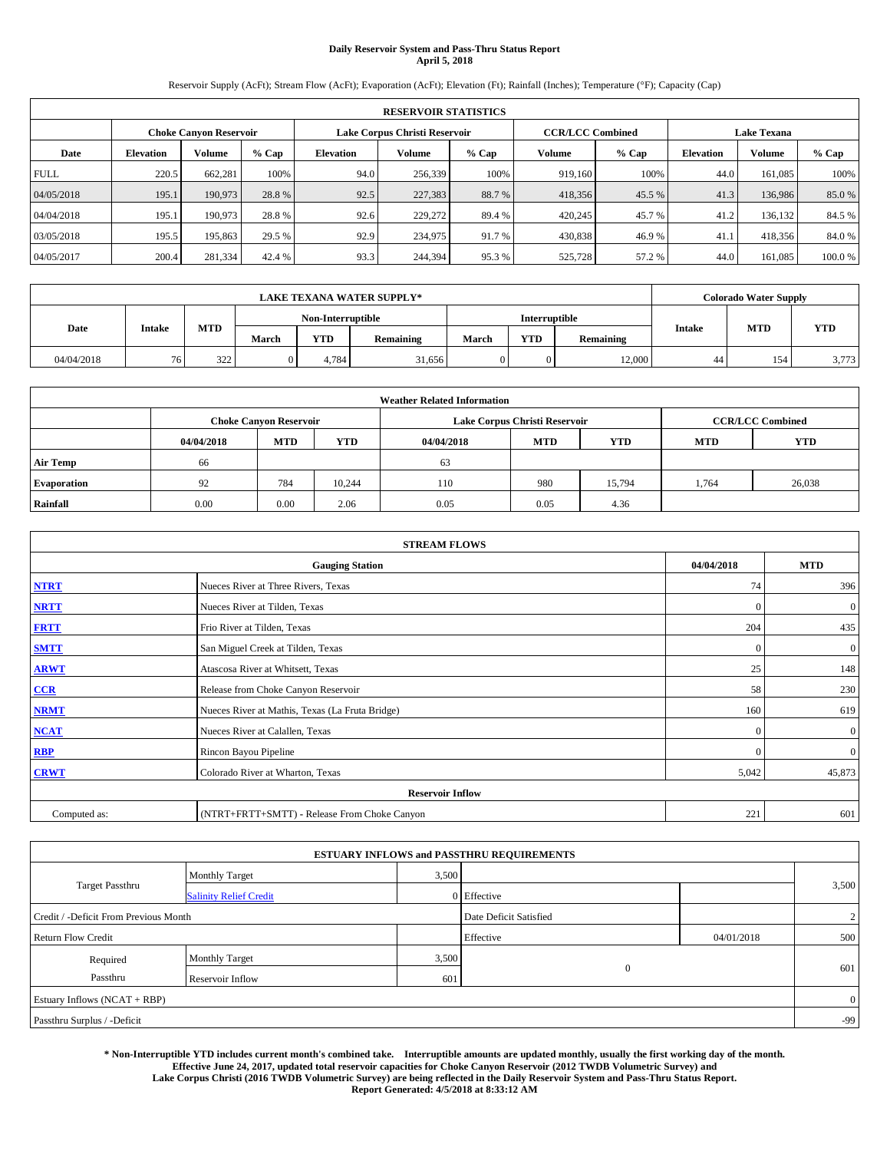# **Daily Reservoir System and Pass-Thru Status Report April 5, 2018**

Reservoir Supply (AcFt); Stream Flow (AcFt); Evaporation (AcFt); Elevation (Ft); Rainfall (Inches); Temperature (°F); Capacity (Cap)

| <b>RESERVOIR STATISTICS</b> |                  |                        |         |                  |                               |         |                         |         |                  |                    |        |  |
|-----------------------------|------------------|------------------------|---------|------------------|-------------------------------|---------|-------------------------|---------|------------------|--------------------|--------|--|
|                             |                  | Choke Canvon Reservoir |         |                  | Lake Corpus Christi Reservoir |         | <b>CCR/LCC Combined</b> |         |                  | <b>Lake Texana</b> |        |  |
| Date                        | <b>Elevation</b> | Volume                 | $%$ Cap | <b>Elevation</b> | Volume                        | $%$ Cap | <b>Volume</b>           | $%$ Cap | <b>Elevation</b> | <b>Volume</b>      | % Cap  |  |
| <b>FULL</b>                 | 220.5            | 662,281                | 100%    | 94.0             | 256,339                       | 100%    | 919.160                 | 100%    | 44.0             | 161.085            | 100%   |  |
| 04/05/2018                  | 195.1            | 190,973                | 28.8%   | 92.5             | 227,383                       | 88.7%   | 418,356                 | 45.5 %  | 41.3             | 136,986            | 85.0%  |  |
| 04/04/2018                  | 195.1            | 190,973                | 28.8%   | 92.6             | 229,272                       | 89.4 %  | 420,245                 | 45.7 %  | 41.2             | 136,132            | 84.5 % |  |
| 03/05/2018                  | 195.5            | 195,863                | 29.5 %  | 92.9             | 234,975                       | 91.7 %  | 430,838                 | 46.9%   | 41.              | 418,356            | 84.0%  |  |
| 04/05/2017                  | 200.4            | 281,334                | 42.4 %  | 93.3             | 244,394                       | 95.3%   | 525,728                 | 57.2%   | 44.0             | 161.085            | 100.0% |  |

| <b>LAKE TEXANA WATER SUPPLY*</b> |               |     |       |                   |           |       |               |           |               | <b>Colorado Water Supply</b> |            |
|----------------------------------|---------------|-----|-------|-------------------|-----------|-------|---------------|-----------|---------------|------------------------------|------------|
|                                  |               |     |       | Non-Interruptible |           |       | Interruptible |           |               |                              |            |
| Date                             | <b>Intake</b> | MTD | March | <b>YTD</b>        | Remaining | March | <b>YTD</b>    | Remaining | <b>Intake</b> | <b>MTD</b>                   | <b>YTD</b> |
| 04/04/2018                       | 761           | 322 |       | 4.784             | 31,656    |       |               | 12,000    | 44            | 154                          | 3,773      |

| <b>Weather Related Information</b> |            |                               |            |            |                               |                         |            |        |  |
|------------------------------------|------------|-------------------------------|------------|------------|-------------------------------|-------------------------|------------|--------|--|
|                                    |            | <b>Choke Canvon Reservoir</b> |            |            | Lake Corpus Christi Reservoir | <b>CCR/LCC Combined</b> |            |        |  |
|                                    | 04/04/2018 | <b>MTD</b>                    | <b>YTD</b> | 04/04/2018 | <b>MTD</b>                    | <b>MTD</b>              | <b>YTD</b> |        |  |
| <b>Air Temp</b>                    | 66         |                               |            | 63         |                               |                         |            |        |  |
| <b>Evaporation</b>                 | 92         | 784                           | 10.244     | 110        | 980                           | 15,794                  | 1,764      | 26,038 |  |
| Rainfall                           | 0.00       | 0.00                          | 2.06       | 0.05       | 0.05                          | 4.36                    |            |        |  |

| <b>STREAM FLOWS</b> |                                                 |              |              |  |  |  |  |  |  |
|---------------------|-------------------------------------------------|--------------|--------------|--|--|--|--|--|--|
|                     | 04/04/2018                                      | <b>MTD</b>   |              |  |  |  |  |  |  |
| <b>NTRT</b>         | Nueces River at Three Rivers, Texas             | 74           | 396          |  |  |  |  |  |  |
| <b>NRTT</b>         | Nueces River at Tilden, Texas                   | $\Omega$     | $\mathbf{0}$ |  |  |  |  |  |  |
| <b>FRTT</b>         | Frio River at Tilden, Texas                     | 204          | 435          |  |  |  |  |  |  |
| <b>SMTT</b>         | San Miguel Creek at Tilden, Texas               | $\mathbf{0}$ | $\mathbf{0}$ |  |  |  |  |  |  |
| <b>ARWT</b>         | Atascosa River at Whitsett, Texas               | 25           | 148          |  |  |  |  |  |  |
| $CCR$               | Release from Choke Canyon Reservoir             | 58           | 230          |  |  |  |  |  |  |
| <b>NRMT</b>         | Nueces River at Mathis, Texas (La Fruta Bridge) | 160          | 619          |  |  |  |  |  |  |
| <b>NCAT</b>         | Nueces River at Calallen, Texas                 | $\Omega$     | $\mathbf{0}$ |  |  |  |  |  |  |
| RBP                 | Rincon Bayou Pipeline                           | $\mathbf{0}$ | $\mathbf{0}$ |  |  |  |  |  |  |
| <b>CRWT</b>         | Colorado River at Wharton, Texas                | 5,042        | 45,873       |  |  |  |  |  |  |
|                     | <b>Reservoir Inflow</b>                         |              |              |  |  |  |  |  |  |
| Computed as:        | 221                                             | 601          |              |  |  |  |  |  |  |

| <b>ESTUARY INFLOWS and PASSTHRU REQUIREMENTS</b> |                               |       |                        |            |                |  |  |  |  |  |
|--------------------------------------------------|-------------------------------|-------|------------------------|------------|----------------|--|--|--|--|--|
|                                                  | <b>Monthly Target</b>         | 3,500 |                        |            |                |  |  |  |  |  |
| <b>Target Passthru</b>                           | <b>Salinity Relief Credit</b> |       | 0 Effective            |            | 3,500          |  |  |  |  |  |
| Credit / -Deficit From Previous Month            |                               |       | Date Deficit Satisfied |            | $\overline{2}$ |  |  |  |  |  |
| <b>Return Flow Credit</b>                        |                               |       | Effective              | 04/01/2018 | 500            |  |  |  |  |  |
| Required                                         | <b>Monthly Target</b>         | 3,500 |                        |            |                |  |  |  |  |  |
| Passthru                                         | Reservoir Inflow              | 601   | $\mathbf{0}$           |            | 601            |  |  |  |  |  |
| Estuary Inflows (NCAT + RBP)                     |                               |       |                        |            | $\overline{0}$ |  |  |  |  |  |
| Passthru Surplus / -Deficit                      |                               |       |                        |            | $-99$          |  |  |  |  |  |

**\* Non-Interruptible YTD includes current month's combined take. Interruptible amounts are updated monthly, usually the first working day of the month. Effective June 24, 2017, updated total reservoir capacities for Choke Canyon Reservoir (2012 TWDB Volumetric Survey) and Lake Corpus Christi (2016 TWDB Volumetric Survey) are being reflected in the Daily Reservoir System and Pass-Thru Status Report. Report Generated: 4/5/2018 at 8:33:12 AM**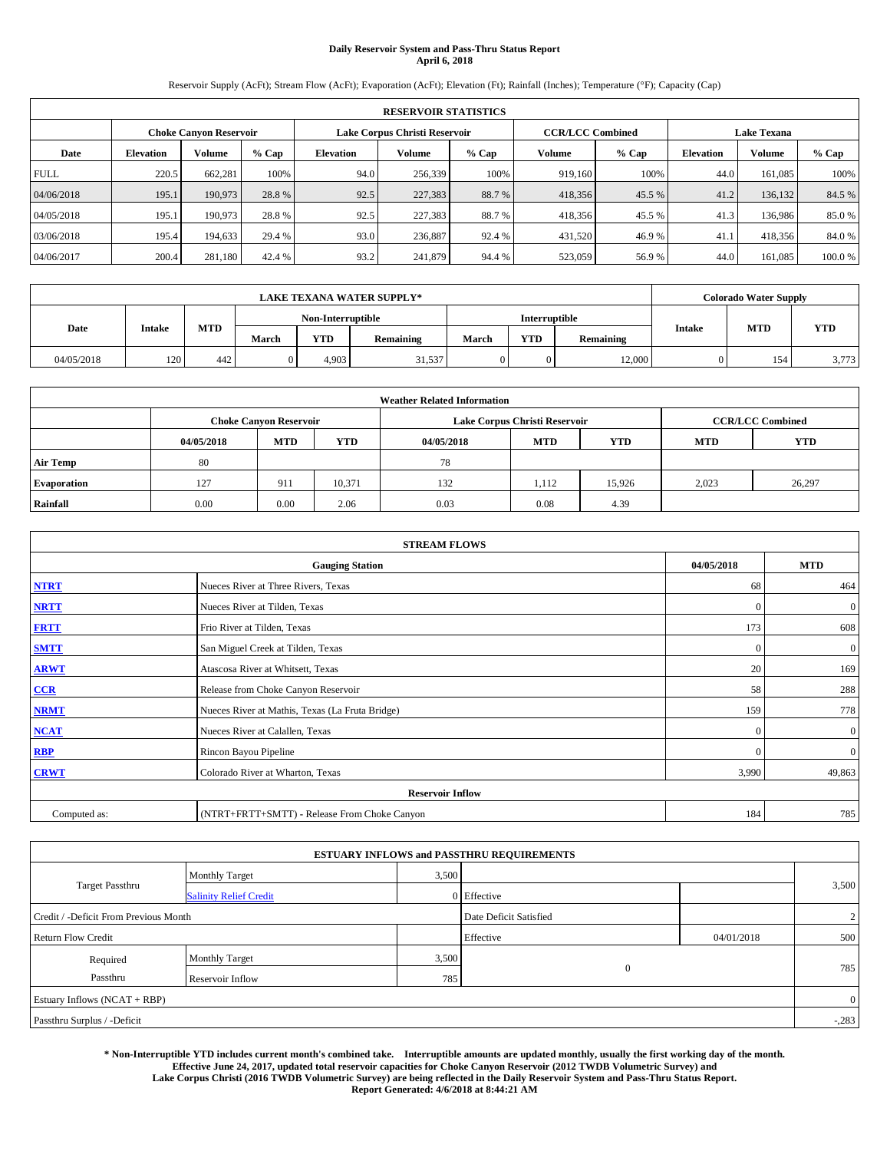# **Daily Reservoir System and Pass-Thru Status Report April 6, 2018**

Reservoir Supply (AcFt); Stream Flow (AcFt); Evaporation (AcFt); Elevation (Ft); Rainfall (Inches); Temperature (°F); Capacity (Cap)

|                                                         | <b>RESERVOIR STATISTICS</b> |         |         |                  |               |         |                                               |         |                  |               |        |
|---------------------------------------------------------|-----------------------------|---------|---------|------------------|---------------|---------|-----------------------------------------------|---------|------------------|---------------|--------|
| Lake Corpus Christi Reservoir<br>Choke Canvon Reservoir |                             |         |         |                  |               |         | <b>CCR/LCC Combined</b><br><b>Lake Texana</b> |         |                  |               |        |
| Date                                                    | <b>Elevation</b>            | Volume  | $%$ Cap | <b>Elevation</b> | <b>Volume</b> | $%$ Cap | Volume                                        | $%$ Cap | <b>Elevation</b> | <b>Volume</b> | % Cap  |
| <b>FULL</b>                                             | 220.5                       | 662,281 | 100%    | 94.0             | 256,339       | 100%    | 919.160                                       | 100%    | 44.0             | 161.085       | 100%   |
| 04/06/2018                                              | 195.1                       | 190,973 | 28.8%   | 92.5             | 227,383       | 88.7 %  | 418,356                                       | 45.5 %  | 41.2             | 136,132       | 84.5 % |
| 04/05/2018                                              | 195.1                       | 190,973 | 28.8%   | 92.5             | 227,383       | 88.7%   | 418,356                                       | 45.5 %  | 41.3             | 136,986       | 85.0%  |
| 03/06/2018                                              | 195.4                       | 194,633 | 29.4 %  | 93.0             | 236,887       | 92.4 %  | 431,520                                       | 46.9%   | 41.              | 418,356       | 84.0%  |
| 04/06/2017                                              | 200.4                       | 281,180 | 42.4 %  | 93.2             | 241,879       | 94.4 %  | 523,059                                       | 56.9%   | 44.0             | 161.085       | 100.0% |

| <b>LAKE TEXANA WATER SUPPLY*</b> |               |            |                   |       |           |       |                      |                  | <b>Colorado Water Supply</b> |     |            |
|----------------------------------|---------------|------------|-------------------|-------|-----------|-------|----------------------|------------------|------------------------------|-----|------------|
|                                  |               |            | Non-Interruptible |       |           |       | <b>Interruptible</b> |                  |                              |     |            |
| Date                             | <b>Intake</b> | <b>MTD</b> | March             | YTD-  | Remaining | March | <b>YTD</b>           | <b>Remaining</b> | Intake                       | MTD | <b>YTD</b> |
| 04/05/2018                       | 120           | 442        |                   | 4.903 | 31,537    |       |                      | 12,000           |                              | 154 | 3,773      |

| <b>Weather Related Information</b> |            |                                                                                  |        |      |                               |        |       |                         |  |  |
|------------------------------------|------------|----------------------------------------------------------------------------------|--------|------|-------------------------------|--------|-------|-------------------------|--|--|
|                                    |            | <b>Choke Canyon Reservoir</b>                                                    |        |      | Lake Corpus Christi Reservoir |        |       | <b>CCR/LCC Combined</b> |  |  |
|                                    | 04/05/2018 | <b>MTD</b><br><b>YTD</b><br><b>MTD</b><br><b>MTD</b><br>04/05/2018<br><b>YTD</b> |        |      |                               |        |       |                         |  |  |
| <b>Air Temp</b>                    | 80         |                                                                                  |        | 78   |                               |        |       |                         |  |  |
| <b>Evaporation</b>                 | 127        | 911                                                                              | 10,371 | 132  | 1,112                         | 15.926 | 2,023 | 26,297                  |  |  |
| Rainfall                           | 0.00       | 0.00                                                                             | 2.06   | 0.03 | 0.08                          | 4.39   |       |                         |  |  |

| <b>STREAM FLOWS</b> |                                                 |              |              |  |  |  |  |  |  |
|---------------------|-------------------------------------------------|--------------|--------------|--|--|--|--|--|--|
|                     | <b>Gauging Station</b>                          | 04/05/2018   | <b>MTD</b>   |  |  |  |  |  |  |
| <b>NTRT</b>         | Nueces River at Three Rivers, Texas             | 68           | 464          |  |  |  |  |  |  |
| <b>NRTT</b>         | Nueces River at Tilden, Texas                   | $\mathbf{0}$ | $\mathbf{0}$ |  |  |  |  |  |  |
| <b>FRTT</b>         | Frio River at Tilden, Texas                     | 173          | 608          |  |  |  |  |  |  |
| <b>SMTT</b>         | San Miguel Creek at Tilden, Texas               | $\mathbf{0}$ | $\mathbf{0}$ |  |  |  |  |  |  |
| <b>ARWT</b>         | Atascosa River at Whitsett, Texas               | 20           | 169          |  |  |  |  |  |  |
| CCR                 | Release from Choke Canyon Reservoir             | 58           | 288          |  |  |  |  |  |  |
| <b>NRMT</b>         | Nueces River at Mathis, Texas (La Fruta Bridge) | 159          | 778          |  |  |  |  |  |  |
| <b>NCAT</b>         | Nueces River at Calallen, Texas                 | $\mathbf{0}$ | $\mathbf{0}$ |  |  |  |  |  |  |
| <b>RBP</b>          | Rincon Bayou Pipeline                           | $\Omega$     | $\mathbf{0}$ |  |  |  |  |  |  |
| <b>CRWT</b>         | Colorado River at Wharton, Texas                | 3,990        | 49,863       |  |  |  |  |  |  |
|                     | <b>Reservoir Inflow</b>                         |              |              |  |  |  |  |  |  |
| Computed as:        | (NTRT+FRTT+SMTT) - Release From Choke Canyon    |              |              |  |  |  |  |  |  |

| <b>ESTUARY INFLOWS and PASSTHRU REQUIREMENTS</b> |                               |                        |                |                |       |  |  |  |  |  |
|--------------------------------------------------|-------------------------------|------------------------|----------------|----------------|-------|--|--|--|--|--|
|                                                  | <b>Monthly Target</b>         | 3,500                  |                |                |       |  |  |  |  |  |
| <b>Target Passthru</b>                           | <b>Salinity Relief Credit</b> |                        | 0 Effective    |                | 3,500 |  |  |  |  |  |
| Credit / -Deficit From Previous Month            |                               | Date Deficit Satisfied |                | $\overline{2}$ |       |  |  |  |  |  |
| <b>Return Flow Credit</b>                        |                               |                        | Effective      | 04/01/2018     | 500   |  |  |  |  |  |
| Required                                         | Monthly Target                | 3,500                  |                |                |       |  |  |  |  |  |
| Passthru                                         | Reservoir Inflow              | 785                    | $\overline{0}$ |                | 785   |  |  |  |  |  |
| Estuary Inflows (NCAT + RBP)                     |                               |                        |                |                |       |  |  |  |  |  |
| Passthru Surplus / -Deficit                      |                               |                        |                |                |       |  |  |  |  |  |

**\* Non-Interruptible YTD includes current month's combined take. Interruptible amounts are updated monthly, usually the first working day of the month. Effective June 24, 2017, updated total reservoir capacities for Choke Canyon Reservoir (2012 TWDB Volumetric Survey) and Lake Corpus Christi (2016 TWDB Volumetric Survey) are being reflected in the Daily Reservoir System and Pass-Thru Status Report. Report Generated: 4/6/2018 at 8:44:21 AM**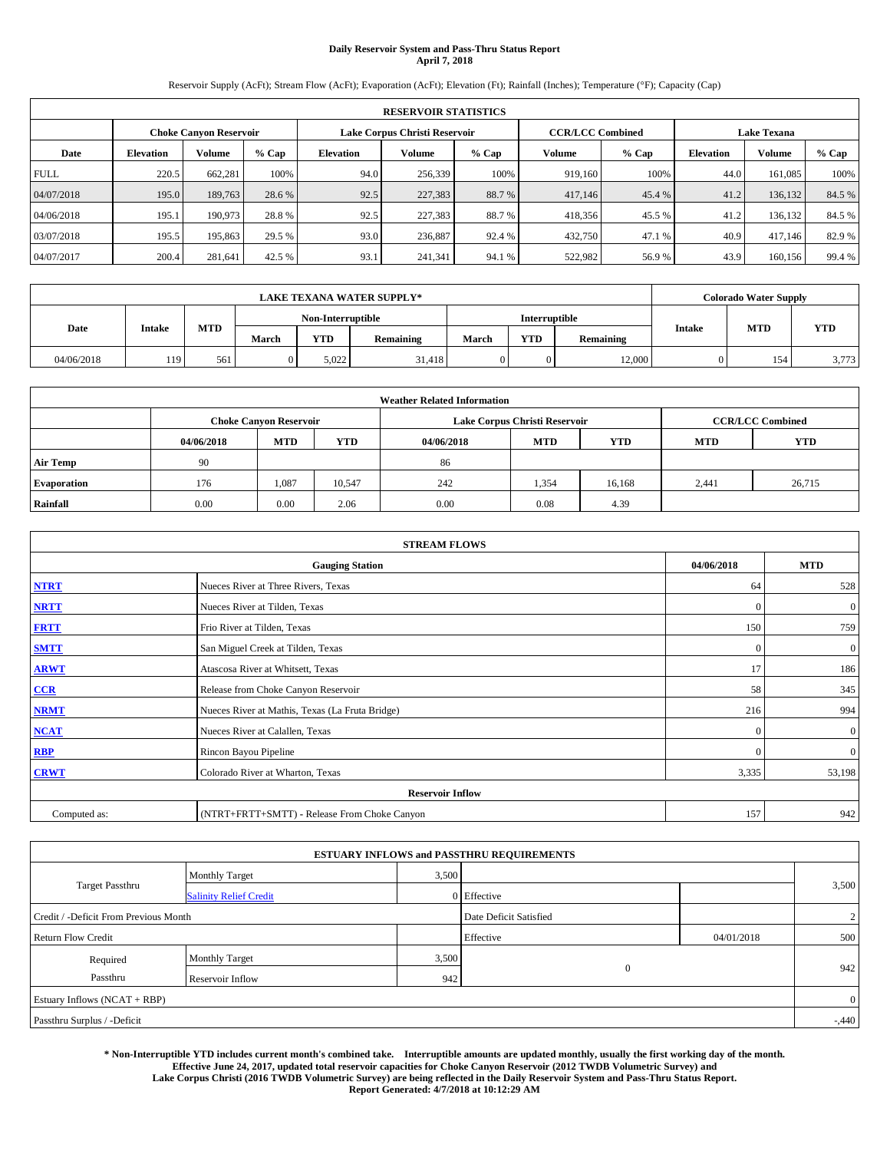# **Daily Reservoir System and Pass-Thru Status Report April 7, 2018**

Reservoir Supply (AcFt); Stream Flow (AcFt); Evaporation (AcFt); Elevation (Ft); Rainfall (Inches); Temperature (°F); Capacity (Cap)

|             | <b>RESERVOIR STATISTICS</b> |                               |        |           |                               |        |         |                                               |                  |         |        |
|-------------|-----------------------------|-------------------------------|--------|-----------|-------------------------------|--------|---------|-----------------------------------------------|------------------|---------|--------|
|             |                             | <b>Choke Canvon Reservoir</b> |        |           | Lake Corpus Christi Reservoir |        |         | <b>Lake Texana</b><br><b>CCR/LCC Combined</b> |                  |         |        |
| Date        | <b>Elevation</b>            | <b>Volume</b>                 | % Cap  | Elevation | Volume                        | % Cap  | Volume  | $%$ Cap                                       | <b>Elevation</b> | Volume  | % Cap  |
| <b>FULL</b> | 220.5                       | 662.281                       | 100%   | 94.0      | 256,339                       | 100%   | 919,160 | 100%                                          | 44.0             | 161,085 | 100%   |
| 04/07/2018  | 195.0                       | 189,763                       | 28.6 % | 92.5      | 227,383                       | 88.7%  | 417,146 | 45.4 %                                        | 41.2             | 136,132 | 84.5 % |
| 04/06/2018  | 195.1                       | 190,973                       | 28.8%  | 92.5      | 227,383                       | 88.7%  | 418,356 | 45.5 %                                        | 41.2             | 136,132 | 84.5 % |
| 03/07/2018  | 195.5                       | 195,863                       | 29.5 % | 93.0      | 236,887                       | 92.4 % | 432,750 | 47.1 %                                        | 40.9             | 417.146 | 82.9%  |
| 04/07/2017  | 200.4                       | 281.641                       | 42.5 % | 93.1      | 241,341                       | 94.1 % | 522,982 | 56.9%                                         | 43.9             | 160,156 | 99.4 % |

|            | <b>LAKE TEXANA WATER SUPPLY*</b> |            |                   |            |           |       |                      |           | <b>Colorado Water Supply</b> |            |            |  |
|------------|----------------------------------|------------|-------------------|------------|-----------|-------|----------------------|-----------|------------------------------|------------|------------|--|
|            |                                  |            | Non-Interruptible |            |           |       | <b>Interruptible</b> |           |                              |            |            |  |
| Date       | <b>Intake</b>                    | <b>MTD</b> | March             | <b>YTD</b> | Remaining | March | <b>YTD</b>           | Remaining | Intake                       | <b>MTD</b> | <b>YTD</b> |  |
| 04/06/2018 | 119                              | 561        |                   | 5.022      | 31,418    |       |                      | 12,000    |                              | 154        | 3,773      |  |

| <b>Weather Related Information</b> |            |                                                                                  |        |      |                               |        |                         |        |  |  |
|------------------------------------|------------|----------------------------------------------------------------------------------|--------|------|-------------------------------|--------|-------------------------|--------|--|--|
|                                    |            | <b>Choke Canyon Reservoir</b>                                                    |        |      | Lake Corpus Christi Reservoir |        | <b>CCR/LCC Combined</b> |        |  |  |
|                                    | 04/06/2018 | <b>YTD</b><br><b>MTD</b><br><b>MTD</b><br>04/06/2018<br><b>YTD</b><br><b>MTD</b> |        |      |                               |        |                         |        |  |  |
| <b>Air Temp</b>                    | 90         |                                                                                  |        | 86   |                               |        |                         |        |  |  |
| <b>Evaporation</b>                 | 176        | 1,087                                                                            | 10,547 | 242  | 1,354                         | 16,168 | 2,441                   | 26,715 |  |  |
| Rainfall                           | 0.00       | 0.00                                                                             | 2.06   | 0.00 | 0.08                          | 4.39   |                         |        |  |  |

| <b>STREAM FLOWS</b> |                                                 |              |              |  |  |  |  |  |  |
|---------------------|-------------------------------------------------|--------------|--------------|--|--|--|--|--|--|
|                     | <b>Gauging Station</b>                          | 04/06/2018   | <b>MTD</b>   |  |  |  |  |  |  |
| <b>NTRT</b>         | Nueces River at Three Rivers, Texas             | 64           | 528          |  |  |  |  |  |  |
| <b>NRTT</b>         | Nueces River at Tilden, Texas                   | $\mathbf{0}$ | $\mathbf{0}$ |  |  |  |  |  |  |
| <b>FRTT</b>         | Frio River at Tilden, Texas                     | 150          | 759          |  |  |  |  |  |  |
| <b>SMTT</b>         | San Miguel Creek at Tilden, Texas               | $\mathbf{0}$ | $\mathbf{0}$ |  |  |  |  |  |  |
| <b>ARWT</b>         | Atascosa River at Whitsett, Texas               | 17           | 186          |  |  |  |  |  |  |
| $CCR$               | Release from Choke Canyon Reservoir             | 58           | 345          |  |  |  |  |  |  |
| <b>NRMT</b>         | Nueces River at Mathis, Texas (La Fruta Bridge) | 216          | 994          |  |  |  |  |  |  |
| <b>NCAT</b>         | Nueces River at Calallen, Texas                 | $\theta$     | $\mathbf{0}$ |  |  |  |  |  |  |
| RBP                 | Rincon Bayou Pipeline                           | $\mathbf{0}$ | $\mathbf{0}$ |  |  |  |  |  |  |
| <b>CRWT</b>         | Colorado River at Wharton, Texas                | 3,335        | 53,198       |  |  |  |  |  |  |
|                     | <b>Reservoir Inflow</b>                         |              |              |  |  |  |  |  |  |
| Computed as:        | (NTRT+FRTT+SMTT) - Release From Choke Canyon    |              |              |  |  |  |  |  |  |

|                                       |                               |       | <b>ESTUARY INFLOWS and PASSTHRU REQUIREMENTS</b> |            |                |  |
|---------------------------------------|-------------------------------|-------|--------------------------------------------------|------------|----------------|--|
|                                       | <b>Monthly Target</b>         | 3,500 |                                                  |            |                |  |
| <b>Target Passthru</b>                | <b>Salinity Relief Credit</b> |       | $0$ Effective                                    |            | 3,500          |  |
| Credit / -Deficit From Previous Month |                               |       | Date Deficit Satisfied                           |            | $\overline{2}$ |  |
| <b>Return Flow Credit</b>             |                               |       | Effective                                        | 04/01/2018 | 500            |  |
| Required                              | <b>Monthly Target</b>         | 3,500 |                                                  |            |                |  |
| Passthru                              | Reservoir Inflow              | 942   | $\mathbf{0}$                                     |            | 942            |  |
| Estuary Inflows (NCAT + RBP)          |                               |       |                                                  |            | $\overline{0}$ |  |
| Passthru Surplus / -Deficit           |                               |       |                                                  |            | $-0.440$       |  |

**\* Non-Interruptible YTD includes current month's combined take. Interruptible amounts are updated monthly, usually the first working day of the month. Effective June 24, 2017, updated total reservoir capacities for Choke Canyon Reservoir (2012 TWDB Volumetric Survey) and Lake Corpus Christi (2016 TWDB Volumetric Survey) are being reflected in the Daily Reservoir System and Pass-Thru Status Report. Report Generated: 4/7/2018 at 10:12:29 AM**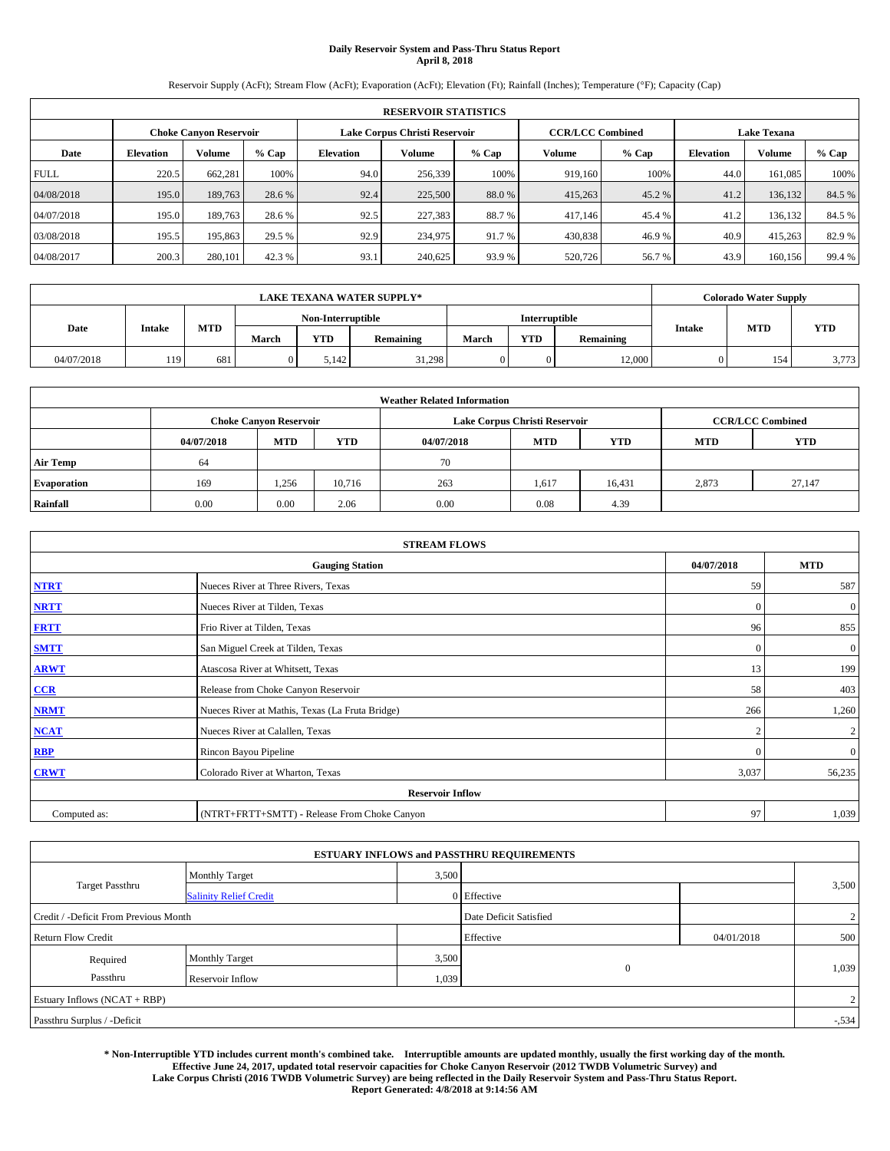# **Daily Reservoir System and Pass-Thru Status Report April 8, 2018**

Reservoir Supply (AcFt); Stream Flow (AcFt); Evaporation (AcFt); Elevation (Ft); Rainfall (Inches); Temperature (°F); Capacity (Cap)

|             | <b>RESERVOIR STATISTICS</b> |                               |        |           |                               |        |                                               |         |                  |         |        |
|-------------|-----------------------------|-------------------------------|--------|-----------|-------------------------------|--------|-----------------------------------------------|---------|------------------|---------|--------|
|             |                             | <b>Choke Canvon Reservoir</b> |        |           | Lake Corpus Christi Reservoir |        | <b>Lake Texana</b><br><b>CCR/LCC Combined</b> |         |                  |         |        |
| Date        | <b>Elevation</b>            | <b>Volume</b>                 | % Cap  | Elevation | Volume                        | % Cap  | Volume                                        | $%$ Cap | <b>Elevation</b> | Volume  | % Cap  |
| <b>FULL</b> | 220.5                       | 662.281                       | 100%   | 94.0      | 256,339                       | 100%   | 919,160                                       | 100%    | 44.0             | 161,085 | 100%   |
| 04/08/2018  | 195.0                       | 189,763                       | 28.6 % | 92.4      | 225,500                       | 88.0%  | 415,263                                       | 45.2 %  | 41.2             | 136,132 | 84.5 % |
| 04/07/2018  | 195.0                       | 189,763                       | 28.6 % | 92.5      | 227,383                       | 88.7 % | 417,146                                       | 45.4 %  | 41.2             | 136,132 | 84.5 % |
| 03/08/2018  | 195.5                       | 195,863                       | 29.5 % | 92.9      | 234,975                       | 91.7 % | 430,838                                       | 46.9%   | 40.9             | 415,263 | 82.9 % |
| 04/08/2017  | 200.3                       | 280,101                       | 42.3 % | 93.1      | 240,625                       | 93.9 % | 520,726                                       | 56.7%   | 43.9             | 160,156 | 99.4 % |

|            | <b>LAKE TEXANA WATER SUPPLY*</b> |            |       |                   |           |       |                      |                  |        | <b>Colorado Water Supply</b> |            |
|------------|----------------------------------|------------|-------|-------------------|-----------|-------|----------------------|------------------|--------|------------------------------|------------|
|            |                                  |            |       | Non-Interruptible |           |       | <b>Interruptible</b> |                  |        |                              |            |
| Date       | <b>Intake</b>                    | <b>MTD</b> | March | YTD               | Remaining | March | YTD                  | <b>Remaining</b> | Intake | <b>MTD</b>                   | <b>YTD</b> |
| 04/07/2018 | 119                              | 681        |       | 5.142             | 31.298    |       |                      | 12,000           |        | 154                          | 3,773      |

|                    | <b>Weather Related Information</b> |                               |            |            |                               |                         |       |        |  |  |  |  |
|--------------------|------------------------------------|-------------------------------|------------|------------|-------------------------------|-------------------------|-------|--------|--|--|--|--|
|                    |                                    | <b>Choke Canyon Reservoir</b> |            |            | Lake Corpus Christi Reservoir | <b>CCR/LCC Combined</b> |       |        |  |  |  |  |
|                    | 04/07/2018                         | <b>MTD</b>                    | <b>YTD</b> | 04/07/2018 | <b>MTD</b>                    | <b>YTD</b>              |       |        |  |  |  |  |
| <b>Air Temp</b>    | 64                                 |                               |            | 70         |                               |                         |       |        |  |  |  |  |
| <b>Evaporation</b> | 169                                | 1,256                         | 10,716     | 263        | 1,617                         | 16,431                  | 2,873 | 27,147 |  |  |  |  |
| Rainfall           | 0.00                               | 0.00                          | 2.06       | 0.00       | 0.08                          | 4.39                    |       |        |  |  |  |  |

| <b>STREAM FLOWS</b> |                                                 |              |                |  |  |  |  |  |
|---------------------|-------------------------------------------------|--------------|----------------|--|--|--|--|--|
|                     | <b>Gauging Station</b>                          | 04/07/2018   | <b>MTD</b>     |  |  |  |  |  |
| <b>NTRT</b>         | Nueces River at Three Rivers, Texas             | 59           | 587            |  |  |  |  |  |
| <b>NRTT</b>         | Nueces River at Tilden, Texas                   | $\mathbf{0}$ | $\mathbf{0}$   |  |  |  |  |  |
| <b>FRTT</b>         | Frio River at Tilden, Texas                     | 96           | 855            |  |  |  |  |  |
| <b>SMTT</b>         | San Miguel Creek at Tilden, Texas               | $\mathbf{0}$ | $\mathbf{0}$   |  |  |  |  |  |
| <b>ARWT</b>         | Atascosa River at Whitsett, Texas               | 13           | 199            |  |  |  |  |  |
| $CCR$               | Release from Choke Canyon Reservoir             | 58           | 403            |  |  |  |  |  |
| <b>NRMT</b>         | Nueces River at Mathis, Texas (La Fruta Bridge) | 266          | 1,260          |  |  |  |  |  |
| <b>NCAT</b>         | Nueces River at Calallen, Texas                 | $\bigcap$    | $\overline{c}$ |  |  |  |  |  |
| RBP                 | Rincon Bayou Pipeline                           | $\mathbf{0}$ | $\mathbf{0}$   |  |  |  |  |  |
| <b>CRWT</b>         | Colorado River at Wharton, Texas                | 3,037        | 56,235         |  |  |  |  |  |
|                     | <b>Reservoir Inflow</b>                         |              |                |  |  |  |  |  |
| Computed as:        | (NTRT+FRTT+SMTT) - Release From Choke Canyon    | 97           | 1,039          |  |  |  |  |  |

|                                       |                               |       | <b>ESTUARY INFLOWS and PASSTHRU REQUIREMENTS</b> |            |         |
|---------------------------------------|-------------------------------|-------|--------------------------------------------------|------------|---------|
|                                       | <b>Monthly Target</b>         | 3,500 |                                                  |            |         |
| <b>Target Passthru</b>                | <b>Salinity Relief Credit</b> |       | 0 Effective                                      |            | 3,500   |
| Credit / -Deficit From Previous Month |                               |       | Date Deficit Satisfied                           |            | 2       |
| <b>Return Flow Credit</b>             |                               |       | Effective                                        | 04/01/2018 | 500     |
| Required                              | <b>Monthly Target</b>         | 3,500 |                                                  |            |         |
| Passthru                              | Reservoir Inflow              | 1,039 | $\mathbf{0}$                                     |            | 1,039   |
| Estuary Inflows (NCAT + RBP)          |                               |       |                                                  |            | 2       |
| Passthru Surplus / -Deficit           |                               |       |                                                  |            | $-.534$ |

**\* Non-Interruptible YTD includes current month's combined take. Interruptible amounts are updated monthly, usually the first working day of the month. Effective June 24, 2017, updated total reservoir capacities for Choke Canyon Reservoir (2012 TWDB Volumetric Survey) and Lake Corpus Christi (2016 TWDB Volumetric Survey) are being reflected in the Daily Reservoir System and Pass-Thru Status Report. Report Generated: 4/8/2018 at 9:14:56 AM**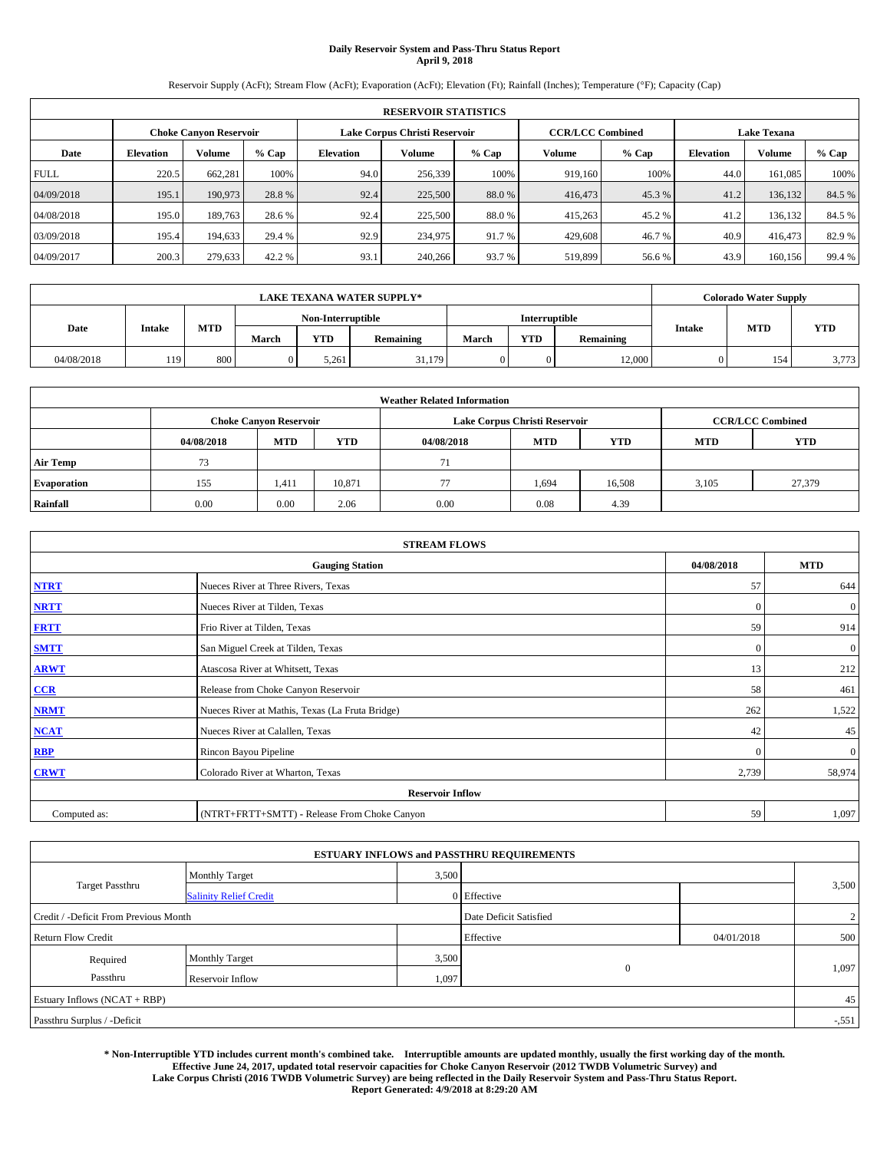# **Daily Reservoir System and Pass-Thru Status Report April 9, 2018**

Reservoir Supply (AcFt); Stream Flow (AcFt); Evaporation (AcFt); Elevation (Ft); Rainfall (Inches); Temperature (°F); Capacity (Cap)

|             | <b>RESERVOIR STATISTICS</b> |                        |        |                                                     |                               |                  |                         |        |                    |         |        |  |  |
|-------------|-----------------------------|------------------------|--------|-----------------------------------------------------|-------------------------------|------------------|-------------------------|--------|--------------------|---------|--------|--|--|
|             |                             | Choke Canvon Reservoir |        |                                                     | Lake Corpus Christi Reservoir |                  | <b>CCR/LCC Combined</b> |        | <b>Lake Texana</b> |         |        |  |  |
| Date        | <b>Elevation</b>            | Volume                 | % Cap  | Volume<br>$%$ Cap<br>Volume<br>$%$ Cap<br>Elevation |                               | <b>Elevation</b> | Volume                  | % Cap  |                    |         |        |  |  |
| <b>FULL</b> | 220.5                       | 662.281                | 100%   | 94.0                                                | 256,339                       | 100%             | 919.160                 | 100%   | 44.0               | 161.085 | 100%   |  |  |
| 04/09/2018  | 195.1                       | 190,973                | 28.8%  | 92.4                                                | 225,500                       | 88.0%            | 416,473                 | 45.3 % | 41.2               | 136.132 | 84.5 % |  |  |
| 04/08/2018  | 195.0                       | 189.763                | 28.6 % | 92.4                                                | 225,500                       | 88.0 %           | 415,263                 | 45.2 % | 41.2               | 136,132 | 84.5 % |  |  |
| 03/09/2018  | 195.4                       | 194.633                | 29.4 % | 92.9                                                | 234,975                       | 91.7 %           | 429,608                 | 46.7 % | 40.9               | 416,473 | 82.9 % |  |  |
| 04/09/2017  | 200.3                       | 279.633                | 42.2 % | 93.1                                                | 240,266                       | 93.7 %           | 519,899                 | 56.6 % | 43.9               | 160.156 | 99.4 % |  |  |

|            | <b>LAKE TEXANA WATER SUPPLY*</b> |            |       |                   |           |       |                      |           |        | <b>Colorado Water Supply</b> |            |
|------------|----------------------------------|------------|-------|-------------------|-----------|-------|----------------------|-----------|--------|------------------------------|------------|
|            |                                  |            |       | Non-Interruptible |           |       | <b>Interruptible</b> |           |        |                              |            |
| Date       | <b>Intake</b>                    | <b>MTD</b> | March | <b>YTD</b>        | Remaining | March | <b>YTD</b>           | Remaining | Intake | <b>MTD</b>                   | <b>YTD</b> |
| 04/08/2018 | 119                              | 800        |       | 5,261             | 31.179    |       |                      | 12,000    |        | 154                          | 3,773      |

|                    | <b>Weather Related Information</b> |                               |            |            |                               |                         |       |        |  |  |  |  |
|--------------------|------------------------------------|-------------------------------|------------|------------|-------------------------------|-------------------------|-------|--------|--|--|--|--|
|                    |                                    | <b>Choke Canyon Reservoir</b> |            |            | Lake Corpus Christi Reservoir | <b>CCR/LCC Combined</b> |       |        |  |  |  |  |
|                    | 04/08/2018                         | <b>MTD</b>                    | <b>YTD</b> | 04/08/2018 | <b>MTD</b>                    | <b>YTD</b>              |       |        |  |  |  |  |
| <b>Air Temp</b>    | 73                                 |                               |            | 71         |                               |                         |       |        |  |  |  |  |
| <b>Evaporation</b> | 155                                | 1,411                         | 10,871     |            | 1,694                         | 16,508                  | 3,105 | 27,379 |  |  |  |  |
| Rainfall           | 0.00                               | 0.00                          | 2.06       | 0.00       | 0.08                          | 4.39                    |       |        |  |  |  |  |

| <b>STREAM FLOWS</b> |                                                 |              |              |  |  |  |  |  |
|---------------------|-------------------------------------------------|--------------|--------------|--|--|--|--|--|
|                     | <b>Gauging Station</b>                          | 04/08/2018   | <b>MTD</b>   |  |  |  |  |  |
| <b>NTRT</b>         | Nueces River at Three Rivers, Texas             | 57           | 644          |  |  |  |  |  |
| <b>NRTT</b>         | Nueces River at Tilden, Texas                   | $\mathbf{0}$ | $\mathbf{0}$ |  |  |  |  |  |
| <b>FRTT</b>         | Frio River at Tilden, Texas                     | 59           | 914          |  |  |  |  |  |
| <b>SMTT</b>         | San Miguel Creek at Tilden, Texas               | $\mathbf{0}$ | $\mathbf{0}$ |  |  |  |  |  |
| <b>ARWT</b>         | Atascosa River at Whitsett, Texas               | 13           | 212          |  |  |  |  |  |
| $CCR$               | Release from Choke Canyon Reservoir             | 58           | 461          |  |  |  |  |  |
| <b>NRMT</b>         | Nueces River at Mathis, Texas (La Fruta Bridge) | 262          | 1,522        |  |  |  |  |  |
| <b>NCAT</b>         | Nueces River at Calallen, Texas                 | 42           | 45           |  |  |  |  |  |
| RBP                 | Rincon Bayou Pipeline                           | $\mathbf{0}$ | $\mathbf{0}$ |  |  |  |  |  |
| <b>CRWT</b>         | Colorado River at Wharton, Texas                | 2,739        | 58,974       |  |  |  |  |  |
|                     | <b>Reservoir Inflow</b>                         |              |              |  |  |  |  |  |
| Computed as:        | (NTRT+FRTT+SMTT) - Release From Choke Canyon    | 59           | 1,097        |  |  |  |  |  |

|                                       |                               |       | <b>ESTUARY INFLOWS and PASSTHRU REQUIREMENTS</b> |            |        |
|---------------------------------------|-------------------------------|-------|--------------------------------------------------|------------|--------|
|                                       | <b>Monthly Target</b>         | 3,500 |                                                  |            |        |
| <b>Target Passthru</b>                | <b>Salinity Relief Credit</b> |       | 0 Effective                                      |            | 3,500  |
| Credit / -Deficit From Previous Month |                               |       | Date Deficit Satisfied                           |            | 2      |
| <b>Return Flow Credit</b>             |                               |       | Effective                                        | 04/01/2018 | 500    |
| Required                              | <b>Monthly Target</b>         | 3,500 |                                                  |            |        |
| Passthru                              | Reservoir Inflow              | 1,097 | $\mathbf{0}$                                     |            | 1,097  |
| Estuary Inflows (NCAT + RBP)          |                               |       |                                                  |            | 45     |
| Passthru Surplus / -Deficit           |                               |       |                                                  |            | $-551$ |

**\* Non-Interruptible YTD includes current month's combined take. Interruptible amounts are updated monthly, usually the first working day of the month. Effective June 24, 2017, updated total reservoir capacities for Choke Canyon Reservoir (2012 TWDB Volumetric Survey) and Lake Corpus Christi (2016 TWDB Volumetric Survey) are being reflected in the Daily Reservoir System and Pass-Thru Status Report. Report Generated: 4/9/2018 at 8:29:20 AM**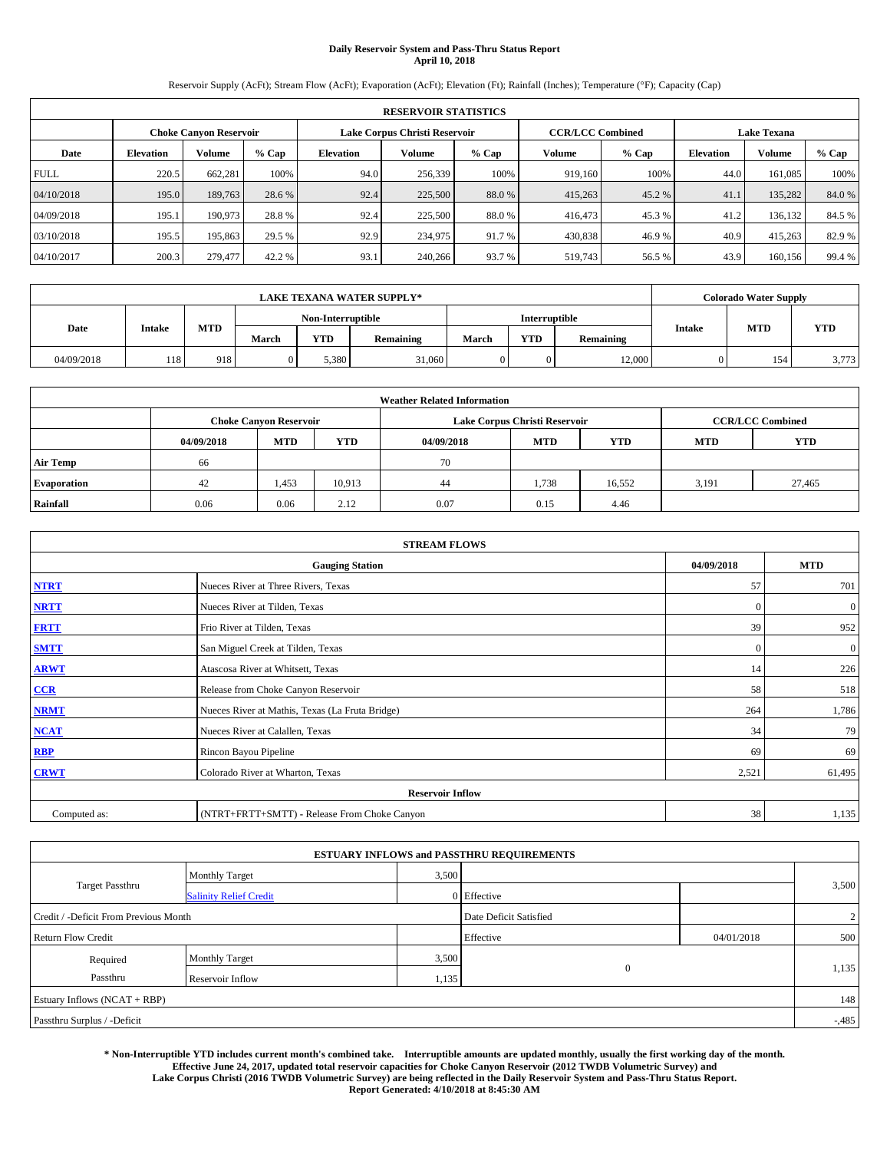# **Daily Reservoir System and Pass-Thru Status Report April 10, 2018**

Reservoir Supply (AcFt); Stream Flow (AcFt); Evaporation (AcFt); Elevation (Ft); Rainfall (Inches); Temperature (°F); Capacity (Cap)

|             | <b>RESERVOIR STATISTICS</b> |                               |        |                               |         |                         |         |                    |                  |         |        |  |  |
|-------------|-----------------------------|-------------------------------|--------|-------------------------------|---------|-------------------------|---------|--------------------|------------------|---------|--------|--|--|
|             |                             | <b>Choke Canvon Reservoir</b> |        | Lake Corpus Christi Reservoir |         | <b>CCR/LCC Combined</b> |         | <b>Lake Texana</b> |                  |         |        |  |  |
| Date        | <b>Elevation</b>            | <b>Volume</b>                 | % Cap  | Elevation                     | Volume  | % Cap                   | Volume  | $%$ Cap            | <b>Elevation</b> | Volume  | % Cap  |  |  |
| <b>FULL</b> | 220.5                       | 662.281                       | 100%   | 94.0                          | 256,339 | 100%                    | 919,160 | 100%               | 44.0             | 161,085 | 100%   |  |  |
| 04/10/2018  | 195.0                       | 189,763                       | 28.6 % | 92.4                          | 225,500 | 88.0%                   | 415,263 | 45.2 %             | 41.1             | 135,282 | 84.0%  |  |  |
| 04/09/2018  | 195.1                       | 190,973                       | 28.8%  | 92.4                          | 225,500 | 88.0 %                  | 416,473 | 45.3 %             | 41.2             | 136,132 | 84.5 % |  |  |
| 03/10/2018  | 195.5                       | 195,863                       | 29.5 % | 92.9                          | 234,975 | 91.7 %                  | 430,838 | 46.9%              | 40.9             | 415,263 | 82.9 % |  |  |
| 04/10/2017  | 200.3                       | 279,477                       | 42.2 % | 93.1                          | 240,266 | 93.7 %                  | 519,743 | 56.5 %             | 43.9             | 160,156 | 99.4 % |  |  |

|            | <b>LAKE TEXANA WATER SUPPLY*</b> |            |       |                   |           |       |                      |           |        | <b>Colorado Water Supply</b> |            |
|------------|----------------------------------|------------|-------|-------------------|-----------|-------|----------------------|-----------|--------|------------------------------|------------|
|            |                                  |            |       | Non-Interruptible |           |       | <b>Interruptible</b> |           |        |                              |            |
| Date       | <b>Intake</b>                    | <b>MTD</b> | March | <b>YTD</b>        | Remaining | March | <b>YTD</b>           | Remaining | Intake | <b>MTD</b>                   | <b>YTD</b> |
| 04/09/2018 | 118                              | 918        |       | 5,380             | 31,060    |       |                      | 12,000    |        | 154                          | 3,773      |

|                    | <b>Weather Related Information</b> |                               |            |            |                               |                         |       |        |  |  |  |  |
|--------------------|------------------------------------|-------------------------------|------------|------------|-------------------------------|-------------------------|-------|--------|--|--|--|--|
|                    |                                    | <b>Choke Canyon Reservoir</b> |            |            | Lake Corpus Christi Reservoir | <b>CCR/LCC Combined</b> |       |        |  |  |  |  |
|                    | 04/09/2018                         | <b>MTD</b>                    | <b>YTD</b> | 04/09/2018 | <b>MTD</b>                    | <b>YTD</b>              |       |        |  |  |  |  |
| <b>Air Temp</b>    | 66                                 |                               |            | 70         |                               |                         |       |        |  |  |  |  |
| <b>Evaporation</b> | 42                                 | 1,453                         | 10,913     | 44         | 1,738                         | 16,552                  | 3,191 | 27,465 |  |  |  |  |
| Rainfall           | 0.06                               | 0.06                          | 2.12       | 0.07       | 0.15                          | 4.46                    |       |        |  |  |  |  |

| <b>STREAM FLOWS</b> |                                                 |              |              |  |  |  |  |  |  |
|---------------------|-------------------------------------------------|--------------|--------------|--|--|--|--|--|--|
|                     | <b>Gauging Station</b>                          |              |              |  |  |  |  |  |  |
| <b>NTRT</b>         | Nueces River at Three Rivers, Texas             | 57           | 701          |  |  |  |  |  |  |
| <b>NRTT</b>         | Nueces River at Tilden, Texas                   | $\mathbf{0}$ | $\mathbf{0}$ |  |  |  |  |  |  |
| <b>FRTT</b>         | Frio River at Tilden, Texas                     | 39           | 952          |  |  |  |  |  |  |
| <b>SMTT</b>         | San Miguel Creek at Tilden, Texas               | $\mathbf{0}$ | $\mathbf{0}$ |  |  |  |  |  |  |
| <b>ARWT</b>         | Atascosa River at Whitsett, Texas               | 14           | 226          |  |  |  |  |  |  |
| $CCR$               | Release from Choke Canyon Reservoir             | 58           | 518          |  |  |  |  |  |  |
| <b>NRMT</b>         | Nueces River at Mathis, Texas (La Fruta Bridge) | 264          | 1,786        |  |  |  |  |  |  |
| <b>NCAT</b>         | Nueces River at Calallen, Texas                 | 34           | 79           |  |  |  |  |  |  |
| RBP                 | Rincon Bayou Pipeline                           | -69          | 69           |  |  |  |  |  |  |
| <b>CRWT</b>         | Colorado River at Wharton, Texas                | 2,521        | 61,495       |  |  |  |  |  |  |
|                     | <b>Reservoir Inflow</b>                         |              |              |  |  |  |  |  |  |
| Computed as:        | (NTRT+FRTT+SMTT) - Release From Choke Canyon    | 38           | 1,135        |  |  |  |  |  |  |

|                                       |                               |       | <b>ESTUARY INFLOWS and PASSTHRU REQUIREMENTS</b> |            |                |
|---------------------------------------|-------------------------------|-------|--------------------------------------------------|------------|----------------|
|                                       | <b>Monthly Target</b>         | 3,500 |                                                  |            |                |
| <b>Target Passthru</b>                | <b>Salinity Relief Credit</b> |       | $0$ Effective                                    |            | 3,500          |
| Credit / -Deficit From Previous Month |                               |       | Date Deficit Satisfied                           |            | $\overline{2}$ |
| <b>Return Flow Credit</b>             |                               |       | Effective                                        | 04/01/2018 | 500            |
| Required                              | <b>Monthly Target</b>         | 3,500 |                                                  |            |                |
| Passthru                              | Reservoir Inflow              | 1,135 | $\theta$                                         |            | 1,135          |
| Estuary Inflows (NCAT + RBP)          |                               |       |                                                  |            | 148            |
| Passthru Surplus / -Deficit           |                               |       |                                                  |            | $-0.485$       |

**\* Non-Interruptible YTD includes current month's combined take. Interruptible amounts are updated monthly, usually the first working day of the month. Effective June 24, 2017, updated total reservoir capacities for Choke Canyon Reservoir (2012 TWDB Volumetric Survey) and Lake Corpus Christi (2016 TWDB Volumetric Survey) are being reflected in the Daily Reservoir System and Pass-Thru Status Report.** 

**Report Generated: 4/10/2018 at 8:45:30 AM**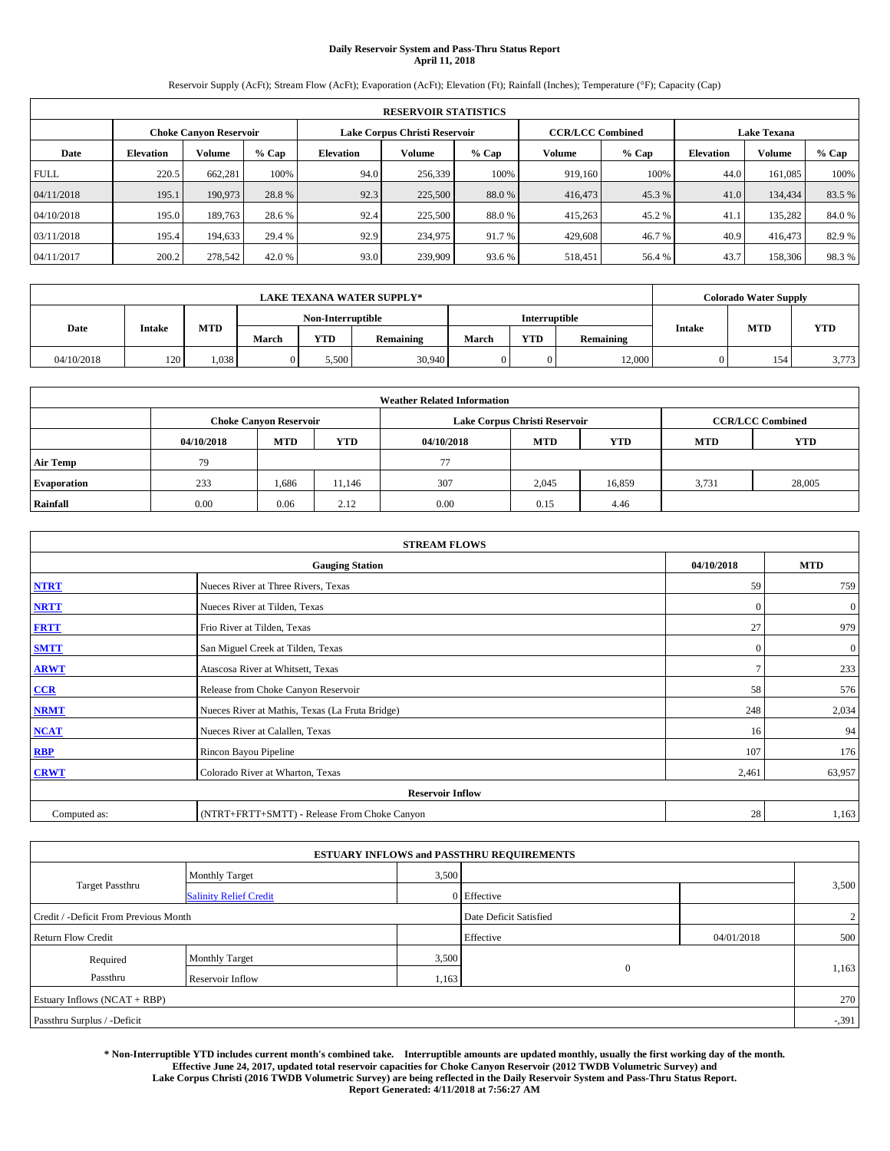# **Daily Reservoir System and Pass-Thru Status Report April 11, 2018**

Reservoir Supply (AcFt); Stream Flow (AcFt); Evaporation (AcFt); Elevation (Ft); Rainfall (Inches); Temperature (°F); Capacity (Cap)

|             | <b>RESERVOIR STATISTICS</b> |                               |        |           |                               |        |                         |         |                    |               |        |  |
|-------------|-----------------------------|-------------------------------|--------|-----------|-------------------------------|--------|-------------------------|---------|--------------------|---------------|--------|--|
|             |                             | <b>Choke Canvon Reservoir</b> |        |           | Lake Corpus Christi Reservoir |        | <b>CCR/LCC Combined</b> |         | <b>Lake Texana</b> |               |        |  |
| Date        | <b>Elevation</b>            | <b>Volume</b>                 | % Cap  | Elevation | Volume                        | % Cap  | Volume                  | $%$ Cap | <b>Elevation</b>   | <b>Volume</b> | % Cap  |  |
| <b>FULL</b> | 220.5                       | 662.281                       | 100%   | 94.0      | 256,339                       | 100%   | 919,160                 | 100%    | 44.0               | 161,085       | 100%   |  |
| 04/11/2018  | 195.1                       | 190,973                       | 28.8%  | 92.3      | 225,500                       | 88.0%  | 416,473                 | 45.3%   | 41.0               | 134,434       | 83.5%  |  |
| 04/10/2018  | 195.0                       | 189,763                       | 28.6 % | 92.4      | 225,500                       | 88.0 % | 415,263                 | 45.2 %  | 41.1               | 135,282       | 84.0%  |  |
| 03/11/2018  | 195.4                       | 194,633                       | 29.4 % | 92.9      | 234,975                       | 91.7 % | 429,608                 | 46.7%   | 40.9               | 416,473       | 82.9 % |  |
| 04/11/2017  | 200.2                       | 278,542                       | 42.0 % | 93.0      | 239,909                       | 93.6 % | 518,451                 | 56.4 %  | 43.7               | 158,306       | 98.3%  |  |

| <b>LAKE TEXANA WATER SUPPLY*</b> |               |      |                   |       |                  |               |     | <b>Colorado Water Supply</b> |               |            |       |
|----------------------------------|---------------|------|-------------------|-------|------------------|---------------|-----|------------------------------|---------------|------------|-------|
|                                  |               |      | Non-Interruptible |       |                  | Interruptible |     |                              |               |            |       |
| Date                             | <b>Intake</b> | MTD  | March             | YTD   | <b>Remaining</b> | March         | YTD | <b>Remaining</b>             | <b>Intake</b> | <b>MTD</b> | YTD   |
| 04/10/2018                       | 120           | .038 |                   | 5,500 | 30,940           |               |     | 12,000                       |               | 154        | 3,773 |

|                    |            |                               |            | <b>Weather Related Information</b> |                               |                         |            |            |
|--------------------|------------|-------------------------------|------------|------------------------------------|-------------------------------|-------------------------|------------|------------|
|                    |            | <b>Choke Canyon Reservoir</b> |            |                                    | Lake Corpus Christi Reservoir | <b>CCR/LCC Combined</b> |            |            |
|                    | 04/10/2018 | <b>MTD</b>                    | <b>YTD</b> | 04/10/2018                         | <b>MTD</b>                    | <b>YTD</b>              | <b>MTD</b> | <b>YTD</b> |
| <b>Air Temp</b>    | 79         |                               |            | 77                                 |                               |                         |            |            |
| <b>Evaporation</b> | 233        | 1,686                         | 11.146     | 307                                | 2,045                         | 16,859                  | 3,731      | 28,005     |
| Rainfall           | 0.00       | 0.06                          | 2.12       | 0.00                               | 0.15                          | 4.46                    |            |            |

| <b>STREAM FLOWS</b> |                                                 |              |              |  |  |  |  |  |  |
|---------------------|-------------------------------------------------|--------------|--------------|--|--|--|--|--|--|
|                     | <b>Gauging Station</b>                          |              |              |  |  |  |  |  |  |
| <b>NTRT</b>         | Nueces River at Three Rivers, Texas             | 59           | 759          |  |  |  |  |  |  |
| <b>NRTT</b>         | Nueces River at Tilden, Texas                   | $\mathbf{0}$ | $\mathbf{0}$ |  |  |  |  |  |  |
| <b>FRTT</b>         | Frio River at Tilden, Texas                     | 27           | 979          |  |  |  |  |  |  |
| <b>SMTT</b>         | San Miguel Creek at Tilden, Texas               | $\mathbf{0}$ | $\mathbf{0}$ |  |  |  |  |  |  |
| <b>ARWT</b>         | Atascosa River at Whitsett, Texas               | $\mathbf{r}$ | 233          |  |  |  |  |  |  |
| $CCR$               | Release from Choke Canyon Reservoir             | 58           | 576          |  |  |  |  |  |  |
| <b>NRMT</b>         | Nueces River at Mathis, Texas (La Fruta Bridge) | 248          | 2,034        |  |  |  |  |  |  |
| <b>NCAT</b>         | Nueces River at Calallen, Texas                 | 16           | 94           |  |  |  |  |  |  |
| RBP                 | Rincon Bayou Pipeline                           | 107          | 176          |  |  |  |  |  |  |
| <b>CRWT</b>         | Colorado River at Wharton, Texas                | 2,461        | 63,957       |  |  |  |  |  |  |
|                     | <b>Reservoir Inflow</b>                         |              |              |  |  |  |  |  |  |
| Computed as:        | (NTRT+FRTT+SMTT) - Release From Choke Canyon    |              |              |  |  |  |  |  |  |

|                                       |                               |       | <b>ESTUARY INFLOWS and PASSTHRU REQUIREMENTS</b> |            |         |
|---------------------------------------|-------------------------------|-------|--------------------------------------------------|------------|---------|
|                                       | <b>Monthly Target</b>         | 3,500 |                                                  |            |         |
| <b>Target Passthru</b>                | <b>Salinity Relief Credit</b> |       | 0 Effective                                      |            | 3,500   |
| Credit / -Deficit From Previous Month |                               |       | Date Deficit Satisfied                           |            | 2       |
| <b>Return Flow Credit</b>             |                               |       | Effective                                        | 04/01/2018 | 500     |
| Required                              | <b>Monthly Target</b>         | 3,500 |                                                  |            |         |
| Passthru                              | Reservoir Inflow              | 1,163 | $\mathbf{0}$                                     |            | 1,163   |
| Estuary Inflows (NCAT + RBP)          |                               |       |                                                  |            | 270     |
| Passthru Surplus / -Deficit           |                               |       |                                                  |            | $-.391$ |

**\* Non-Interruptible YTD includes current month's combined take. Interruptible amounts are updated monthly, usually the first working day of the month. Effective June 24, 2017, updated total reservoir capacities for Choke Canyon Reservoir (2012 TWDB Volumetric Survey) and Lake Corpus Christi (2016 TWDB Volumetric Survey) are being reflected in the Daily Reservoir System and Pass-Thru Status Report. Report Generated: 4/11/2018 at 7:56:27 AM**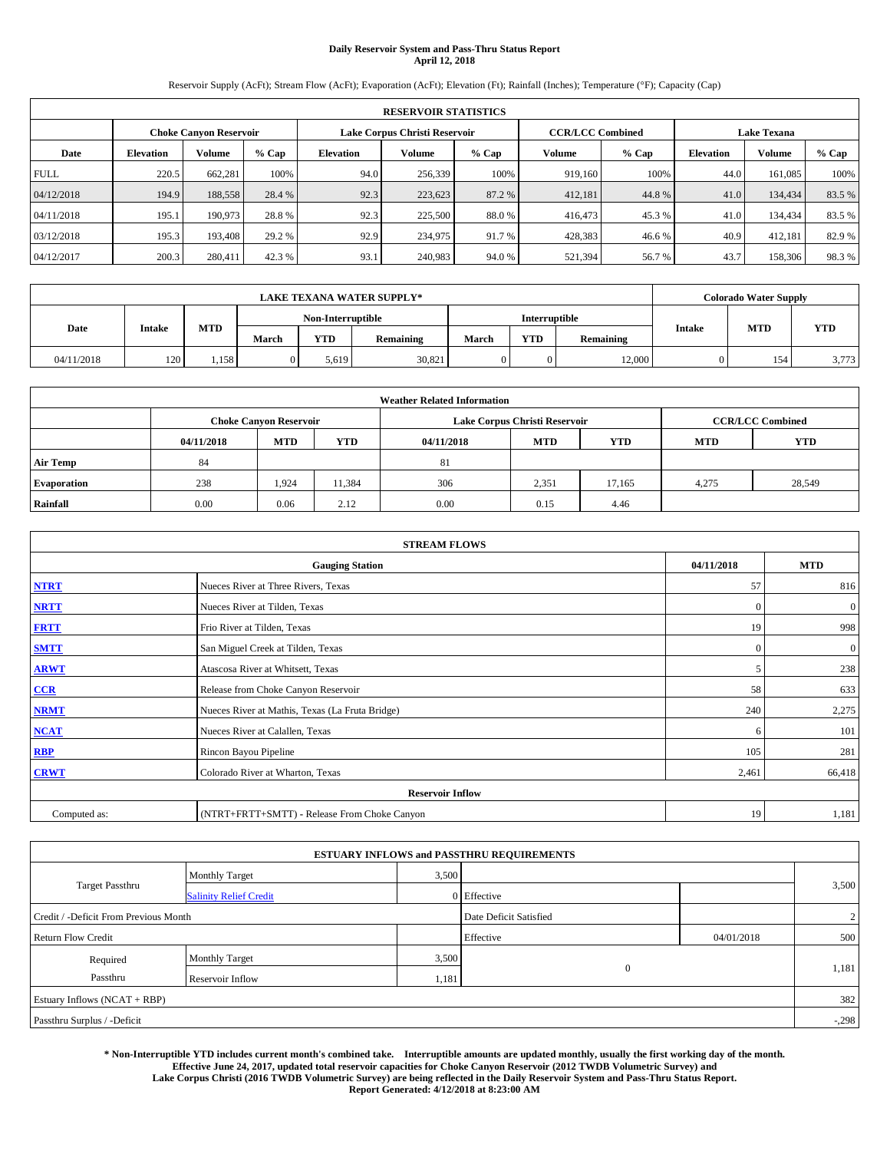# **Daily Reservoir System and Pass-Thru Status Report April 12, 2018**

Reservoir Supply (AcFt); Stream Flow (AcFt); Evaporation (AcFt); Elevation (Ft); Rainfall (Inches); Temperature (°F); Capacity (Cap)

|             | <b>RESERVOIR STATISTICS</b> |                               |        |           |                               |        |                         |         |                    |               |        |  |
|-------------|-----------------------------|-------------------------------|--------|-----------|-------------------------------|--------|-------------------------|---------|--------------------|---------------|--------|--|
|             |                             | <b>Choke Canvon Reservoir</b> |        |           | Lake Corpus Christi Reservoir |        | <b>CCR/LCC Combined</b> |         | <b>Lake Texana</b> |               |        |  |
| Date        | <b>Elevation</b>            | <b>Volume</b>                 | % Cap  | Elevation | Volume                        | % Cap  | Volume                  | $%$ Cap | <b>Elevation</b>   | <b>Volume</b> | % Cap  |  |
| <b>FULL</b> | 220.5                       | 662.281                       | 100%   | 94.0      | 256,339                       | 100%   | 919,160                 | 100%    | 44.0               | 161,085       | 100%   |  |
| 04/12/2018  | 194.9                       | 188,558                       | 28.4 % | 92.3      | 223,623                       | 87.2 % | 412,181                 | 44.8%   | 41.0               | 134,434       | 83.5%  |  |
| 04/11/2018  | 195.1                       | 190,973                       | 28.8%  | 92.3      | 225,500                       | 88.0 % | 416,473                 | 45.3 %  | 41.0               | 134,434       | 83.5 % |  |
| 03/12/2018  | 195.3                       | 193,408                       | 29.2 % | 92.9      | 234,975                       | 91.7 % | 428,383                 | 46.6%   | 40.9               | 412.181       | 82.9 % |  |
| 04/12/2017  | 200.3                       | 280,411                       | 42.3 % | 93.1      | 240,983                       | 94.0 % | 521,394                 | 56.7%   | 43.7               | 158,306       | 98.3%  |  |

| <b>LAKE TEXANA WATER SUPPLY*</b> |               |       |                   |       |                  |               |     | <b>Colorado Water Supply</b> |               |            |       |
|----------------------------------|---------------|-------|-------------------|-------|------------------|---------------|-----|------------------------------|---------------|------------|-------|
|                                  |               |       | Non-Interruptible |       |                  | Interruptible |     |                              |               |            |       |
| Date                             | <b>Intake</b> | MTD   | March             | YTD   | <b>Remaining</b> | March         | YTD | <b>Remaining</b>             | <b>Intake</b> | <b>MTD</b> | YTD   |
| 04/11/2018                       | 120           | 1.158 |                   | 5,619 | 30,821           |               |     | 12,000                       |               | 154        | 3,773 |

| <b>Weather Related Information</b> |            |                               |            |            |                               |                         |            |            |  |  |
|------------------------------------|------------|-------------------------------|------------|------------|-------------------------------|-------------------------|------------|------------|--|--|
|                                    |            | <b>Choke Canvon Reservoir</b> |            |            | Lake Corpus Christi Reservoir | <b>CCR/LCC Combined</b> |            |            |  |  |
|                                    | 04/11/2018 | <b>MTD</b>                    | <b>YTD</b> | 04/11/2018 | <b>MTD</b>                    | <b>YTD</b>              | <b>MTD</b> | <b>YTD</b> |  |  |
| <b>Air Temp</b>                    | 84         |                               |            | 81         |                               |                         |            |            |  |  |
| <b>Evaporation</b>                 | 238        | 1,924                         | 11,384     | 306        | 2,351                         | 17.165                  | 4,275      | 28,549     |  |  |
| Rainfall                           | 0.00       | 0.06                          | 2.12       | 0.00       | 0.15                          | 4.46                    |            |            |  |  |

| <b>STREAM FLOWS</b> |                                                 |              |              |  |  |  |  |  |  |
|---------------------|-------------------------------------------------|--------------|--------------|--|--|--|--|--|--|
|                     | <b>Gauging Station</b>                          |              |              |  |  |  |  |  |  |
| <b>NTRT</b>         | Nueces River at Three Rivers, Texas             | 57           | 816          |  |  |  |  |  |  |
| <b>NRTT</b>         | Nueces River at Tilden, Texas                   | $\mathbf{0}$ | $\mathbf{0}$ |  |  |  |  |  |  |
| <b>FRTT</b>         | Frio River at Tilden, Texas                     | 19           | 998          |  |  |  |  |  |  |
| <b>SMTT</b>         | San Miguel Creek at Tilden, Texas               | $\mathbf{0}$ | $\mathbf{0}$ |  |  |  |  |  |  |
| <b>ARWT</b>         | Atascosa River at Whitsett, Texas               | 5            | 238          |  |  |  |  |  |  |
| $CCR$               | Release from Choke Canyon Reservoir             | 58           | 633          |  |  |  |  |  |  |
| <b>NRMT</b>         | Nueces River at Mathis, Texas (La Fruta Bridge) | 240          | 2,275        |  |  |  |  |  |  |
| <b>NCAT</b>         | Nueces River at Calallen, Texas                 | 6            | 101          |  |  |  |  |  |  |
| RBP                 | Rincon Bayou Pipeline                           | 105          | 281          |  |  |  |  |  |  |
| <b>CRWT</b>         | Colorado River at Wharton, Texas                | 2,461        | 66,418       |  |  |  |  |  |  |
|                     | <b>Reservoir Inflow</b>                         |              |              |  |  |  |  |  |  |
| Computed as:        | (NTRT+FRTT+SMTT) - Release From Choke Canyon    | 19           | 1,181        |  |  |  |  |  |  |

|                                       |                               |       | <b>ESTUARY INFLOWS and PASSTHRU REQUIREMENTS</b> |            |         |
|---------------------------------------|-------------------------------|-------|--------------------------------------------------|------------|---------|
|                                       | <b>Monthly Target</b>         | 3,500 |                                                  |            |         |
| <b>Target Passthru</b>                | <b>Salinity Relief Credit</b> |       | 0 Effective                                      |            | 3,500   |
| Credit / -Deficit From Previous Month |                               |       | Date Deficit Satisfied                           |            | 2       |
| <b>Return Flow Credit</b>             |                               |       | Effective                                        | 04/01/2018 | 500     |
| Required                              | <b>Monthly Target</b>         | 3,500 |                                                  |            |         |
| Passthru                              | Reservoir Inflow              | 1,181 | $\mathbf{0}$                                     |            | 1,181   |
| Estuary Inflows (NCAT + RBP)          |                               |       |                                                  |            | 382     |
| Passthru Surplus / -Deficit           |                               |       |                                                  |            | $-.298$ |

**\* Non-Interruptible YTD includes current month's combined take. Interruptible amounts are updated monthly, usually the first working day of the month. Effective June 24, 2017, updated total reservoir capacities for Choke Canyon Reservoir (2012 TWDB Volumetric Survey) and Lake Corpus Christi (2016 TWDB Volumetric Survey) are being reflected in the Daily Reservoir System and Pass-Thru Status Report. Report Generated: 4/12/2018 at 8:23:00 AM**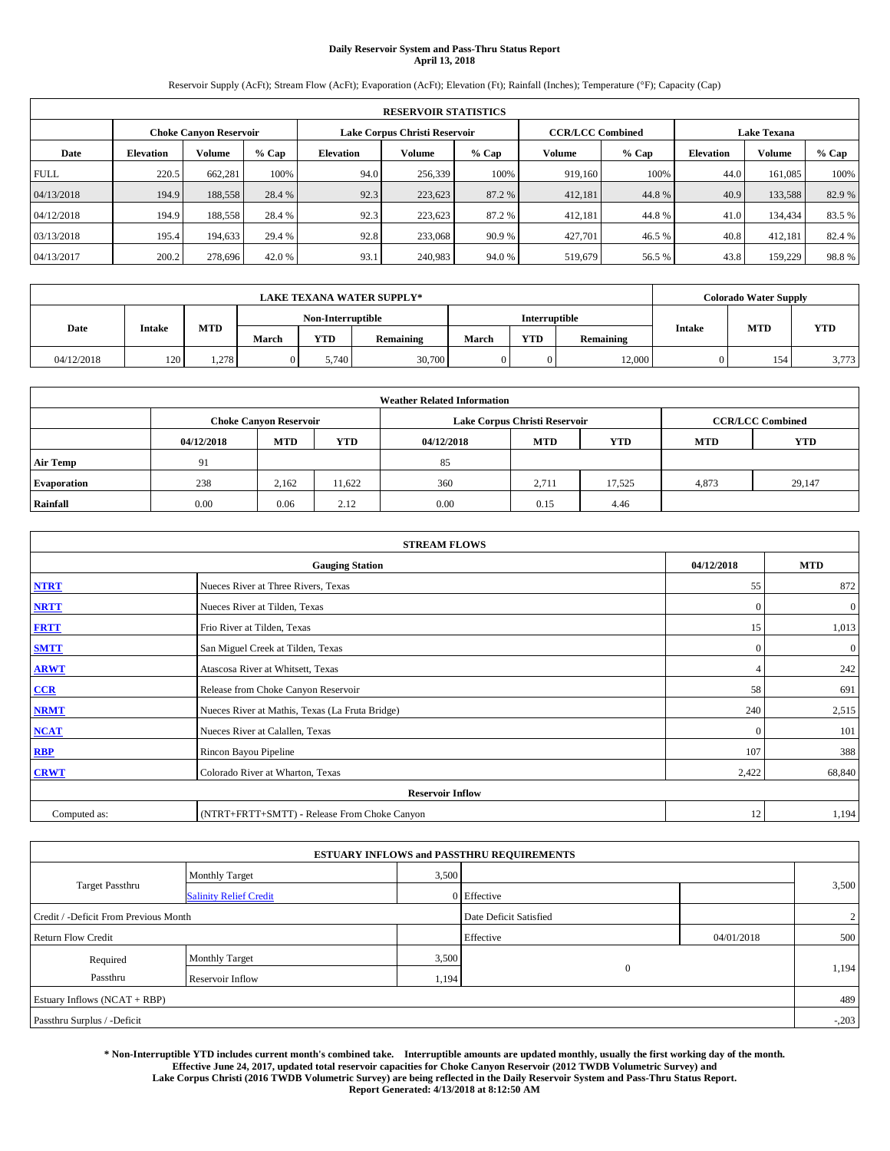# **Daily Reservoir System and Pass-Thru Status Report April 13, 2018**

Reservoir Supply (AcFt); Stream Flow (AcFt); Evaporation (AcFt); Elevation (Ft); Rainfall (Inches); Temperature (°F); Capacity (Cap)

|             | <b>RESERVOIR STATISTICS</b> |                               |        |           |                               |        |                         |         |                  |                    |        |
|-------------|-----------------------------|-------------------------------|--------|-----------|-------------------------------|--------|-------------------------|---------|------------------|--------------------|--------|
|             |                             | <b>Choke Canvon Reservoir</b> |        |           | Lake Corpus Christi Reservoir |        | <b>CCR/LCC Combined</b> |         |                  | <b>Lake Texana</b> |        |
| Date        | <b>Elevation</b>            | <b>Volume</b>                 | % Cap  | Elevation | Volume                        | % Cap  | Volume                  | $%$ Cap | <b>Elevation</b> | Volume             | % Cap  |
| <b>FULL</b> | 220.5                       | 662.281                       | 100%   | 94.0      | 256,339                       | 100%   | 919,160                 | 100%    | 44.0             | 161,085            | 100%   |
| 04/13/2018  | 194.9                       | 188,558                       | 28.4 % | 92.3      | 223,623                       | 87.2 % | 412,181                 | 44.8%   | 40.9             | 133,588            | 82.9%  |
| 04/12/2018  | 194.9                       | 188,558                       | 28.4 % | 92.3      | 223,623                       | 87.2 % | 412,181                 | 44.8%   | 41.0             | 134,434            | 83.5 % |
| 03/13/2018  | 195.4                       | 194,633                       | 29.4 % | 92.8      | 233,068                       | 90.9 % | 427.701                 | 46.5 %  | 40.8             | 412.181            | 82.4 % |
| 04/13/2017  | 200.2                       | 278,696                       | 42.0 % | 93.1      | 240,983                       | 94.0 % | 519,679                 | 56.5 %  | 43.8             | 159,229            | 98.8%  |

|            | <b>LAKE TEXANA WATER SUPPLY*</b> |       |                   |            |           |               |     |           |        | <b>Colorado Water Supply</b> |            |  |
|------------|----------------------------------|-------|-------------------|------------|-----------|---------------|-----|-----------|--------|------------------------------|------------|--|
|            |                                  |       | Non-Interruptible |            |           | Interruptible |     |           |        |                              |            |  |
| Date       | <b>Intake</b>                    | MTD   | March             | <b>YTD</b> | Remaining | March         | YTD | Remaining | Intake | <b>MTD</b>                   | <b>YTD</b> |  |
| 04/12/2018 | 120                              | 1.278 |                   | 5.740      | 30,700    |               | 0   | 12,000    |        | 154                          | 3,773      |  |

| <b>Weather Related Information</b> |            |                                                                                  |        |      |                               |                         |       |        |  |  |
|------------------------------------|------------|----------------------------------------------------------------------------------|--------|------|-------------------------------|-------------------------|-------|--------|--|--|
|                                    |            | <b>Choke Canvon Reservoir</b>                                                    |        |      | Lake Corpus Christi Reservoir | <b>CCR/LCC Combined</b> |       |        |  |  |
|                                    | 04/12/2018 | <b>MTD</b><br><b>YTD</b><br><b>YTD</b><br><b>MTD</b><br><b>MTD</b><br>04/12/2018 |        |      |                               |                         |       |        |  |  |
| <b>Air Temp</b>                    | 91         |                                                                                  |        | 85   |                               |                         |       |        |  |  |
| <b>Evaporation</b>                 | 238        | 2,162                                                                            | 11.622 | 360  | 2,711                         | 17.525                  | 4,873 | 29,147 |  |  |
| Rainfall                           | 0.00       | 0.06                                                                             | 2.12   | 0.00 | 0.15                          | 4.46                    |       |        |  |  |

| <b>STREAM FLOWS</b> |                                                 |              |              |  |  |  |  |  |  |
|---------------------|-------------------------------------------------|--------------|--------------|--|--|--|--|--|--|
|                     | <b>Gauging Station</b>                          | 04/12/2018   | <b>MTD</b>   |  |  |  |  |  |  |
| <b>NTRT</b>         | Nueces River at Three Rivers, Texas             | 55           | 872          |  |  |  |  |  |  |
| <b>NRTT</b>         | Nueces River at Tilden, Texas                   | $\mathbf{0}$ | $\mathbf{0}$ |  |  |  |  |  |  |
| <b>FRTT</b>         | Frio River at Tilden, Texas                     | 15           | 1,013        |  |  |  |  |  |  |
| <b>SMTT</b>         | San Miguel Creek at Tilden, Texas               | $\mathbf{0}$ | $\mathbf{0}$ |  |  |  |  |  |  |
| <b>ARWT</b>         | Atascosa River at Whitsett, Texas               |              | 242          |  |  |  |  |  |  |
| $CCR$               | Release from Choke Canyon Reservoir             | 58           | 691          |  |  |  |  |  |  |
| <b>NRMT</b>         | Nueces River at Mathis, Texas (La Fruta Bridge) | 240          | 2,515        |  |  |  |  |  |  |
| <b>NCAT</b>         | Nueces River at Calallen, Texas                 | $\Omega$     | 101          |  |  |  |  |  |  |
| RBP                 | Rincon Bayou Pipeline                           | 107          | 388          |  |  |  |  |  |  |
| <b>CRWT</b>         | Colorado River at Wharton, Texas                | 2,422        | 68,840       |  |  |  |  |  |  |
|                     | <b>Reservoir Inflow</b>                         |              |              |  |  |  |  |  |  |
| Computed as:        | (NTRT+FRTT+SMTT) - Release From Choke Canyon    |              |              |  |  |  |  |  |  |

|                                       |                               |       | <b>ESTUARY INFLOWS and PASSTHRU REQUIREMENTS</b> |            |         |
|---------------------------------------|-------------------------------|-------|--------------------------------------------------|------------|---------|
|                                       | <b>Monthly Target</b>         | 3,500 |                                                  |            |         |
| <b>Target Passthru</b>                | <b>Salinity Relief Credit</b> |       | 0 Effective                                      |            | 3,500   |
| Credit / -Deficit From Previous Month |                               |       | Date Deficit Satisfied                           |            | 2       |
| <b>Return Flow Credit</b>             |                               |       | Effective                                        | 04/01/2018 | 500     |
| Required                              | <b>Monthly Target</b>         | 3,500 |                                                  |            |         |
| Passthru                              | Reservoir Inflow              | 1,194 | $\mathbf{0}$                                     |            | 1,194   |
| Estuary Inflows (NCAT + RBP)          |                               |       |                                                  |            | 489     |
| Passthru Surplus / -Deficit           |                               |       |                                                  |            | $-.203$ |

**\* Non-Interruptible YTD includes current month's combined take. Interruptible amounts are updated monthly, usually the first working day of the month. Effective June 24, 2017, updated total reservoir capacities for Choke Canyon Reservoir (2012 TWDB Volumetric Survey) and Lake Corpus Christi (2016 TWDB Volumetric Survey) are being reflected in the Daily Reservoir System and Pass-Thru Status Report. Report Generated: 4/13/2018 at 8:12:50 AM**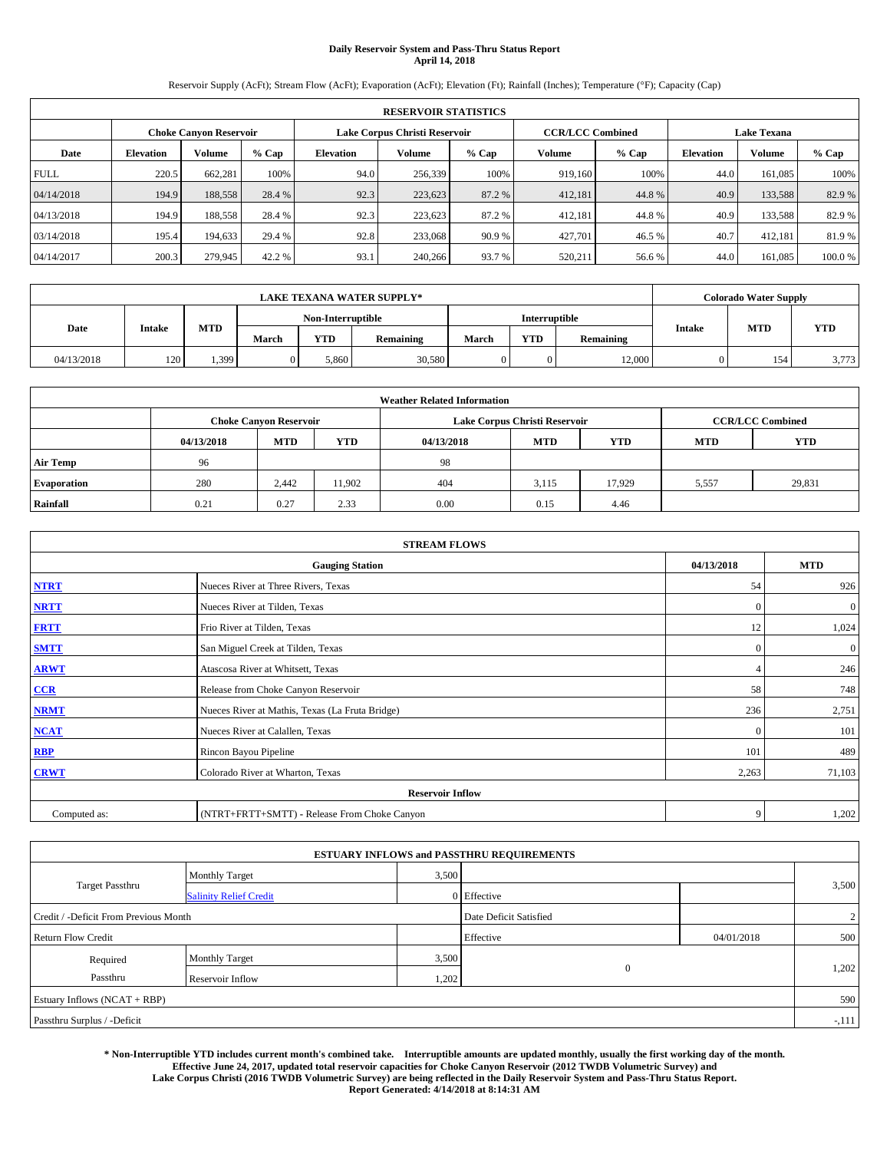# **Daily Reservoir System and Pass-Thru Status Report April 14, 2018**

Reservoir Supply (AcFt); Stream Flow (AcFt); Evaporation (AcFt); Elevation (Ft); Rainfall (Inches); Temperature (°F); Capacity (Cap)

|             | <b>RESERVOIR STATISTICS</b> |                        |         |                                                          |         |         |         |         |                    |               |         |
|-------------|-----------------------------|------------------------|---------|----------------------------------------------------------|---------|---------|---------|---------|--------------------|---------------|---------|
|             |                             | Choke Canvon Reservoir |         | Lake Corpus Christi Reservoir<br><b>CCR/LCC Combined</b> |         |         |         |         | <b>Lake Texana</b> |               |         |
| Date        | <b>Elevation</b>            | Volume                 | $%$ Cap | <b>Elevation</b>                                         | Volume  | $%$ Cap | Volume  | $%$ Cap | <b>Elevation</b>   | <b>Volume</b> | $%$ Cap |
| <b>FULL</b> | 220.5                       | 662,281                | 100%    | 94.0                                                     | 256,339 | 100%    | 919.160 | 100%    | 44.0               | 161.085       | 100%    |
| 04/14/2018  | 194.9                       | 188,558                | 28.4 %  | 92.3                                                     | 223,623 | 87.2 %  | 412,181 | 44.8%   | 40.9               | 133,588       | 82.9%   |
| 04/13/2018  | 194.9                       | 188,558                | 28.4 %  | 92.3                                                     | 223,623 | 87.2 %  | 412,181 | 44.8%   | 40.9               | 133.588       | 82.9%   |
| 03/14/2018  | 195.4                       | 194.633                | 29.4 %  | 92.8                                                     | 233,068 | 90.9%   | 427,701 | 46.5 %  | 40.7               | 412.181       | 81.9%   |
| 04/14/2017  | 200.3                       | 279,945                | 42.2 %  | 93.1                                                     | 240,266 | 93.7%   | 520,211 | 56.6 %  | 44.0               | 161.085       | 100.0%  |

|            | <b>LAKE TEXANA WATER SUPPLY*</b> |       |       |                   |           |       |               |                  |        |            | <b>Colorado Water Supply</b> |
|------------|----------------------------------|-------|-------|-------------------|-----------|-------|---------------|------------------|--------|------------|------------------------------|
|            |                                  |       |       | Non-Interruptible |           |       | Interruptible |                  |        |            |                              |
| Date       | <b>Intake</b>                    | MTD   | March | YTD               | Remaining | March | <b>YTD</b>    | <b>Remaining</b> | Intake | <b>MTD</b> | YTD                          |
| 04/13/2018 | 120                              | 1.399 |       | 5.860             | 30,580    |       |               | 12,000           |        | 154        | 3,773                        |

| <b>Weather Related Information</b> |            |                                                                                  |        |      |                               |                         |       |        |  |  |
|------------------------------------|------------|----------------------------------------------------------------------------------|--------|------|-------------------------------|-------------------------|-------|--------|--|--|
|                                    |            | <b>Choke Canvon Reservoir</b>                                                    |        |      | Lake Corpus Christi Reservoir | <b>CCR/LCC Combined</b> |       |        |  |  |
|                                    | 04/13/2018 | <b>YTD</b><br><b>MTD</b><br><b>MTD</b><br><b>YTD</b><br><b>MTD</b><br>04/13/2018 |        |      |                               |                         |       |        |  |  |
| <b>Air Temp</b>                    | 96         |                                                                                  |        | 98   |                               |                         |       |        |  |  |
| <b>Evaporation</b>                 | 280        | 2.442                                                                            | 11,902 | 404  | 3,115                         | 17.929                  | 5,557 | 29,831 |  |  |
| Rainfall                           | 0.21       | 0.27                                                                             | 2.33   | 0.00 | 0.15                          | 4.46                    |       |        |  |  |

| <b>STREAM FLOWS</b> |                                                 |              |                |  |  |  |  |  |  |
|---------------------|-------------------------------------------------|--------------|----------------|--|--|--|--|--|--|
|                     | <b>Gauging Station</b>                          | 04/13/2018   | <b>MTD</b>     |  |  |  |  |  |  |
| <b>NTRT</b>         | Nueces River at Three Rivers, Texas             | 54           | 926            |  |  |  |  |  |  |
| <b>NRTT</b>         | Nueces River at Tilden, Texas                   | $\mathbf{0}$ | $\mathbf{0}$   |  |  |  |  |  |  |
| <b>FRTT</b>         | Frio River at Tilden, Texas                     | 12           | 1,024          |  |  |  |  |  |  |
| <b>SMTT</b>         | San Miguel Creek at Tilden, Texas               | $\mathbf{0}$ | $\overline{0}$ |  |  |  |  |  |  |
| <b>ARWT</b>         | Atascosa River at Whitsett, Texas               |              | 246            |  |  |  |  |  |  |
| $CCR$               | Release from Choke Canyon Reservoir             | 58           | 748            |  |  |  |  |  |  |
| <b>NRMT</b>         | Nueces River at Mathis, Texas (La Fruta Bridge) | 236          | 2,751          |  |  |  |  |  |  |
| <b>NCAT</b>         | Nueces River at Calallen, Texas                 | $\Omega$     | 101            |  |  |  |  |  |  |
| RBP                 | Rincon Bayou Pipeline                           | 101          | 489            |  |  |  |  |  |  |
| <b>CRWT</b>         | Colorado River at Wharton, Texas                | 2,263        | 71,103         |  |  |  |  |  |  |
|                     | <b>Reservoir Inflow</b>                         |              |                |  |  |  |  |  |  |
| Computed as:        | (NTRT+FRTT+SMTT) - Release From Choke Canyon    |              |                |  |  |  |  |  |  |

|                                       |                               |       | <b>ESTUARY INFLOWS and PASSTHRU REQUIREMENTS</b> |            |         |
|---------------------------------------|-------------------------------|-------|--------------------------------------------------|------------|---------|
|                                       | <b>Monthly Target</b>         | 3,500 |                                                  |            |         |
| <b>Target Passthru</b>                | <b>Salinity Relief Credit</b> |       | 0 Effective                                      |            | 3,500   |
| Credit / -Deficit From Previous Month |                               |       | Date Deficit Satisfied                           |            | 2       |
| <b>Return Flow Credit</b>             |                               |       | Effective                                        | 04/01/2018 | 500     |
| Required                              | <b>Monthly Target</b>         | 3,500 |                                                  |            |         |
| Passthru                              | Reservoir Inflow              | 1,202 | $\mathbf{0}$                                     |            | 1,202   |
| Estuary Inflows (NCAT + RBP)          |                               |       |                                                  |            | 590     |
| Passthru Surplus / -Deficit           |                               |       |                                                  |            | $-.111$ |

**\* Non-Interruptible YTD includes current month's combined take. Interruptible amounts are updated monthly, usually the first working day of the month. Effective June 24, 2017, updated total reservoir capacities for Choke Canyon Reservoir (2012 TWDB Volumetric Survey) and Lake Corpus Christi (2016 TWDB Volumetric Survey) are being reflected in the Daily Reservoir System and Pass-Thru Status Report. Report Generated: 4/14/2018 at 8:14:31 AM**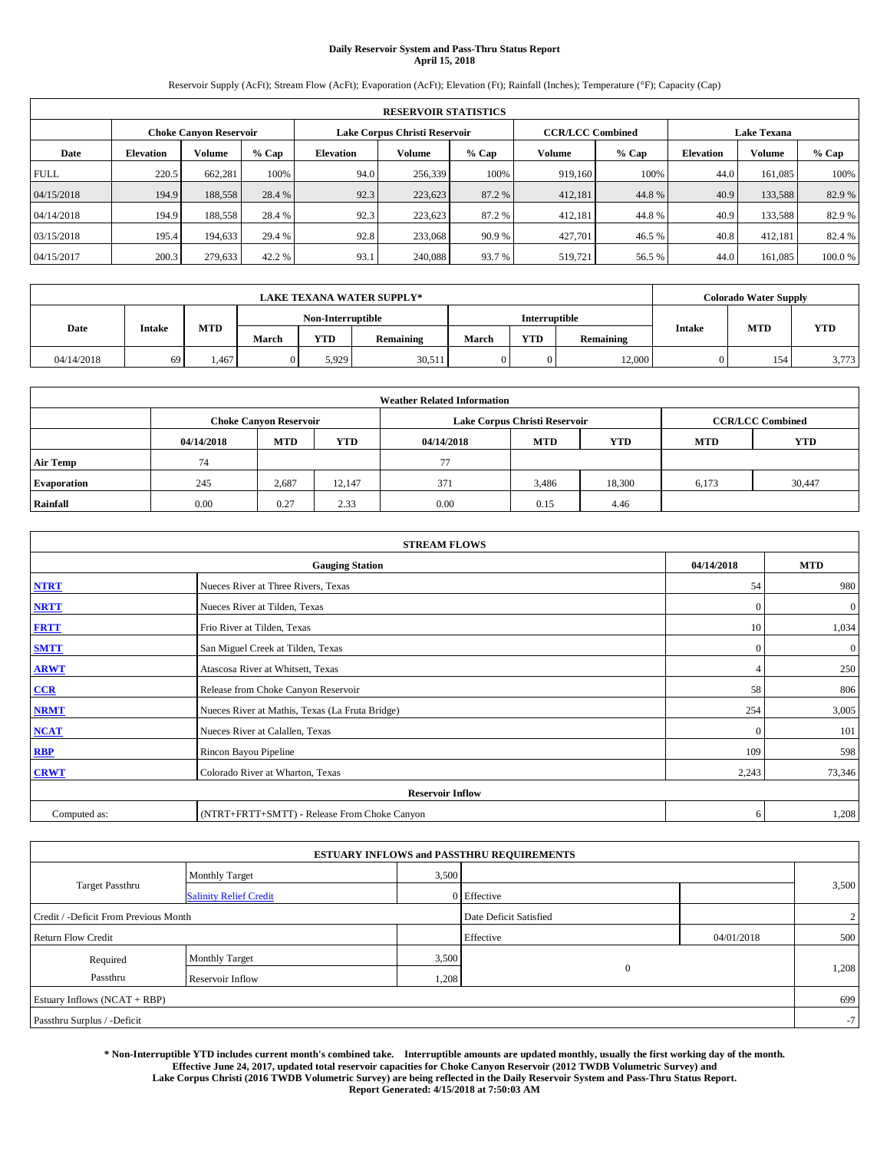# **Daily Reservoir System and Pass-Thru Status Report April 15, 2018**

Reservoir Supply (AcFt); Stream Flow (AcFt); Evaporation (AcFt); Elevation (Ft); Rainfall (Inches); Temperature (°F); Capacity (Cap)

|             | <b>RESERVOIR STATISTICS</b> |                        |         |                  |                                                          |         |         |         |                    |               |         |
|-------------|-----------------------------|------------------------|---------|------------------|----------------------------------------------------------|---------|---------|---------|--------------------|---------------|---------|
|             |                             | Choke Canvon Reservoir |         |                  | Lake Corpus Christi Reservoir<br><b>CCR/LCC Combined</b> |         |         |         | <b>Lake Texana</b> |               |         |
| Date        | <b>Elevation</b>            | Volume                 | $%$ Cap | <b>Elevation</b> | <b>Volume</b>                                            | $%$ Cap | Volume  | $%$ Cap | <b>Elevation</b>   | <b>Volume</b> | $%$ Cap |
| <b>FULL</b> | 220.5                       | 662,281                | 100%    | 94.0             | 256,339                                                  | 100%    | 919.160 | 100%    | 44.0               | 161.085       | 100%    |
| 04/15/2018  | 194.9                       | 188,558                | 28.4 %  | 92.3             | 223,623                                                  | 87.2 %  | 412,181 | 44.8%   | 40.9               | 133,588       | 82.9%   |
| 04/14/2018  | 194.9                       | 188,558                | 28.4 %  | 92.3             | 223,623                                                  | 87.2 %  | 412,181 | 44.8%   | 40.9               | 133.588       | 82.9%   |
| 03/15/2018  | 195.4                       | 194.633                | 29.4 %  | 92.8             | 233,068                                                  | 90.9%   | 427,701 | 46.5 %  | 40.8               | 412.181       | 82.4 %  |
| 04/15/2017  | 200.3                       | 279,633                | 42.2 %  | 93.1             | 240,088                                                  | 93.7%   | 519,721 | 56.5 %  | 44.0               | 161.085       | 100.0%  |

|            | <b>LAKE TEXANA WATER SUPPLY*</b> |       |       |                   |           |       |               |                  |        |            | <b>Colorado Water Supply</b> |  |  |
|------------|----------------------------------|-------|-------|-------------------|-----------|-------|---------------|------------------|--------|------------|------------------------------|--|--|
|            |                                  |       |       | Non-Interruptible |           |       | Interruptible |                  |        |            |                              |  |  |
| Date       | <b>Intake</b>                    | MTD   | March | YTD               | Remaining | March | <b>YTD</b>    | <b>Remaining</b> | Intake | <b>MTD</b> | YTD                          |  |  |
| 04/14/2018 | 69                               | 1.467 |       | 5.929             | 30,511    |       |               | 12,000           |        | 154        | 3,773                        |  |  |

| <b>Weather Related Information</b> |            |                               |            |            |                               |                         |            |            |  |
|------------------------------------|------------|-------------------------------|------------|------------|-------------------------------|-------------------------|------------|------------|--|
|                                    |            | <b>Choke Canvon Reservoir</b> |            |            | Lake Corpus Christi Reservoir | <b>CCR/LCC Combined</b> |            |            |  |
|                                    | 04/14/2018 | <b>MTD</b>                    | <b>YTD</b> | 04/14/2018 | <b>MTD</b>                    | <b>YTD</b>              | <b>MTD</b> | <b>YTD</b> |  |
| <b>Air Temp</b>                    | 74         |                               |            | 77         |                               |                         |            |            |  |
| <b>Evaporation</b>                 | 245        | 2,687                         | 12.147     | 371        | 3,486                         | 18,300                  | 6,173      | 30,447     |  |
| Rainfall                           | 0.00       | 0.27                          | 2.33       | 0.00       | 0.15                          | 4.46                    |            |            |  |

| <b>STREAM FLOWS</b> |                                                 |              |                |  |  |  |  |  |  |
|---------------------|-------------------------------------------------|--------------|----------------|--|--|--|--|--|--|
|                     | 04/14/2018                                      | <b>MTD</b>   |                |  |  |  |  |  |  |
| <b>NTRT</b>         | Nueces River at Three Rivers, Texas             | 54           | 980            |  |  |  |  |  |  |
| <b>NRTT</b>         | Nueces River at Tilden, Texas                   | $\mathbf{0}$ | $\mathbf{0}$   |  |  |  |  |  |  |
| <b>FRTT</b>         | Frio River at Tilden, Texas                     | 10           | 1,034          |  |  |  |  |  |  |
| <b>SMTT</b>         | San Miguel Creek at Tilden, Texas               | $\mathbf{0}$ | $\overline{0}$ |  |  |  |  |  |  |
| <b>ARWT</b>         | Atascosa River at Whitsett, Texas               |              | 250            |  |  |  |  |  |  |
| $CCR$               | Release from Choke Canyon Reservoir             | 58           | 806            |  |  |  |  |  |  |
| <b>NRMT</b>         | Nueces River at Mathis, Texas (La Fruta Bridge) | 254          | 3,005          |  |  |  |  |  |  |
| <b>NCAT</b>         | Nueces River at Calallen, Texas                 | $\Omega$     | 101            |  |  |  |  |  |  |
| RBP                 | Rincon Bayou Pipeline                           | 109          | 598            |  |  |  |  |  |  |
| <b>CRWT</b>         | Colorado River at Wharton, Texas                | 2,243        | 73,346         |  |  |  |  |  |  |
|                     | <b>Reservoir Inflow</b>                         |              |                |  |  |  |  |  |  |
| Computed as:        | (NTRT+FRTT+SMTT) - Release From Choke Canyon    | 6            | 1,208          |  |  |  |  |  |  |

|                                       |                               |       | <b>ESTUARY INFLOWS and PASSTHRU REQUIREMENTS</b> |            |       |
|---------------------------------------|-------------------------------|-------|--------------------------------------------------|------------|-------|
|                                       | <b>Monthly Target</b>         | 3,500 |                                                  |            |       |
| Target Passthru                       | <b>Salinity Relief Credit</b> |       | $0$ Effective                                    |            | 3,500 |
| Credit / -Deficit From Previous Month |                               |       | Date Deficit Satisfied                           |            | 2     |
| <b>Return Flow Credit</b>             |                               |       | Effective                                        | 04/01/2018 | 500   |
| Required                              | <b>Monthly Target</b>         | 3,500 |                                                  |            |       |
| Passthru                              | <b>Reservoir Inflow</b>       | 1,208 | $\mathbf{0}$                                     |            | 1,208 |
| Estuary Inflows (NCAT + RBP)          |                               |       |                                                  |            | 699   |
| Passthru Surplus / -Deficit           |                               |       |                                                  |            | $-7$  |

**\* Non-Interruptible YTD includes current month's combined take. Interruptible amounts are updated monthly, usually the first working day of the month. Effective June 24, 2017, updated total reservoir capacities for Choke Canyon Reservoir (2012 TWDB Volumetric Survey) and Lake Corpus Christi (2016 TWDB Volumetric Survey) are being reflected in the Daily Reservoir System and Pass-Thru Status Report. Report Generated: 4/15/2018 at 7:50:03 AM**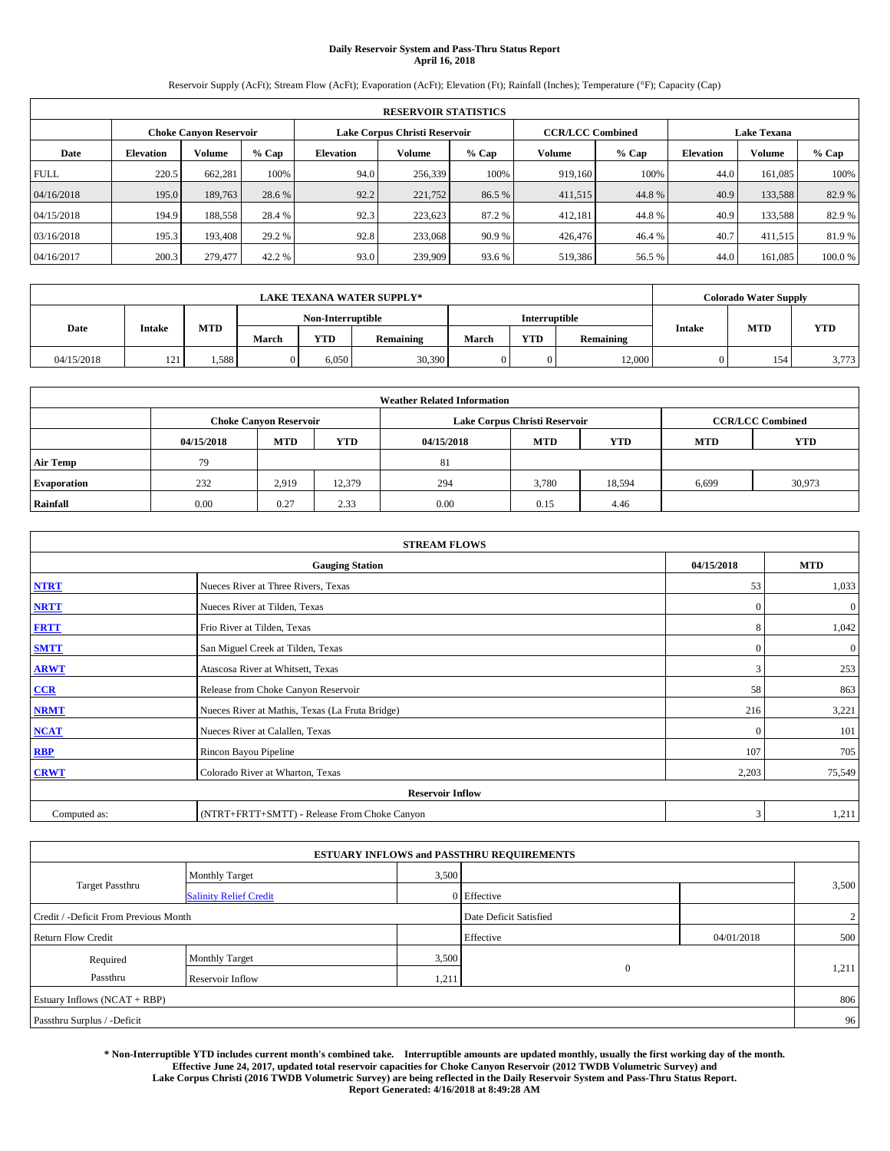# **Daily Reservoir System and Pass-Thru Status Report April 16, 2018**

Reservoir Supply (AcFt); Stream Flow (AcFt); Evaporation (AcFt); Elevation (Ft); Rainfall (Inches); Temperature (°F); Capacity (Cap)

|             | <b>RESERVOIR STATISTICS</b> |                        |         |                  |                               |         |                         |         |                  |                    |        |  |
|-------------|-----------------------------|------------------------|---------|------------------|-------------------------------|---------|-------------------------|---------|------------------|--------------------|--------|--|
|             |                             | Choke Canvon Reservoir |         |                  | Lake Corpus Christi Reservoir |         | <b>CCR/LCC Combined</b> |         |                  | <b>Lake Texana</b> |        |  |
| Date        | <b>Elevation</b>            | Volume                 | $%$ Cap | <b>Elevation</b> | Volume                        | $%$ Cap | Volume                  | $%$ Cap | <b>Elevation</b> | <b>Volume</b>      | % Cap  |  |
| <b>FULL</b> | 220.5                       | 662,281                | 100%    | 94.0             | 256,339                       | 100%    | 919.160                 | 100%    | 44.0             | 161.085            | 100%   |  |
| 04/16/2018  | 195.0                       | 189,763                | 28.6 %  | 92.2             | 221,752                       | 86.5 %  | 411,515                 | 44.8%   | 40.9             | 133,588            | 82.9%  |  |
| 04/15/2018  | 194.9                       | 188,558                | 28.4 %  | 92.3             | 223,623                       | 87.2 %  | 412,181                 | 44.8%   | 40.9             | 133,588            | 82.9 % |  |
| 03/16/2018  | 195.3                       | 193.408                | 29.2 %  | 92.8             | 233,068                       | 90.9 %  | 426,476                 | 46.4 %  | 40.7             | 411,515            | 81.9 % |  |
| 04/16/2017  | 200.3                       | 279,477                | 42.2 %  | 93.0             | 239,909                       | 93.6 %  | 519,386                 | 56.5 %  | 44.0             | 161.085            | 100.0% |  |

| <b>LAKE TEXANA WATER SUPPLY*</b> |               |            |       |                   |           |       |                      |           |        | <b>Colorado Water Supply</b> |            |
|----------------------------------|---------------|------------|-------|-------------------|-----------|-------|----------------------|-----------|--------|------------------------------|------------|
|                                  |               |            |       | Non-Interruptible |           |       | <b>Interruptible</b> |           |        |                              |            |
| Date                             | <b>Intake</b> | <b>MTD</b> | March | <b>YTD</b>        | Remaining | March | <b>YTD</b>           | Remaining | Intake | <b>MTD</b>                   | <b>YTD</b> |
| 04/15/2018                       | 121<br>--     | 1,588      |       | 6.050             | 30,390    |       | 0                    | 12,000    |        | 154                          | 3,773      |

| <b>Weather Related Information</b> |            |                               |            |            |                               |                         |            |            |  |
|------------------------------------|------------|-------------------------------|------------|------------|-------------------------------|-------------------------|------------|------------|--|
|                                    |            | <b>Choke Canvon Reservoir</b> |            |            | Lake Corpus Christi Reservoir | <b>CCR/LCC Combined</b> |            |            |  |
|                                    | 04/15/2018 | <b>MTD</b>                    | <b>YTD</b> | 04/15/2018 | <b>MTD</b>                    | <b>YTD</b>              | <b>MTD</b> | <b>YTD</b> |  |
| <b>Air Temp</b>                    | 79         |                               |            | 81         |                               |                         |            |            |  |
| <b>Evaporation</b>                 | 232        | 2,919                         | 12,379     | 294        | 3,780                         | 18,594                  | 6,699      | 30,973     |  |
| Rainfall                           | 0.00       | 0.27                          | 2.33       | 0.00       | 0.15                          | 4.46                    |            |            |  |

| <b>STREAM FLOWS</b>     |                                                 |              |              |  |  |  |  |  |
|-------------------------|-------------------------------------------------|--------------|--------------|--|--|--|--|--|
|                         | 04/15/2018                                      | <b>MTD</b>   |              |  |  |  |  |  |
| <b>NTRT</b>             | Nueces River at Three Rivers, Texas             | 53           | 1,033        |  |  |  |  |  |
| <b>NRTT</b>             | Nueces River at Tilden, Texas                   | $\Omega$     | $\mathbf{0}$ |  |  |  |  |  |
| <b>FRTT</b>             | Frio River at Tilden, Texas                     | 8            | 1,042        |  |  |  |  |  |
| <b>SMTT</b>             | San Miguel Creek at Tilden, Texas               | $\mathbf{0}$ | $\mathbf{0}$ |  |  |  |  |  |
| <b>ARWT</b>             | Atascosa River at Whitsett, Texas               | 3            | 253          |  |  |  |  |  |
| CCR                     | Release from Choke Canyon Reservoir             | 58           | 863          |  |  |  |  |  |
| <b>NRMT</b>             | Nueces River at Mathis, Texas (La Fruta Bridge) | 216          | 3,221        |  |  |  |  |  |
| <b>NCAT</b>             | Nueces River at Calallen, Texas                 | $\Omega$     | 101          |  |  |  |  |  |
| RBP                     | Rincon Bayou Pipeline                           | 107          | 705          |  |  |  |  |  |
| <b>CRWT</b>             | Colorado River at Wharton, Texas                | 2,203        | 75,549       |  |  |  |  |  |
| <b>Reservoir Inflow</b> |                                                 |              |              |  |  |  |  |  |
| Computed as:            | (NTRT+FRTT+SMTT) - Release From Choke Canyon    | 3            | 1,211        |  |  |  |  |  |

|                                       |                               |       | <b>ESTUARY INFLOWS and PASSTHRU REQUIREMENTS</b> |            |                |
|---------------------------------------|-------------------------------|-------|--------------------------------------------------|------------|----------------|
|                                       | <b>Monthly Target</b>         | 3,500 |                                                  |            |                |
| <b>Target Passthru</b>                | <b>Salinity Relief Credit</b> |       | $0$ Effective                                    |            | 3,500          |
| Credit / -Deficit From Previous Month |                               |       | Date Deficit Satisfied                           |            | $\overline{2}$ |
| <b>Return Flow Credit</b>             |                               |       | Effective                                        | 04/01/2018 | 500            |
| Required                              | <b>Monthly Target</b>         | 3,500 |                                                  |            |                |
| Passthru                              | Reservoir Inflow              | 1,211 | $\mathbf{0}$                                     |            | 1,211          |
| Estuary Inflows (NCAT + RBP)          |                               |       |                                                  |            | 806            |
| Passthru Surplus / -Deficit           |                               |       |                                                  |            | 96             |

**\* Non-Interruptible YTD includes current month's combined take. Interruptible amounts are updated monthly, usually the first working day of the month. Effective June 24, 2017, updated total reservoir capacities for Choke Canyon Reservoir (2012 TWDB Volumetric Survey) and Lake Corpus Christi (2016 TWDB Volumetric Survey) are being reflected in the Daily Reservoir System and Pass-Thru Status Report. Report Generated: 4/16/2018 at 8:49:28 AM**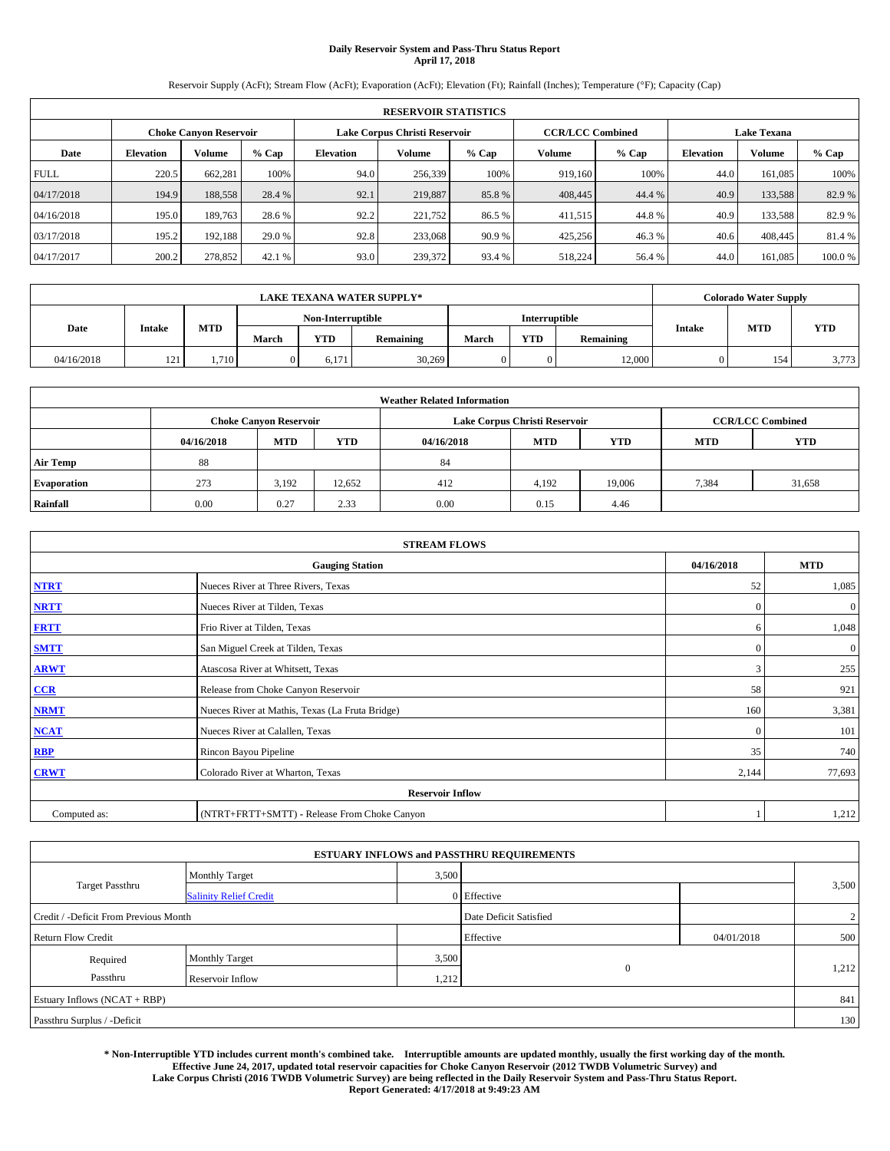# **Daily Reservoir System and Pass-Thru Status Report April 17, 2018**

Reservoir Supply (AcFt); Stream Flow (AcFt); Evaporation (AcFt); Elevation (Ft); Rainfall (Inches); Temperature (°F); Capacity (Cap)

|             | <b>RESERVOIR STATISTICS</b> |                        |         |                  |                               |         |                         |         |                  |                    |         |  |
|-------------|-----------------------------|------------------------|---------|------------------|-------------------------------|---------|-------------------------|---------|------------------|--------------------|---------|--|
|             |                             | Choke Canvon Reservoir |         |                  | Lake Corpus Christi Reservoir |         | <b>CCR/LCC Combined</b> |         |                  | <b>Lake Texana</b> |         |  |
| Date        | <b>Elevation</b>            | Volume                 | $%$ Cap | <b>Elevation</b> | Volume                        | $%$ Cap | Volume                  | $%$ Cap | <b>Elevation</b> | <b>Volume</b>      | $%$ Cap |  |
| <b>FULL</b> | 220.5                       | 662,281                | 100%    | 94.0             | 256,339                       | 100%    | 919.160                 | 100%    | 44.0             | 161.085            | 100%    |  |
| 04/17/2018  | 194.9                       | 188,558                | 28.4 %  | 92.1             | 219,887                       | 85.8%   | 408,445                 | 44.4 %  | 40.9             | 133,588            | 82.9%   |  |
| 04/16/2018  | 195.0                       | 189.763                | 28.6 %  | 92.2             | 221,752                       | 86.5 %  | 411,515                 | 44.8%   | 40.9             | 133.588            | 82.9%   |  |
| 03/17/2018  | 195.2                       | 192.188                | 29.0 %  | 92.8             | 233,068                       | 90.9 %  | 425,256                 | 46.3 %  | 40.6             | 408,445            | 81.4 %  |  |
| 04/17/2017  | 200.2                       | 278,852                | 42.1 %  | 93.0             | 239,372                       | 93.4 %  | 518,224                 | 56.4 %  | 44.0             | 161.085            | 100.0%  |  |

| <b>LAKE TEXANA WATER SUPPLY*</b> |               |       |       |                   |           |       |               |                  |        | <b>Colorado Water Supply</b> |       |
|----------------------------------|---------------|-------|-------|-------------------|-----------|-------|---------------|------------------|--------|------------------------------|-------|
|                                  |               |       |       | Non-Interruptible |           |       | Interruptible |                  |        |                              |       |
| Date                             | <b>Intake</b> | MTD   | March | YTD               | Remaining | March | <b>YTD</b>    | <b>Remaining</b> | Intake | <b>MTD</b>                   | YTD   |
| 04/16/2018                       | 121           | 1.710 |       | 6.171             | 30,269    |       |               | 12,000           |        | 154                          | 3,773 |

| <b>Weather Related Information</b> |            |                               |            |            |                               |                         |       |        |  |
|------------------------------------|------------|-------------------------------|------------|------------|-------------------------------|-------------------------|-------|--------|--|
|                                    |            | <b>Choke Canvon Reservoir</b> |            |            | Lake Corpus Christi Reservoir | <b>CCR/LCC Combined</b> |       |        |  |
|                                    | 04/16/2018 | <b>MTD</b>                    | <b>YTD</b> | 04/16/2018 | <b>MTD</b>                    | <b>YTD</b>              |       |        |  |
| <b>Air Temp</b>                    | 88         |                               |            | 84         |                               |                         |       |        |  |
| <b>Evaporation</b>                 | 273        | 3,192                         | 12,652     | 412        | 4,192                         | 19,006                  | 7,384 | 31,658 |  |
| Rainfall                           | 0.00       | 0.27                          | 2.33       | 0.00       | 0.15                          | 4.46                    |       |        |  |

| <b>STREAM FLOWS</b> |                                                 |              |              |  |  |  |  |  |
|---------------------|-------------------------------------------------|--------------|--------------|--|--|--|--|--|
|                     | 04/16/2018                                      | <b>MTD</b>   |              |  |  |  |  |  |
| <b>NTRT</b>         | Nueces River at Three Rivers, Texas             | 52           | 1,085        |  |  |  |  |  |
| <b>NRTT</b>         | Nueces River at Tilden, Texas                   | $\Omega$     | $\mathbf{0}$ |  |  |  |  |  |
| <b>FRTT</b>         | Frio River at Tilden, Texas                     | 6            | 1,048        |  |  |  |  |  |
| <b>SMTT</b>         | San Miguel Creek at Tilden, Texas               | $\mathbf{0}$ | $\mathbf{0}$ |  |  |  |  |  |
| <b>ARWT</b>         | Atascosa River at Whitsett, Texas               | 3            | 255          |  |  |  |  |  |
| CCR                 | Release from Choke Canyon Reservoir             | 58           | 921          |  |  |  |  |  |
| <b>NRMT</b>         | Nueces River at Mathis, Texas (La Fruta Bridge) | 160          | 3,381        |  |  |  |  |  |
| <b>NCAT</b>         | Nueces River at Calallen, Texas                 | $\theta$     | 101          |  |  |  |  |  |
| RBP                 | Rincon Bayou Pipeline                           | 35           | 740          |  |  |  |  |  |
| <b>CRWT</b>         | Colorado River at Wharton, Texas                | 2,144        | 77,693       |  |  |  |  |  |
|                     |                                                 |              |              |  |  |  |  |  |
| Computed as:        | (NTRT+FRTT+SMTT) - Release From Choke Canyon    |              | 1,212        |  |  |  |  |  |

| <b>ESTUARY INFLOWS and PASSTHRU REQUIREMENTS</b> |                               |       |                        |            |                |  |  |  |  |  |
|--------------------------------------------------|-------------------------------|-------|------------------------|------------|----------------|--|--|--|--|--|
|                                                  | <b>Monthly Target</b>         | 3,500 |                        |            |                |  |  |  |  |  |
| <b>Target Passthru</b>                           | <b>Salinity Relief Credit</b> |       | $0$ Effective          |            | 3,500          |  |  |  |  |  |
| Credit / -Deficit From Previous Month            |                               |       | Date Deficit Satisfied |            | $\overline{2}$ |  |  |  |  |  |
| <b>Return Flow Credit</b>                        |                               |       | Effective              | 04/01/2018 | 500            |  |  |  |  |  |
| Required                                         | <b>Monthly Target</b>         | 3,500 |                        |            |                |  |  |  |  |  |
| Passthru                                         | Reservoir Inflow              | 1,212 | $\mathbf{0}$           |            | 1,212          |  |  |  |  |  |
| Estuary Inflows (NCAT + RBP)                     |                               |       |                        |            |                |  |  |  |  |  |
| Passthru Surplus / -Deficit                      |                               |       |                        |            | 130            |  |  |  |  |  |

**\* Non-Interruptible YTD includes current month's combined take. Interruptible amounts are updated monthly, usually the first working day of the month. Effective June 24, 2017, updated total reservoir capacities for Choke Canyon Reservoir (2012 TWDB Volumetric Survey) and Lake Corpus Christi (2016 TWDB Volumetric Survey) are being reflected in the Daily Reservoir System and Pass-Thru Status Report. Report Generated: 4/17/2018 at 9:49:23 AM**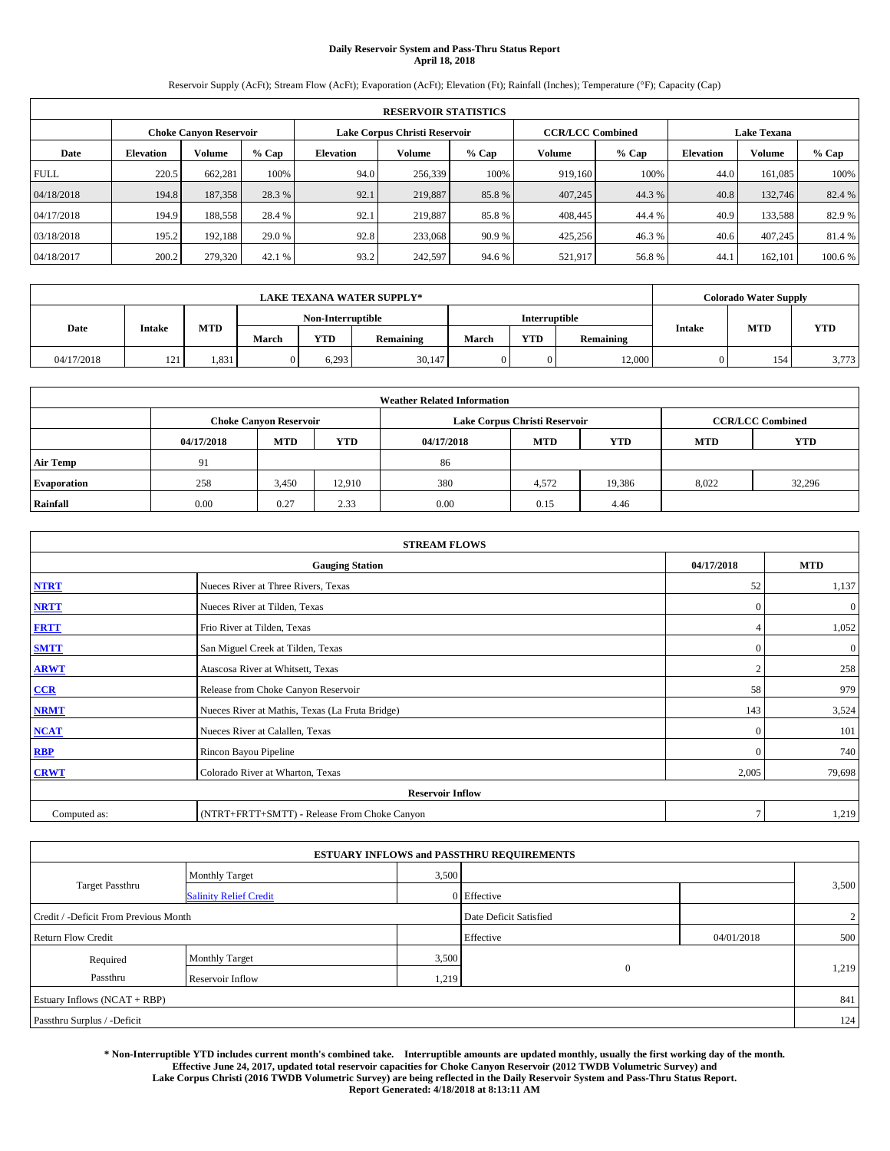# **Daily Reservoir System and Pass-Thru Status Report April 18, 2018**

Reservoir Supply (AcFt); Stream Flow (AcFt); Evaporation (AcFt); Elevation (Ft); Rainfall (Inches); Temperature (°F); Capacity (Cap)

|                                                         | <b>RESERVOIR STATISTICS</b> |         |         |                  |         |         |                         |         |                  |                    |         |
|---------------------------------------------------------|-----------------------------|---------|---------|------------------|---------|---------|-------------------------|---------|------------------|--------------------|---------|
| Lake Corpus Christi Reservoir<br>Choke Canvon Reservoir |                             |         |         |                  |         |         | <b>CCR/LCC Combined</b> |         |                  | <b>Lake Texana</b> |         |
| Date                                                    | <b>Elevation</b>            | Volume  | $%$ Cap | <b>Elevation</b> | Volume  | $%$ Cap | Volume                  | $%$ Cap | <b>Elevation</b> | <b>Volume</b>      | % Cap   |
| <b>FULL</b>                                             | 220.5                       | 662,281 | 100%    | 94.0             | 256,339 | 100%    | 919.160                 | 100%    | 44.0             | 161.085            | 100%    |
| 04/18/2018                                              | 194.8                       | 187,358 | 28.3 %  | 92.1             | 219,887 | 85.8%   | 407,245                 | 44.3 %  | 40.8             | 132,746            | 82.4 %  |
| 04/17/2018                                              | 194.9                       | 188,558 | 28.4 %  | 92.1             | 219,887 | 85.8%   | 408,445                 | 44.4 %  | 40.9             | 133,588            | 82.9 %  |
| 03/18/2018                                              | 195.2                       | 192.188 | 29.0 %  | 92.8             | 233,068 | 90.9 %  | 425,256                 | 46.3%   | 40.6             | 407,245            | 81.4 %  |
| 04/18/2017                                              | 200.2                       | 279,320 | 42.1 %  | 93.2             | 242,597 | 94.6 %  | 521,917                 | 56.8%   | 44.              | 162,101            | 100.6 % |

|            |               |            |                   |            | <b>LAKE TEXANA WATER SUPPLY*</b> |       |                      |           |        | <b>Colorado Water Supply</b> |            |
|------------|---------------|------------|-------------------|------------|----------------------------------|-------|----------------------|-----------|--------|------------------------------|------------|
|            |               |            | Non-Interruptible |            |                                  |       | <b>Interruptible</b> |           |        |                              |            |
| Date       | <b>Intake</b> | <b>MTD</b> | March             | <b>YTD</b> | Remaining                        | March | <b>YTD</b>           | Remaining | Intake | <b>MTD</b>                   | <b>YTD</b> |
| 04/17/2018 | 121<br>--     | 1,831      |                   | 6.293      | 30,147                           |       | 0                    | 12,000    |        | 154                          | 3,773      |

| <b>Weather Related Information</b> |            |                                                                                  |        |      |                               |        |       |                         |  |  |
|------------------------------------|------------|----------------------------------------------------------------------------------|--------|------|-------------------------------|--------|-------|-------------------------|--|--|
|                                    |            | <b>Choke Canvon Reservoir</b>                                                    |        |      | Lake Corpus Christi Reservoir |        |       | <b>CCR/LCC Combined</b> |  |  |
|                                    | 04/17/2018 | <b>YTD</b><br><b>MTD</b><br><b>MTD</b><br><b>YTD</b><br><b>MTD</b><br>04/17/2018 |        |      |                               |        |       |                         |  |  |
| <b>Air Temp</b>                    | 91         |                                                                                  |        | 86   |                               |        |       |                         |  |  |
| <b>Evaporation</b>                 | 258        | 3,450                                                                            | 12.910 | 380  | 4,572                         | 19,386 | 8,022 | 32,296                  |  |  |
| Rainfall                           | 0.00       | 0.27                                                                             | 2.33   | 0.00 | 0.15                          | 4.46   |       |                         |  |  |

| <b>STREAM FLOWS</b> |                                                 |              |              |  |  |  |  |  |  |
|---------------------|-------------------------------------------------|--------------|--------------|--|--|--|--|--|--|
|                     | <b>Gauging Station</b>                          | 04/17/2018   | <b>MTD</b>   |  |  |  |  |  |  |
| <b>NTRT</b>         | Nueces River at Three Rivers, Texas             | 52           | 1,137        |  |  |  |  |  |  |
| <b>NRTT</b>         | Nueces River at Tilden, Texas                   | $\Omega$     | $\mathbf{0}$ |  |  |  |  |  |  |
| <b>FRTT</b>         | Frio River at Tilden, Texas                     |              | 1,052        |  |  |  |  |  |  |
| <b>SMTT</b>         | San Miguel Creek at Tilden, Texas               | $\mathbf{0}$ | $\mathbf{0}$ |  |  |  |  |  |  |
| <b>ARWT</b>         | Atascosa River at Whitsett, Texas               | $\bigcap$    | 258          |  |  |  |  |  |  |
| CCR                 | Release from Choke Canyon Reservoir             | 58           | 979          |  |  |  |  |  |  |
| <b>NRMT</b>         | Nueces River at Mathis, Texas (La Fruta Bridge) | 143          | 3,524        |  |  |  |  |  |  |
| <b>NCAT</b>         | Nueces River at Calallen, Texas                 | $\theta$     | 101          |  |  |  |  |  |  |
| RBP                 | Rincon Bayou Pipeline                           | $\mathbf{0}$ | 740          |  |  |  |  |  |  |
| <b>CRWT</b>         | Colorado River at Wharton, Texas                | 2,005        | 79,698       |  |  |  |  |  |  |
|                     | <b>Reservoir Inflow</b>                         |              |              |  |  |  |  |  |  |
| Computed as:        | (NTRT+FRTT+SMTT) - Release From Choke Canyon    | $\tau$       | 1,219        |  |  |  |  |  |  |

| <b>ESTUARY INFLOWS and PASSTHRU REQUIREMENTS</b> |                               |       |                        |            |                |  |  |  |  |  |
|--------------------------------------------------|-------------------------------|-------|------------------------|------------|----------------|--|--|--|--|--|
|                                                  | <b>Monthly Target</b>         | 3,500 |                        |            |                |  |  |  |  |  |
| <b>Target Passthru</b>                           | <b>Salinity Relief Credit</b> |       | 0 Effective            |            | 3,500          |  |  |  |  |  |
| Credit / -Deficit From Previous Month            |                               |       | Date Deficit Satisfied |            | $\overline{2}$ |  |  |  |  |  |
| <b>Return Flow Credit</b>                        |                               |       | Effective              | 04/01/2018 | 500            |  |  |  |  |  |
| Required                                         | <b>Monthly Target</b>         | 3,500 |                        |            |                |  |  |  |  |  |
| Passthru                                         | Reservoir Inflow              | 1,219 | $\theta$               |            | 1,219          |  |  |  |  |  |
| Estuary Inflows (NCAT + RBP)                     |                               |       |                        |            | 841            |  |  |  |  |  |
| Passthru Surplus / -Deficit                      |                               |       |                        |            | 124            |  |  |  |  |  |

**\* Non-Interruptible YTD includes current month's combined take. Interruptible amounts are updated monthly, usually the first working day of the month. Effective June 24, 2017, updated total reservoir capacities for Choke Canyon Reservoir (2012 TWDB Volumetric Survey) and Lake Corpus Christi (2016 TWDB Volumetric Survey) are being reflected in the Daily Reservoir System and Pass-Thru Status Report. Report Generated: 4/18/2018 at 8:13:11 AM**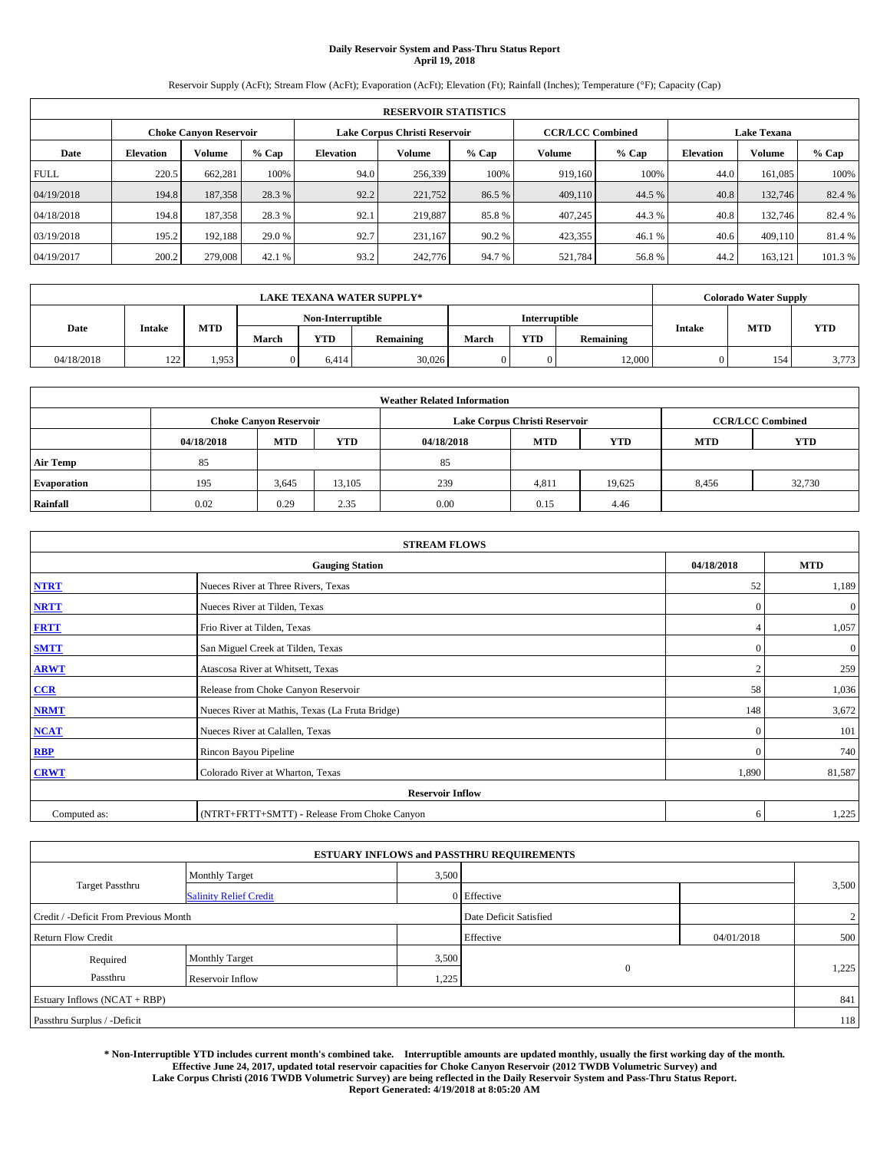# **Daily Reservoir System and Pass-Thru Status Report April 19, 2018**

Reservoir Supply (AcFt); Stream Flow (AcFt); Evaporation (AcFt); Elevation (Ft); Rainfall (Inches); Temperature (°F); Capacity (Cap)

|                               | <b>RESERVOIR STATISTICS</b> |         |         |           |                               |         |                         |         |                  |                    |         |
|-------------------------------|-----------------------------|---------|---------|-----------|-------------------------------|---------|-------------------------|---------|------------------|--------------------|---------|
| <b>Choke Canyon Reservoir</b> |                             |         |         |           | Lake Corpus Christi Reservoir |         | <b>CCR/LCC Combined</b> |         |                  | <b>Lake Texana</b> |         |
| Date                          | <b>Elevation</b>            | Volume  | $%$ Cap | Elevation | Volume                        | $%$ Cap | Volume                  | $%$ Cap | <b>Elevation</b> | <b>Volume</b>      | % Cap   |
| <b>FULL</b>                   | 220.5                       | 662,281 | 100%    | 94.0      | 256,339                       | 100%    | 919.160                 | 100%    | 44.0             | 161.085            | 100%    |
| 04/19/2018                    | 194.8                       | 187,358 | 28.3 %  | 92.2      | 221,752                       | 86.5 %  | 409,110                 | 44.5 %  | 40.8             | 132,746            | 82.4 %  |
| 04/18/2018                    | 194.8                       | 187,358 | 28.3 %  | 92.1      | 219,887                       | 85.8%   | 407,245                 | 44.3%   | 40.8             | 132,746            | 82.4 %  |
| 03/19/2018                    | 195.2                       | 192,188 | 29.0 %  | 92.7      | 231.167                       | 90.2%   | 423,355                 | 46.1%   | 40.6             | 409,110            | 81.4 %  |
| 04/19/2017                    | 200.2                       | 279,008 | 42.1 %  | 93.2      | 242,776                       | 94.7%   | 521,784                 | 56.8%   | 44.2             | 163,121            | 101.3 % |

|            |               |       |       |            | <b>LAKE TEXANA WATER SUPPLY*</b> |       |                      |           |               | <b>Colorado Water Supply</b> |       |
|------------|---------------|-------|-------|------------|----------------------------------|-------|----------------------|-----------|---------------|------------------------------|-------|
|            |               |       |       |            | Non-Interruptible                |       | <b>Interruptible</b> |           |               |                              |       |
| Date       | <b>Intake</b> | MTD   | March | <b>YTD</b> | Remaining                        | March | YTD                  | Remaining | <b>Intake</b> | <b>MTD</b>                   | YTD   |
| 04/18/2018 | 122<br>---    | 1.953 |       | 6.414      | 30,026                           |       |                      | 12,000    |               | 154                          | 3,773 |

| <b>Weather Related Information</b> |            |                                                                                  |        |      |                               |        |       |                         |  |  |
|------------------------------------|------------|----------------------------------------------------------------------------------|--------|------|-------------------------------|--------|-------|-------------------------|--|--|
|                                    |            | <b>Choke Canvon Reservoir</b>                                                    |        |      | Lake Corpus Christi Reservoir |        |       | <b>CCR/LCC Combined</b> |  |  |
|                                    | 04/18/2018 | <b>YTD</b><br><b>MTD</b><br><b>MTD</b><br><b>YTD</b><br><b>MTD</b><br>04/18/2018 |        |      |                               |        |       |                         |  |  |
| <b>Air Temp</b>                    | 85         |                                                                                  |        | 85   |                               |        |       |                         |  |  |
| <b>Evaporation</b>                 | 195        | 3,645                                                                            | 13,105 | 239  | 4,811                         | 19,625 | 8,456 | 32,730                  |  |  |
| Rainfall                           | 0.02       | 0.29                                                                             | 2.35   | 0.00 | 0.15                          | 4.46   |       |                         |  |  |

| <b>STREAM FLOWS</b> |                                                 |              |              |  |  |  |  |  |  |
|---------------------|-------------------------------------------------|--------------|--------------|--|--|--|--|--|--|
|                     | <b>Gauging Station</b>                          | 04/18/2018   | <b>MTD</b>   |  |  |  |  |  |  |
| <b>NTRT</b>         | Nueces River at Three Rivers, Texas             | 52           | 1,189        |  |  |  |  |  |  |
| <b>NRTT</b>         | Nueces River at Tilden, Texas                   | $\Omega$     | $\mathbf{0}$ |  |  |  |  |  |  |
| <b>FRTT</b>         | Frio River at Tilden, Texas                     |              | 1,057        |  |  |  |  |  |  |
| <b>SMTT</b>         | San Miguel Creek at Tilden, Texas               | $\mathbf{0}$ | $\mathbf{0}$ |  |  |  |  |  |  |
| <b>ARWT</b>         | Atascosa River at Whitsett, Texas               | $\bigcap$    | 259          |  |  |  |  |  |  |
| CCR                 | Release from Choke Canyon Reservoir             | 58           | 1,036        |  |  |  |  |  |  |
| <b>NRMT</b>         | Nueces River at Mathis, Texas (La Fruta Bridge) | 148          | 3,672        |  |  |  |  |  |  |
| <b>NCAT</b>         | Nueces River at Calallen, Texas                 | $\theta$     | 101          |  |  |  |  |  |  |
| RBP                 | Rincon Bayou Pipeline                           | $\mathbf{0}$ | 740          |  |  |  |  |  |  |
| <b>CRWT</b>         | Colorado River at Wharton, Texas                | 1,890        | 81,587       |  |  |  |  |  |  |
|                     | <b>Reservoir Inflow</b>                         |              |              |  |  |  |  |  |  |
| Computed as:        | (NTRT+FRTT+SMTT) - Release From Choke Canyon    | 6            | 1,225        |  |  |  |  |  |  |

| <b>ESTUARY INFLOWS and PASSTHRU REQUIREMENTS</b> |                               |       |                        |            |                |  |  |  |  |  |
|--------------------------------------------------|-------------------------------|-------|------------------------|------------|----------------|--|--|--|--|--|
|                                                  | <b>Monthly Target</b>         | 3,500 |                        |            |                |  |  |  |  |  |
| <b>Target Passthru</b>                           | <b>Salinity Relief Credit</b> |       | $0$ Effective          |            | 3,500          |  |  |  |  |  |
| Credit / -Deficit From Previous Month            |                               |       | Date Deficit Satisfied |            | $\overline{2}$ |  |  |  |  |  |
| <b>Return Flow Credit</b>                        |                               |       | Effective              | 04/01/2018 | 500            |  |  |  |  |  |
| Required                                         | <b>Monthly Target</b>         | 3,500 |                        |            |                |  |  |  |  |  |
| Passthru                                         | Reservoir Inflow              | 1,225 | $\mathbf{0}$           |            | 1,225          |  |  |  |  |  |
| Estuary Inflows (NCAT + RBP)                     |                               |       |                        |            |                |  |  |  |  |  |
| Passthru Surplus / -Deficit                      |                               |       |                        |            | 118            |  |  |  |  |  |

**\* Non-Interruptible YTD includes current month's combined take. Interruptible amounts are updated monthly, usually the first working day of the month. Effective June 24, 2017, updated total reservoir capacities for Choke Canyon Reservoir (2012 TWDB Volumetric Survey) and Lake Corpus Christi (2016 TWDB Volumetric Survey) are being reflected in the Daily Reservoir System and Pass-Thru Status Report. Report Generated: 4/19/2018 at 8:05:20 AM**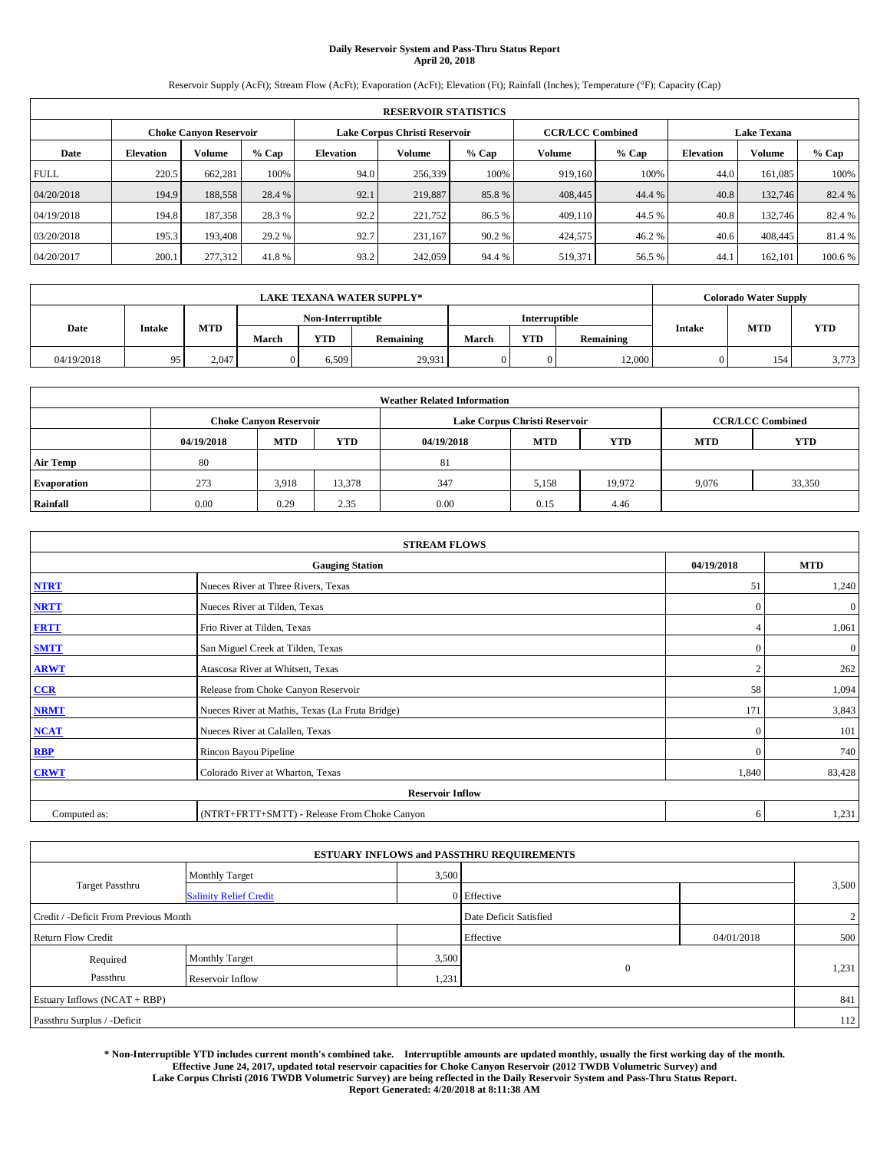# **Daily Reservoir System and Pass-Thru Status Report April 20, 2018**

Reservoir Supply (AcFt); Stream Flow (AcFt); Evaporation (AcFt); Elevation (Ft); Rainfall (Inches); Temperature (°F); Capacity (Cap)

|                                                         | <b>RESERVOIR STATISTICS</b> |         |         |                  |         |         |                         |         |                  |                    |         |
|---------------------------------------------------------|-----------------------------|---------|---------|------------------|---------|---------|-------------------------|---------|------------------|--------------------|---------|
| Lake Corpus Christi Reservoir<br>Choke Canvon Reservoir |                             |         |         |                  |         |         | <b>CCR/LCC Combined</b> |         |                  | <b>Lake Texana</b> |         |
| Date                                                    | <b>Elevation</b>            | Volume  | $%$ Cap | <b>Elevation</b> | Volume  | $%$ Cap | Volume                  | $%$ Cap | <b>Elevation</b> | <b>Volume</b>      | % Cap   |
| <b>FULL</b>                                             | 220.5                       | 662,281 | 100%    | 94.0             | 256,339 | 100%    | 919.160                 | 100%    | 44.0             | 161.085            | 100%    |
| 04/20/2018                                              | 194.9                       | 188,558 | 28.4 %  | 92.1             | 219,887 | 85.8%   | 408,445                 | 44.4 %  | 40.8             | 132,746            | 82.4 %  |
| 04/19/2018                                              | 194.8                       | 187,358 | 28.3 %  | 92.2             | 221,752 | 86.5 %  | 409,110                 | 44.5 %  | 40.8             | 132,746            | 82.4 %  |
| 03/20/2018                                              | 195.3                       | 193.408 | 29.2 %  | 92.7             | 231.167 | 90.2 %  | 424,575                 | 46.2%   | 40.6             | 408,445            | 81.4 %  |
| 04/20/2017                                              | 200.1                       | 277,312 | 41.8%   | 93.2             | 242,059 | 94.4 %  | 519,371                 | 56.5 %  | 44.              | 162,101            | 100.6 % |

|            | <b>LAKE TEXANA WATER SUPPLY*</b> |            |       |                   |           |       |                      |           |        | <b>Colorado Water Supply</b> |            |
|------------|----------------------------------|------------|-------|-------------------|-----------|-------|----------------------|-----------|--------|------------------------------|------------|
|            |                                  |            |       | Non-Interruptible |           |       | <b>Interruptible</b> |           |        |                              |            |
| Date       | <b>Intake</b>                    | <b>MTD</b> | March | <b>YTD</b>        | Remaining | March | <b>YTD</b>           | Remaining | Intake | <b>MTD</b>                   | <b>YTD</b> |
| 04/19/2018 |                                  | 2.047      |       | 6.509             | 29,931    |       | 0                    | 12,000    |        | 154                          | 3,773      |

|                    | <b>Weather Related Information</b> |                               |            |            |                               |                         |       |        |  |  |  |  |
|--------------------|------------------------------------|-------------------------------|------------|------------|-------------------------------|-------------------------|-------|--------|--|--|--|--|
|                    |                                    | <b>Choke Canvon Reservoir</b> |            |            | Lake Corpus Christi Reservoir | <b>CCR/LCC Combined</b> |       |        |  |  |  |  |
|                    | 04/19/2018                         | <b>MTD</b>                    | <b>YTD</b> | <b>MTD</b> | <b>YTD</b>                    |                         |       |        |  |  |  |  |
| <b>Air Temp</b>    | 80                                 |                               |            | 81         |                               |                         |       |        |  |  |  |  |
| <b>Evaporation</b> | 273                                | 3,918                         | 13,378     | 347        | 5,158                         | 19.972                  | 9,076 | 33,350 |  |  |  |  |
| Rainfall           | 0.00                               | 0.29                          | 2.35       | 0.00       | 0.15                          | 4.46                    |       |        |  |  |  |  |

| <b>STREAM FLOWS</b> |                                                 |              |              |  |  |  |  |  |
|---------------------|-------------------------------------------------|--------------|--------------|--|--|--|--|--|
|                     | <b>Gauging Station</b>                          | 04/19/2018   | <b>MTD</b>   |  |  |  |  |  |
| <b>NTRT</b>         | Nueces River at Three Rivers, Texas             | 51           | 1,240        |  |  |  |  |  |
| <b>NRTT</b>         | Nueces River at Tilden, Texas                   | $\Omega$     | $\mathbf{0}$ |  |  |  |  |  |
| <b>FRTT</b>         | Frio River at Tilden, Texas                     |              | 1,061        |  |  |  |  |  |
| <b>SMTT</b>         | San Miguel Creek at Tilden, Texas               | $\mathbf{0}$ | $\mathbf{0}$ |  |  |  |  |  |
| <b>ARWT</b>         | Atascosa River at Whitsett, Texas               | $\bigcap$    | 262          |  |  |  |  |  |
| CCR                 | Release from Choke Canyon Reservoir             | 58           | 1,094        |  |  |  |  |  |
| <b>NRMT</b>         | Nueces River at Mathis, Texas (La Fruta Bridge) | 171          | 3,843        |  |  |  |  |  |
| <b>NCAT</b>         | Nueces River at Calallen, Texas                 | $\theta$     | 101          |  |  |  |  |  |
| RBP                 | Rincon Bayou Pipeline                           | $\mathbf{0}$ | 740          |  |  |  |  |  |
| <b>CRWT</b>         | Colorado River at Wharton, Texas                | 1,840        | 83,428       |  |  |  |  |  |
|                     | <b>Reservoir Inflow</b>                         |              |              |  |  |  |  |  |
| Computed as:        | (NTRT+FRTT+SMTT) - Release From Choke Canyon    | 6            | 1,231        |  |  |  |  |  |

|                                       |                               |       | <b>ESTUARY INFLOWS and PASSTHRU REQUIREMENTS</b> |            |                |
|---------------------------------------|-------------------------------|-------|--------------------------------------------------|------------|----------------|
|                                       | <b>Monthly Target</b>         | 3,500 |                                                  |            |                |
| <b>Target Passthru</b>                | <b>Salinity Relief Credit</b> |       | $0$ Effective                                    |            | 3,500          |
| Credit / -Deficit From Previous Month |                               |       | Date Deficit Satisfied                           |            | $\overline{2}$ |
| <b>Return Flow Credit</b>             |                               |       | Effective                                        | 04/01/2018 | 500            |
| Required                              | <b>Monthly Target</b>         | 3,500 |                                                  |            |                |
| Passthru                              | Reservoir Inflow              | 1,231 | $\mathbf{0}$                                     |            | 1,231          |
| Estuary Inflows (NCAT + RBP)          |                               |       |                                                  |            | 841            |
| Passthru Surplus / -Deficit           |                               |       |                                                  |            | 112            |

**\* Non-Interruptible YTD includes current month's combined take. Interruptible amounts are updated monthly, usually the first working day of the month. Effective June 24, 2017, updated total reservoir capacities for Choke Canyon Reservoir (2012 TWDB Volumetric Survey) and Lake Corpus Christi (2016 TWDB Volumetric Survey) are being reflected in the Daily Reservoir System and Pass-Thru Status Report. Report Generated: 4/20/2018 at 8:11:38 AM**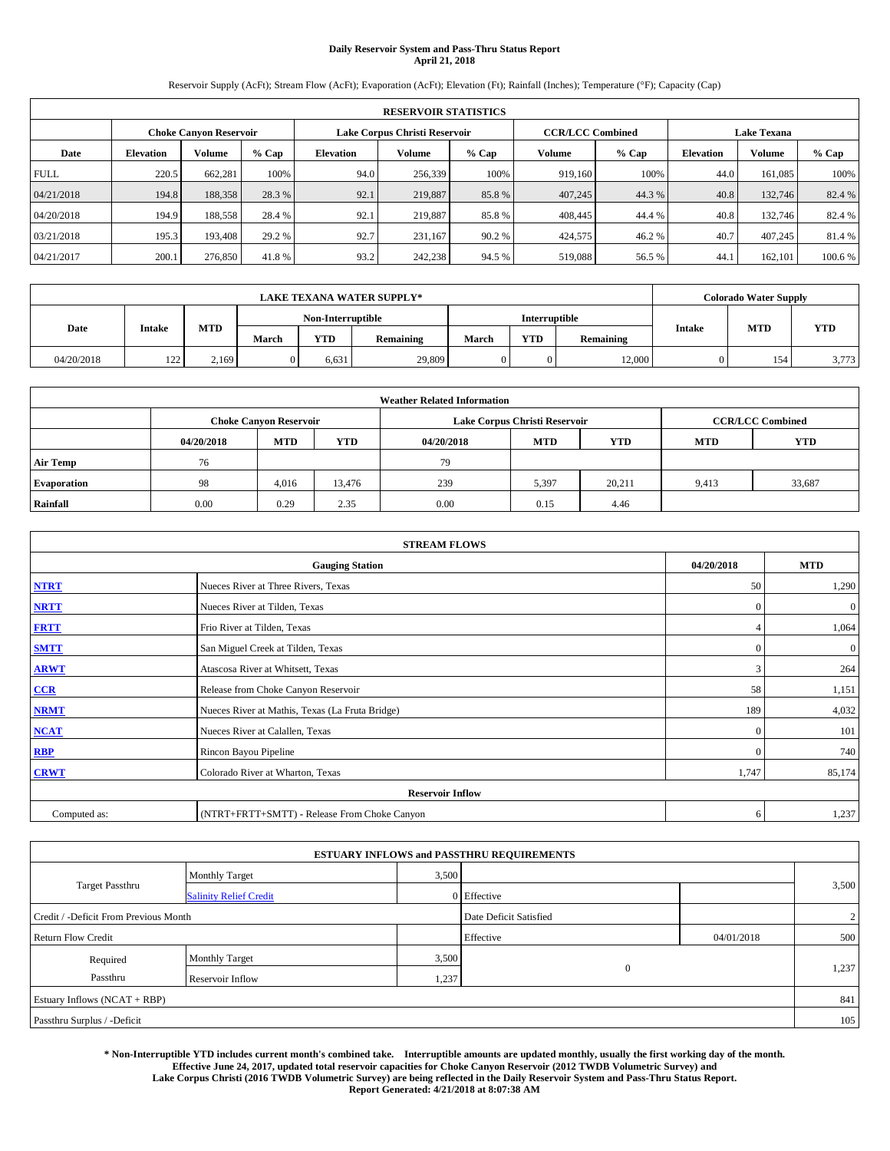# **Daily Reservoir System and Pass-Thru Status Report April 21, 2018**

Reservoir Supply (AcFt); Stream Flow (AcFt); Evaporation (AcFt); Elevation (Ft); Rainfall (Inches); Temperature (°F); Capacity (Cap)

|             | <b>RESERVOIR STATISTICS</b> |                        |         |                               |               |         |                         |         |                    |               |        |  |  |
|-------------|-----------------------------|------------------------|---------|-------------------------------|---------------|---------|-------------------------|---------|--------------------|---------------|--------|--|--|
|             |                             | Choke Canvon Reservoir |         | Lake Corpus Christi Reservoir |               |         | <b>CCR/LCC Combined</b> |         | <b>Lake Texana</b> |               |        |  |  |
| Date        | <b>Elevation</b>            | Volume                 | $%$ Cap | <b>Elevation</b>              | <b>Volume</b> | $%$ Cap | Volume                  | $%$ Cap | <b>Elevation</b>   | <b>Volume</b> | % Cap  |  |  |
| <b>FULL</b> | 220.5                       | 662,281                | 100%    | 94.0                          | 256,339       | 100%    | 919.160                 | 100%    | 44.0               | 161.085       | 100%   |  |  |
| 04/21/2018  | 194.8                       | 188,358                | 28.3 %  | 92.1                          | 219,887       | 85.8%   | 407,245                 | 44.3%   | 40.8               | 132,746       | 82.4 % |  |  |
| 04/20/2018  | 194.9                       | 188,558                | 28.4 %  | 92.1                          | 219,887       | 85.8%   | 408,445                 | 44.4 %  | 40.8               | 132,746       | 82.4 % |  |  |
| 03/21/2018  | 195.3                       | 193,408                | 29.2 %  | 92.7                          | 231.167       | 90.2 %  | 424,575                 | 46.2%   | 40.7               | 407.245       | 81.4%  |  |  |
| 04/21/2017  | 200.1                       | 276,850                | 41.8%   | 93.2                          | 242,238       | 94.5 %  | 519,088                 | 56.5 %  | 44.                | 162,101       | 100.6% |  |  |

|            | <b>LAKE TEXANA WATER SUPPLY*</b> |       |       |                   |           |               |            |                  |        | <b>Colorado Water Supply</b> |       |
|------------|----------------------------------|-------|-------|-------------------|-----------|---------------|------------|------------------|--------|------------------------------|-------|
|            |                                  |       |       | Non-Interruptible |           | Interruptible |            |                  |        |                              |       |
| Date       | <b>Intake</b>                    | MTD   | March | YTD               | Remaining | March         | <b>YTD</b> | <b>Remaining</b> | Intake | <b>MTD</b>                   | YTD   |
| 04/20/2018 | $1^{\circ}$<br>---               | 2.169 |       | 6.631             | 29,809    |               |            | 12,000           |        | 154                          | 3,773 |

|                    | <b>Weather Related Information</b> |                                                                                  |        |      |                               |                         |       |            |  |  |  |  |
|--------------------|------------------------------------|----------------------------------------------------------------------------------|--------|------|-------------------------------|-------------------------|-------|------------|--|--|--|--|
|                    |                                    | <b>Choke Canyon Reservoir</b>                                                    |        |      | Lake Corpus Christi Reservoir | <b>CCR/LCC Combined</b> |       |            |  |  |  |  |
|                    | 04/20/2018                         | <b>MTD</b><br><b>YTD</b><br><b>MTD</b><br><b>MTD</b><br>04/20/2018<br><b>YTD</b> |        |      |                               |                         |       | <b>YTD</b> |  |  |  |  |
| <b>Air Temp</b>    | 76                                 |                                                                                  |        | 79   |                               |                         |       |            |  |  |  |  |
| <b>Evaporation</b> | 98                                 | 4,016                                                                            | 13,476 | 239  | 5,397                         | 20,211                  | 9,413 | 33,687     |  |  |  |  |
| Rainfall           | 0.00                               | 0.29                                                                             | 2.35   | 0.00 | 0.15                          | 4.46                    |       |            |  |  |  |  |

| <b>STREAM FLOWS</b> |                                                 |              |                |  |  |  |  |  |
|---------------------|-------------------------------------------------|--------------|----------------|--|--|--|--|--|
|                     | <b>Gauging Station</b>                          | 04/20/2018   | <b>MTD</b>     |  |  |  |  |  |
| <b>NTRT</b>         | Nueces River at Three Rivers, Texas             | 50           | 1,290          |  |  |  |  |  |
| <b>NRTT</b>         | Nueces River at Tilden, Texas                   | $\mathbf{0}$ | $\mathbf{0}$   |  |  |  |  |  |
| <b>FRTT</b>         | Frio River at Tilden, Texas                     |              | 1,064          |  |  |  |  |  |
| <b>SMTT</b>         | San Miguel Creek at Tilden, Texas               | $\mathbf{0}$ | $\overline{0}$ |  |  |  |  |  |
| <b>ARWT</b>         | Atascosa River at Whitsett, Texas               | 3            | 264            |  |  |  |  |  |
| CCR                 | Release from Choke Canyon Reservoir             | 58           | 1,151          |  |  |  |  |  |
| <b>NRMT</b>         | Nueces River at Mathis, Texas (La Fruta Bridge) | 189          | 4,032          |  |  |  |  |  |
| <b>NCAT</b>         | Nueces River at Calallen, Texas                 | $\mathbf{0}$ | 101            |  |  |  |  |  |
| <b>RBP</b>          | Rincon Bayou Pipeline                           | $\Omega$     | 740            |  |  |  |  |  |
| <b>CRWT</b>         | Colorado River at Wharton, Texas                | 1,747        | 85,174         |  |  |  |  |  |
|                     | <b>Reservoir Inflow</b>                         |              |                |  |  |  |  |  |
| Computed as:        | (NTRT+FRTT+SMTT) - Release From Choke Canyon    | 6            | 1,237          |  |  |  |  |  |

|                                       |                               |       | <b>ESTUARY INFLOWS and PASSTHRU REQUIREMENTS</b> |            |                |
|---------------------------------------|-------------------------------|-------|--------------------------------------------------|------------|----------------|
|                                       | <b>Monthly Target</b>         | 3,500 |                                                  |            |                |
| <b>Target Passthru</b>                | <b>Salinity Relief Credit</b> |       | 0 Effective                                      |            | 3,500          |
| Credit / -Deficit From Previous Month |                               |       | Date Deficit Satisfied                           |            | $\overline{2}$ |
| <b>Return Flow Credit</b>             |                               |       | Effective                                        | 04/01/2018 | 500            |
| Required                              | <b>Monthly Target</b>         | 3,500 |                                                  |            |                |
| Passthru                              | Reservoir Inflow              | 1,237 | $\mathbf{0}$                                     |            | 1,237          |
| Estuary Inflows (NCAT + RBP)          |                               |       |                                                  |            | 841            |
| Passthru Surplus / -Deficit           |                               |       |                                                  |            | 105            |

**\* Non-Interruptible YTD includes current month's combined take. Interruptible amounts are updated monthly, usually the first working day of the month. Effective June 24, 2017, updated total reservoir capacities for Choke Canyon Reservoir (2012 TWDB Volumetric Survey) and Lake Corpus Christi (2016 TWDB Volumetric Survey) are being reflected in the Daily Reservoir System and Pass-Thru Status Report. Report Generated: 4/21/2018 at 8:07:38 AM**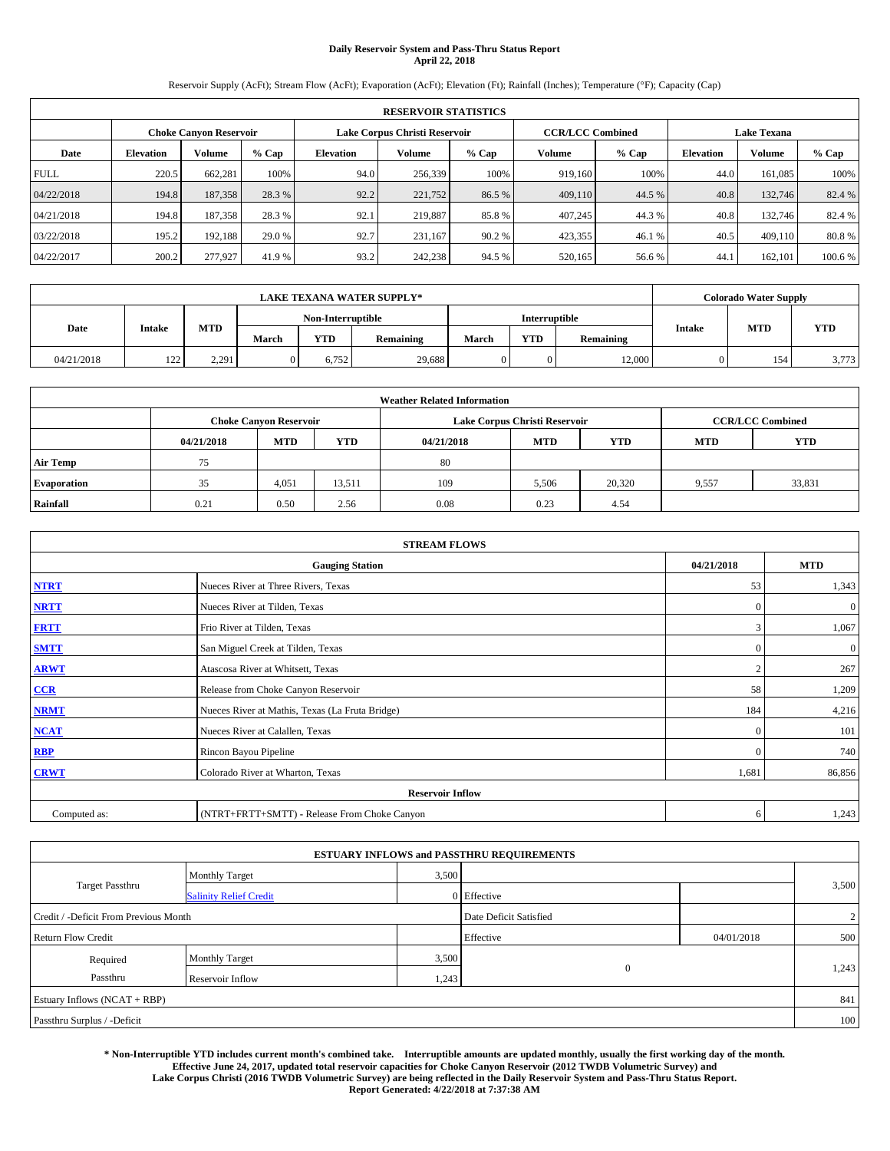# **Daily Reservoir System and Pass-Thru Status Report April 22, 2018**

Reservoir Supply (AcFt); Stream Flow (AcFt); Evaporation (AcFt); Elevation (Ft); Rainfall (Inches); Temperature (°F); Capacity (Cap)

|             | <b>RESERVOIR STATISTICS</b> |                        |         |                  |                               |         |                         |         |                    |               |        |  |  |
|-------------|-----------------------------|------------------------|---------|------------------|-------------------------------|---------|-------------------------|---------|--------------------|---------------|--------|--|--|
|             |                             | Choke Canvon Reservoir |         |                  | Lake Corpus Christi Reservoir |         | <b>CCR/LCC Combined</b> |         | <b>Lake Texana</b> |               |        |  |  |
| Date        | <b>Elevation</b>            | Volume                 | $%$ Cap | <b>Elevation</b> | <b>Volume</b>                 | $%$ Cap | Volume                  | $%$ Cap | <b>Elevation</b>   | <b>Volume</b> | % Cap  |  |  |
| <b>FULL</b> | 220.5                       | 662,281                | 100%    | 94.0             | 256,339                       | 100%    | 919.160                 | 100%    | 44.0               | 161.085       | 100%   |  |  |
| 04/22/2018  | 194.8                       | 187,358                | 28.3 %  | 92.2             | 221,752                       | 86.5%   | 409,110                 | 44.5 %  | 40.8               | 132,746       | 82.4 % |  |  |
| 04/21/2018  | 194.8                       | 187,358                | 28.3 %  | 92.1             | 219,887                       | 85.8%   | 407,245                 | 44.3%   | 40.8               | 132,746       | 82.4 % |  |  |
| 03/22/2018  | 195.2                       | 192,188                | 29.0 %  | 92.7             | 231.167                       | 90.2 %  | 423,355                 | 46.1 %  | 40.5               | 409,110       | 80.8%  |  |  |
| 04/22/2017  | 200.2                       | 277,927                | 41.9%   | 93.2             | 242,238                       | 94.5 %  | 520,165                 | 56.6 %  | 44.                | 162,101       | 100.6% |  |  |

|            | <b>LAKE TEXANA WATER SUPPLY*</b> |       |       |                   |           |       |               |                  |        | <b>Colorado Water Supply</b> |       |
|------------|----------------------------------|-------|-------|-------------------|-----------|-------|---------------|------------------|--------|------------------------------|-------|
|            |                                  |       |       | Non-Interruptible |           |       | Interruptible |                  |        |                              |       |
| Date       | <b>Intake</b>                    | MTD   | March | YTD               | Remaining | March | <b>YTD</b>    | <b>Remaining</b> | Intake | <b>MTD</b>                   | YTD   |
| 04/21/2018 | $1^{\circ}$<br>1/2               | 2.291 |       | 6.752             | 29,688    |       |               | 12,000           |        | 154                          | 3,773 |

|                    | <b>Weather Related Information</b> |                                                                                  |        |      |                               |                         |       |            |  |  |  |  |
|--------------------|------------------------------------|----------------------------------------------------------------------------------|--------|------|-------------------------------|-------------------------|-------|------------|--|--|--|--|
|                    |                                    | <b>Choke Canvon Reservoir</b>                                                    |        |      | Lake Corpus Christi Reservoir | <b>CCR/LCC Combined</b> |       |            |  |  |  |  |
|                    | 04/21/2018                         | <b>YTD</b><br><b>MTD</b><br><b>MTD</b><br><b>YTD</b><br><b>MTD</b><br>04/21/2018 |        |      |                               |                         |       | <b>YTD</b> |  |  |  |  |
| <b>Air Temp</b>    | 75                                 |                                                                                  |        | 80   |                               |                         |       |            |  |  |  |  |
| <b>Evaporation</b> | 35                                 | 4,051                                                                            | 13,511 | 109  | 5,506                         | 20,320                  | 9,557 | 33,831     |  |  |  |  |
| Rainfall           | 0.21                               | 0.50                                                                             | 2.56   | 0.08 | 0.23                          | 4.54                    |       |            |  |  |  |  |

| <b>STREAM FLOWS</b> |                                                 |              |              |  |  |  |  |  |  |  |
|---------------------|-------------------------------------------------|--------------|--------------|--|--|--|--|--|--|--|
|                     | <b>Gauging Station</b>                          |              |              |  |  |  |  |  |  |  |
| <b>NTRT</b>         | Nueces River at Three Rivers, Texas             |              |              |  |  |  |  |  |  |  |
| <b>NRTT</b>         | Nueces River at Tilden, Texas                   | $\Omega$     | $\mathbf{0}$ |  |  |  |  |  |  |  |
| <b>FRTT</b>         | Frio River at Tilden, Texas                     | 3            | 1,067        |  |  |  |  |  |  |  |
| <b>SMTT</b>         | San Miguel Creek at Tilden, Texas               | $\mathbf{0}$ | $\mathbf{0}$ |  |  |  |  |  |  |  |
| <b>ARWT</b>         | Atascosa River at Whitsett, Texas               | ി            | 267          |  |  |  |  |  |  |  |
| CCR                 | Release from Choke Canyon Reservoir             | 58           | 1,209        |  |  |  |  |  |  |  |
| <b>NRMT</b>         | Nueces River at Mathis, Texas (La Fruta Bridge) | 184          | 4,216        |  |  |  |  |  |  |  |
| <b>NCAT</b>         | Nueces River at Calallen, Texas                 | $\theta$     | 101          |  |  |  |  |  |  |  |
| RBP                 | Rincon Bayou Pipeline                           | $\mathbf{0}$ | 740          |  |  |  |  |  |  |  |
| <b>CRWT</b>         | Colorado River at Wharton, Texas                | 1,681        | 86,856       |  |  |  |  |  |  |  |
|                     | <b>Reservoir Inflow</b>                         |              |              |  |  |  |  |  |  |  |
| Computed as:        | (NTRT+FRTT+SMTT) - Release From Choke Canyon    | 6            | 1,243        |  |  |  |  |  |  |  |

| <b>ESTUARY INFLOWS and PASSTHRU REQUIREMENTS</b> |                               |                        |             |                |       |  |  |  |  |  |
|--------------------------------------------------|-------------------------------|------------------------|-------------|----------------|-------|--|--|--|--|--|
|                                                  | <b>Monthly Target</b>         | 3,500                  |             |                |       |  |  |  |  |  |
| <b>Target Passthru</b>                           | <b>Salinity Relief Credit</b> |                        | 0 Effective |                | 3,500 |  |  |  |  |  |
| Credit / -Deficit From Previous Month            |                               | Date Deficit Satisfied |             | $\overline{2}$ |       |  |  |  |  |  |
| <b>Return Flow Credit</b>                        |                               |                        | Effective   | 04/01/2018     | 500   |  |  |  |  |  |
| Required                                         | <b>Monthly Target</b>         | 3,500                  |             |                |       |  |  |  |  |  |
| Passthru                                         | Reservoir Inflow              | 1,243                  | $\theta$    |                | 1,243 |  |  |  |  |  |
| Estuary Inflows (NCAT + RBP)                     |                               |                        |             |                | 841   |  |  |  |  |  |
| Passthru Surplus / -Deficit                      |                               |                        |             |                | 100   |  |  |  |  |  |

**\* Non-Interruptible YTD includes current month's combined take. Interruptible amounts are updated monthly, usually the first working day of the month. Effective June 24, 2017, updated total reservoir capacities for Choke Canyon Reservoir (2012 TWDB Volumetric Survey) and Lake Corpus Christi (2016 TWDB Volumetric Survey) are being reflected in the Daily Reservoir System and Pass-Thru Status Report. Report Generated: 4/22/2018 at 7:37:38 AM**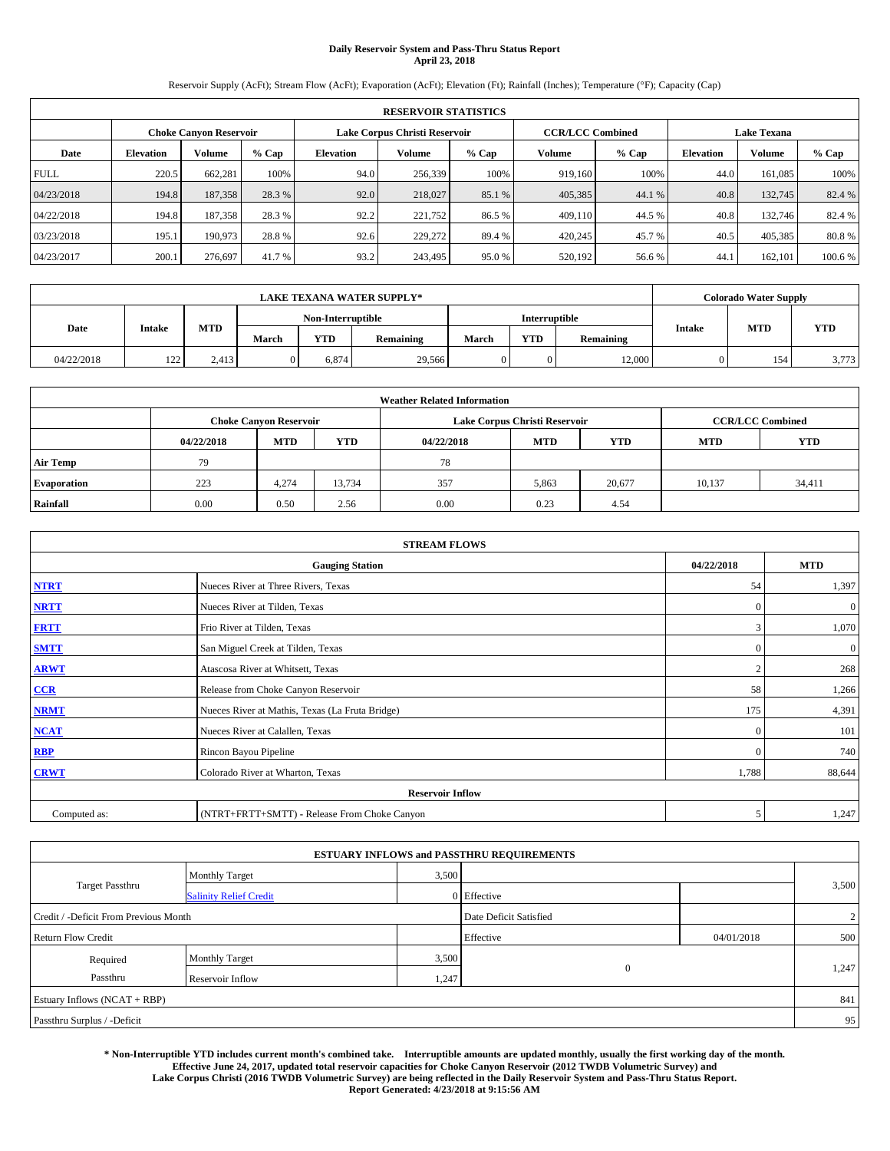# **Daily Reservoir System and Pass-Thru Status Report April 23, 2018**

Reservoir Supply (AcFt); Stream Flow (AcFt); Evaporation (AcFt); Elevation (Ft); Rainfall (Inches); Temperature (°F); Capacity (Cap)

| <b>RESERVOIR STATISTICS</b> |                  |                        |         |                  |                               |         |                         |         |                  |                    |        |
|-----------------------------|------------------|------------------------|---------|------------------|-------------------------------|---------|-------------------------|---------|------------------|--------------------|--------|
|                             |                  | Choke Canvon Reservoir |         |                  | Lake Corpus Christi Reservoir |         | <b>CCR/LCC Combined</b> |         |                  | <b>Lake Texana</b> |        |
| Date                        | <b>Elevation</b> | Volume                 | $%$ Cap | <b>Elevation</b> | <b>Volume</b>                 | $%$ Cap | Volume                  | $%$ Cap | <b>Elevation</b> | <b>Volume</b>      | % Cap  |
| <b>FULL</b>                 | 220.5            | 662,281                | 100%    | 94.0             | 256,339                       | 100%    | 919.160                 | 100%    | 44.0             | 161.085            | 100%   |
| 04/23/2018                  | 194.8            | 187,358                | 28.3 %  | 92.0             | 218,027                       | 85.1 %  | 405,385                 | 44.1 %  | 40.8             | 132,745            | 82.4 % |
| 04/22/2018                  | 194.8            | 187,358                | 28.3 %  | 92.2             | 221,752                       | 86.5 %  | 409,110                 | 44.5 %  | 40.8             | 132,746            | 82.4 % |
| 03/23/2018                  | 195.1            | 190,973                | 28.8%   | 92.6             | 229,272                       | 89.4 %  | 420,245                 | 45.7 %  | 40.5             | 405,385            | 80.8%  |
| 04/23/2017                  | 200.1            | 276,697                | 41.7 %  | 93.2             | 243,495                       | 95.0%   | 520,192                 | 56.6 %  | 44.              | 162,101            | 100.6% |

| <b>LAKE TEXANA WATER SUPPLY*</b> |               |       |                   |            |           |               |            | <b>Colorado Water Supply</b> |        |            |            |
|----------------------------------|---------------|-------|-------------------|------------|-----------|---------------|------------|------------------------------|--------|------------|------------|
|                                  |               |       | Non-Interruptible |            |           | Interruptible |            |                              |        |            |            |
| Date                             | <b>Intake</b> | MTD   | March             | <b>YTD</b> | Remaining | March         | <b>YTD</b> | Remaining                    | Intake | <b>MTD</b> | <b>YTD</b> |
| 04/22/2018                       | ר בו<br>1/2   | 2.413 |                   | 6.874      | 29,566    |               |            | 12,000                       |        | 154        | 3,773      |

| <b>Weather Related Information</b> |            |                               |            |            |                               |                         |            |            |  |  |  |
|------------------------------------|------------|-------------------------------|------------|------------|-------------------------------|-------------------------|------------|------------|--|--|--|
|                                    |            | <b>Choke Canyon Reservoir</b> |            |            | Lake Corpus Christi Reservoir | <b>CCR/LCC Combined</b> |            |            |  |  |  |
|                                    | 04/22/2018 | <b>MTD</b>                    | <b>YTD</b> | 04/22/2018 | <b>MTD</b>                    | <b>YTD</b>              | <b>MTD</b> | <b>YTD</b> |  |  |  |
| <b>Air Temp</b>                    | 79         |                               |            | 78         |                               |                         |            |            |  |  |  |
| <b>Evaporation</b>                 | 223        | 4,274                         | 13,734     | 357        | 5,863                         | 20,677                  | 10,137     | 34,411     |  |  |  |
| Rainfall                           | 0.00       | 0.50                          | 2.56       | 0.00       | 0.23                          | 4.54                    |            |            |  |  |  |

| <b>STREAM FLOWS</b> |                                                 |                |              |  |  |  |  |  |  |
|---------------------|-------------------------------------------------|----------------|--------------|--|--|--|--|--|--|
|                     | <b>Gauging Station</b>                          |                |              |  |  |  |  |  |  |
| <b>NTRT</b>         | Nueces River at Three Rivers, Texas             | 54             | 1,397        |  |  |  |  |  |  |
| <b>NRTT</b>         | Nueces River at Tilden, Texas                   | $\mathbf{0}$   | $\mathbf{0}$ |  |  |  |  |  |  |
| <b>FRTT</b>         | Frio River at Tilden, Texas                     | 3              | 1,070        |  |  |  |  |  |  |
| <b>SMTT</b>         | San Miguel Creek at Tilden, Texas               | $\mathbf{0}$   | $\mathbf{0}$ |  |  |  |  |  |  |
| <b>ARWT</b>         | Atascosa River at Whitsett, Texas               | $\overline{2}$ | 268          |  |  |  |  |  |  |
| CCR                 | Release from Choke Canyon Reservoir             | 58             | 1,266        |  |  |  |  |  |  |
| <b>NRMT</b>         | Nueces River at Mathis, Texas (La Fruta Bridge) | 175            | 4,391        |  |  |  |  |  |  |
| <b>NCAT</b>         | Nueces River at Calallen, Texas                 | $\mathbf{0}$   | 101          |  |  |  |  |  |  |
| <b>RBP</b>          | Rincon Bayou Pipeline                           | $\Omega$       | 740          |  |  |  |  |  |  |
| <b>CRWT</b>         | Colorado River at Wharton, Texas                | 1,788          | 88,644       |  |  |  |  |  |  |
|                     | <b>Reservoir Inflow</b>                         |                |              |  |  |  |  |  |  |
| Computed as:        | (NTRT+FRTT+SMTT) - Release From Choke Canyon    | 5              | 1,247        |  |  |  |  |  |  |

| <b>ESTUARY INFLOWS and PASSTHRU REQUIREMENTS</b> |                               |       |                        |            |                |  |  |  |  |  |
|--------------------------------------------------|-------------------------------|-------|------------------------|------------|----------------|--|--|--|--|--|
|                                                  | <b>Monthly Target</b>         | 3,500 |                        |            |                |  |  |  |  |  |
| <b>Target Passthru</b>                           | <b>Salinity Relief Credit</b> |       | 0 Effective            |            | 3,500          |  |  |  |  |  |
| Credit / -Deficit From Previous Month            |                               |       | Date Deficit Satisfied |            | $\overline{2}$ |  |  |  |  |  |
| <b>Return Flow Credit</b>                        |                               |       | Effective              | 04/01/2018 | 500            |  |  |  |  |  |
| Required                                         | Monthly Target                | 3,500 |                        |            |                |  |  |  |  |  |
| Passthru                                         | Reservoir Inflow              | 1,247 | $\overline{0}$         |            | 1,247          |  |  |  |  |  |
| Estuary Inflows (NCAT + RBP)                     |                               |       |                        |            |                |  |  |  |  |  |
| Passthru Surplus / -Deficit                      |                               |       |                        |            | 95             |  |  |  |  |  |

**\* Non-Interruptible YTD includes current month's combined take. Interruptible amounts are updated monthly, usually the first working day of the month. Effective June 24, 2017, updated total reservoir capacities for Choke Canyon Reservoir (2012 TWDB Volumetric Survey) and Lake Corpus Christi (2016 TWDB Volumetric Survey) are being reflected in the Daily Reservoir System and Pass-Thru Status Report. Report Generated: 4/23/2018 at 9:15:56 AM**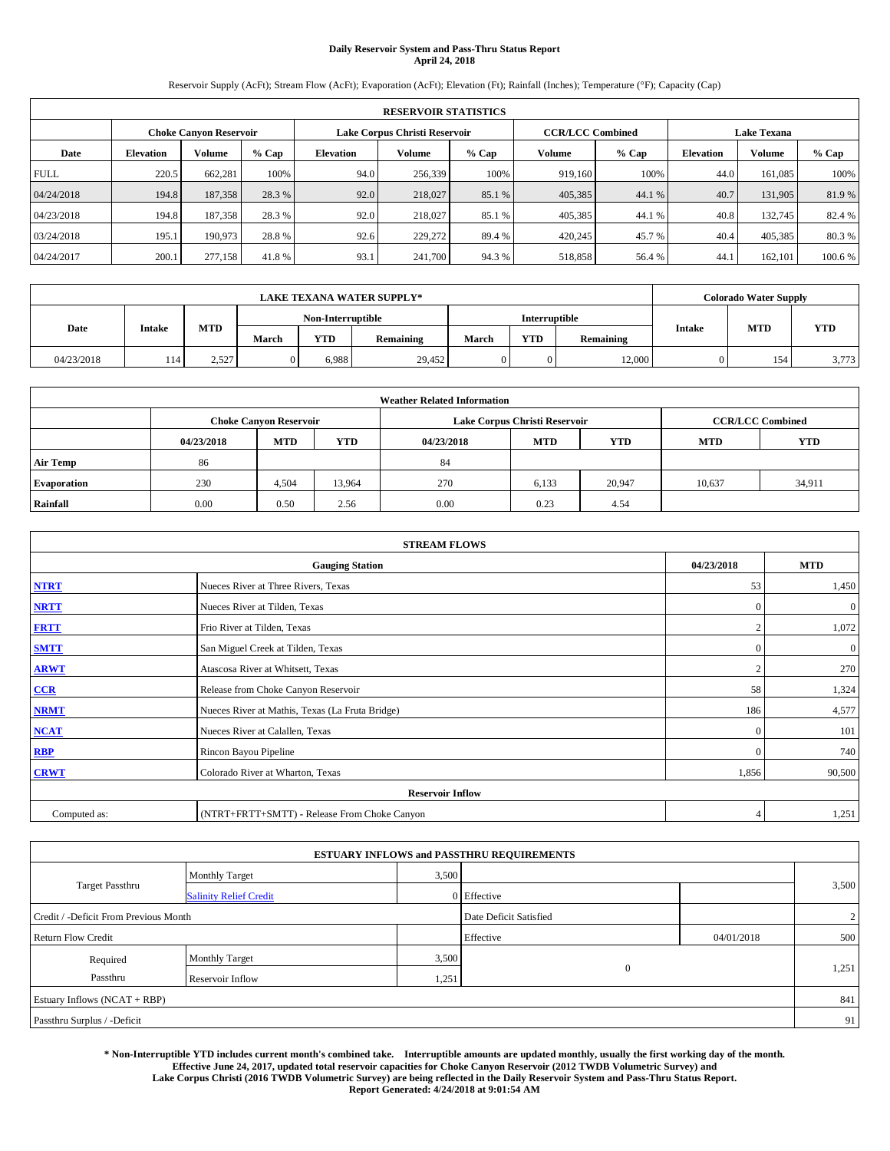# **Daily Reservoir System and Pass-Thru Status Report April 24, 2018**

Reservoir Supply (AcFt); Stream Flow (AcFt); Evaporation (AcFt); Elevation (Ft); Rainfall (Inches); Temperature (°F); Capacity (Cap)

| <b>RESERVOIR STATISTICS</b> |                  |                               |         |           |                               |         |                         |         |                  |                    |         |
|-----------------------------|------------------|-------------------------------|---------|-----------|-------------------------------|---------|-------------------------|---------|------------------|--------------------|---------|
|                             |                  | <b>Choke Canyon Reservoir</b> |         |           | Lake Corpus Christi Reservoir |         | <b>CCR/LCC Combined</b> |         |                  | <b>Lake Texana</b> |         |
| Date                        | <b>Elevation</b> | Volume                        | $%$ Cap | Elevation | Volume                        | $%$ Cap | Volume                  | $%$ Cap | <b>Elevation</b> | <b>Volume</b>      | % Cap   |
| <b>FULL</b>                 | 220.5            | 662,281                       | 100%    | 94.0      | 256,339                       | 100%    | 919.160                 | 100%    | 44.0             | 161.085            | 100%    |
| 04/24/2018                  | 194.8            | 187,358                       | 28.3 %  | 92.0      | 218,027                       | 85.1 %  | 405,385                 | 44.1 %  | 40.7             | 131,905            | 81.9%   |
| 04/23/2018                  | 194.8            | 187,358                       | 28.3 %  | 92.0      | 218,027                       | 85.1 %  | 405,385                 | 44.1 %  | 40.8             | 132.745            | 82.4 %  |
| 03/24/2018                  | 195.1            | 190,973                       | 28.8%   | 92.6      | 229,272                       | 89.4 %  | 420,245                 | 45.7%   | 40.4             | 405,385            | 80.3%   |
| 04/24/2017                  | 200.1            | 277,158                       | 41.8%   | 93.1      | 241,700                       | 94.3%   | 518,858                 | 56.4 %  | 44.              | 162,101            | 100.6 % |

| <b>LAKE TEXANA WATER SUPPLY*</b> |               |       |                   |            |           |                      |            | <b>Colorado Water Supply</b> |        |            |            |
|----------------------------------|---------------|-------|-------------------|------------|-----------|----------------------|------------|------------------------------|--------|------------|------------|
|                                  |               |       | Non-Interruptible |            |           | <b>Interruptible</b> |            |                              |        |            |            |
| Date                             | <b>Intake</b> | MTD   | March             | <b>YTD</b> | Remaining | March                | <b>YTD</b> | Remaining                    | Intake | <b>MTD</b> | <b>YTD</b> |
| 04/23/2018                       | .14           | 2,527 |                   | 6.988      | 29,452    |                      | 0          | 12,000                       |        | 154        | 3,773      |

| <b>Weather Related Information</b> |            |                               |            |            |                               |                         |            |            |  |  |  |
|------------------------------------|------------|-------------------------------|------------|------------|-------------------------------|-------------------------|------------|------------|--|--|--|
|                                    |            | <b>Choke Canyon Reservoir</b> |            |            | Lake Corpus Christi Reservoir | <b>CCR/LCC Combined</b> |            |            |  |  |  |
|                                    | 04/23/2018 | <b>MTD</b>                    | <b>YTD</b> | 04/23/2018 | <b>MTD</b>                    | <b>YTD</b>              | <b>MTD</b> | <b>YTD</b> |  |  |  |
| <b>Air Temp</b>                    | 86         |                               |            | 84         |                               |                         |            |            |  |  |  |
| <b>Evaporation</b>                 | 230        | 4.504                         | 13,964     | 270        | 6,133                         | 20,947                  | 10,637     | 34,911     |  |  |  |
| Rainfall                           | 0.00       | 0.50                          | 2.56       | 0.00       | 0.23                          | 4.54                    |            |            |  |  |  |

| <b>STREAM FLOWS</b> |                                                 |                |              |  |  |  |  |  |  |
|---------------------|-------------------------------------------------|----------------|--------------|--|--|--|--|--|--|
|                     | <b>Gauging Station</b>                          |                |              |  |  |  |  |  |  |
| <b>NTRT</b>         | Nueces River at Three Rivers, Texas             | 53             | 1,450        |  |  |  |  |  |  |
| <b>NRTT</b>         | Nueces River at Tilden, Texas                   | $\mathbf{0}$   | $\mathbf{0}$ |  |  |  |  |  |  |
| <b>FRTT</b>         | Frio River at Tilden, Texas                     |                | 1,072        |  |  |  |  |  |  |
| <b>SMTT</b>         | San Miguel Creek at Tilden, Texas               | $\mathbf{0}$   | $\mathbf{0}$ |  |  |  |  |  |  |
| <b>ARWT</b>         | Atascosa River at Whitsett, Texas               | $\overline{2}$ | 270          |  |  |  |  |  |  |
| CCR                 | Release from Choke Canyon Reservoir             | 58             | 1,324        |  |  |  |  |  |  |
| <b>NRMT</b>         | Nueces River at Mathis, Texas (La Fruta Bridge) | 186            | 4,577        |  |  |  |  |  |  |
| <b>NCAT</b>         | Nueces River at Calallen, Texas                 | $\mathbf{0}$   | 101          |  |  |  |  |  |  |
| <b>RBP</b>          | Rincon Bayou Pipeline                           | $\Omega$       | 740          |  |  |  |  |  |  |
| <b>CRWT</b>         | Colorado River at Wharton, Texas                | 1,856          | 90,500       |  |  |  |  |  |  |
|                     | <b>Reservoir Inflow</b>                         |                |              |  |  |  |  |  |  |
| Computed as:        | (NTRT+FRTT+SMTT) - Release From Choke Canyon    | 4              | 1,251        |  |  |  |  |  |  |

| <b>ESTUARY INFLOWS and PASSTHRU REQUIREMENTS</b> |                               |       |                        |            |                |  |  |  |  |  |
|--------------------------------------------------|-------------------------------|-------|------------------------|------------|----------------|--|--|--|--|--|
|                                                  | <b>Monthly Target</b>         | 3,500 |                        |            |                |  |  |  |  |  |
| <b>Target Passthru</b>                           | <b>Salinity Relief Credit</b> |       | 0 Effective            |            | 3,500          |  |  |  |  |  |
| Credit / -Deficit From Previous Month            |                               |       | Date Deficit Satisfied |            | $\overline{2}$ |  |  |  |  |  |
| <b>Return Flow Credit</b>                        |                               |       | Effective              | 04/01/2018 | 500            |  |  |  |  |  |
| Required                                         | <b>Monthly Target</b>         | 3,500 |                        |            |                |  |  |  |  |  |
| Passthru                                         | Reservoir Inflow              | 1,251 | $\mathbf{0}$           |            | 1,251          |  |  |  |  |  |
| Estuary Inflows (NCAT + RBP)                     |                               |       |                        |            | 841            |  |  |  |  |  |
| Passthru Surplus / -Deficit                      |                               |       |                        |            | 91             |  |  |  |  |  |

**\* Non-Interruptible YTD includes current month's combined take. Interruptible amounts are updated monthly, usually the first working day of the month. Effective June 24, 2017, updated total reservoir capacities for Choke Canyon Reservoir (2012 TWDB Volumetric Survey) and Lake Corpus Christi (2016 TWDB Volumetric Survey) are being reflected in the Daily Reservoir System and Pass-Thru Status Report. Report Generated: 4/24/2018 at 9:01:54 AM**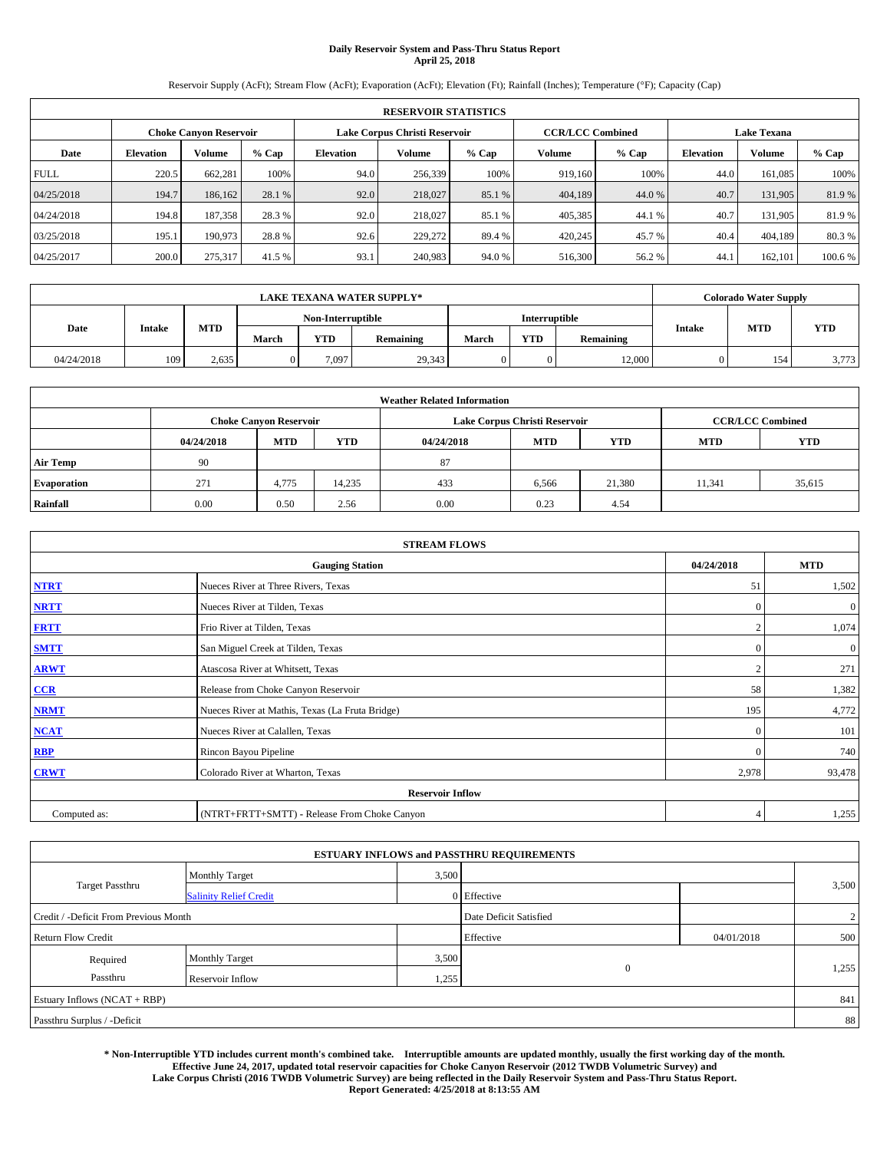# **Daily Reservoir System and Pass-Thru Status Report April 25, 2018**

Reservoir Supply (AcFt); Stream Flow (AcFt); Evaporation (AcFt); Elevation (Ft); Rainfall (Inches); Temperature (°F); Capacity (Cap)

|             | <b>RESERVOIR STATISTICS</b> |                        |         |                                              |                                                          |        |         |         |                    |               |        |  |
|-------------|-----------------------------|------------------------|---------|----------------------------------------------|----------------------------------------------------------|--------|---------|---------|--------------------|---------------|--------|--|
|             |                             | Choke Canvon Reservoir |         |                                              | Lake Corpus Christi Reservoir<br><b>CCR/LCC Combined</b> |        |         |         | <b>Lake Texana</b> |               |        |  |
| Date        | <b>Elevation</b>            | Volume                 | $%$ Cap | <b>Volume</b><br><b>Elevation</b><br>$%$ Cap |                                                          |        | Volume  | $%$ Cap | <b>Elevation</b>   | <b>Volume</b> | % Cap  |  |
| <b>FULL</b> | 220.5                       | 662,281                | 100%    | 94.0                                         | 256,339                                                  | 100%   | 919.160 | 100%    | 44.0               | 161.085       | 100%   |  |
| 04/25/2018  | 194.7                       | 186,162                | 28.1 %  | 92.0                                         | 218,027                                                  | 85.1 % | 404,189 | 44.0 %  | 40.7               | 131,905       | 81.9%  |  |
| 04/24/2018  | 194.8                       | 187,358                | 28.3 %  | 92.0                                         | 218,027                                                  | 85.1 % | 405,385 | 44.1 %  | 40.7               | 131.905       | 81.9%  |  |
| 03/25/2018  | 195.1                       | 190,973                | 28.8%   | 92.6                                         | 229,272                                                  | 89.4 % | 420,245 | 45.7 %  | 40.4               | 404,189       | 80.3%  |  |
| 04/25/2017  | 200.0                       | 275,317                | 41.5 %  | 93.1                                         | 240,983                                                  | 94.0%  | 516,300 | 56.2%   | 44.                | 162,101       | 100.6% |  |

|            | <b>LAKE TEXANA WATER SUPPLY*</b> |       |       |                   |           |       |                      |           |               | <b>Colorado Water Supply</b> |       |  |
|------------|----------------------------------|-------|-------|-------------------|-----------|-------|----------------------|-----------|---------------|------------------------------|-------|--|
|            |                                  |       |       | Non-Interruptible |           |       | <b>Interruptible</b> |           |               |                              |       |  |
| Date       | <b>Intake</b>                    | MTD   | March | <b>YTD</b>        | Remaining | March | YTD                  | Remaining | <b>Intake</b> | <b>MTD</b>                   | YTD   |  |
| 04/24/2018 | 109                              | 2.635 |       | 7.097             | 29,343    |       |                      | 12,000    |               | 154                          | 3,773 |  |

| <b>Weather Related Information</b> |            |                               |            |            |                               |                         |            |            |  |  |
|------------------------------------|------------|-------------------------------|------------|------------|-------------------------------|-------------------------|------------|------------|--|--|
|                                    |            | <b>Choke Canyon Reservoir</b> |            |            | Lake Corpus Christi Reservoir | <b>CCR/LCC Combined</b> |            |            |  |  |
|                                    | 04/24/2018 | <b>MTD</b>                    | <b>YTD</b> | 04/24/2018 | <b>MTD</b>                    | <b>YTD</b>              | <b>MTD</b> | <b>YTD</b> |  |  |
| <b>Air Temp</b>                    | 90         |                               |            | 87         |                               |                         |            |            |  |  |
| <b>Evaporation</b>                 | 271        | 4,775                         | 14,235     | 433        | 6,566                         | 21.380                  | 11,341     | 35,615     |  |  |
| Rainfall                           | 0.00       | 0.50                          | 2.56       | 0.00       | 0.23                          | 4.54                    |            |            |  |  |

| <b>STREAM FLOWS</b> |                                                 |                |                |  |  |  |  |  |  |
|---------------------|-------------------------------------------------|----------------|----------------|--|--|--|--|--|--|
|                     | <b>Gauging Station</b>                          | 04/24/2018     | <b>MTD</b>     |  |  |  |  |  |  |
| <b>NTRT</b>         | Nueces River at Three Rivers, Texas             | 51             | 1,502          |  |  |  |  |  |  |
| <b>NRTT</b>         | Nueces River at Tilden, Texas                   | $\Omega$       | $\mathbf{0}$   |  |  |  |  |  |  |
| <b>FRTT</b>         | Frio River at Tilden, Texas                     | $\overline{2}$ | 1,074          |  |  |  |  |  |  |
| <b>SMTT</b>         | San Miguel Creek at Tilden, Texas               | $\mathbf{0}$   | $\overline{0}$ |  |  |  |  |  |  |
| <b>ARWT</b>         | Atascosa River at Whitsett, Texas               | $\bigcap$      | 271            |  |  |  |  |  |  |
| CCR                 | Release from Choke Canyon Reservoir             | 58             | 1,382          |  |  |  |  |  |  |
| <b>NRMT</b>         | Nueces River at Mathis, Texas (La Fruta Bridge) | 195            | 4,772          |  |  |  |  |  |  |
| <b>NCAT</b>         | Nueces River at Calallen, Texas                 | $\theta$       | 101            |  |  |  |  |  |  |
| RBP                 | Rincon Bayou Pipeline                           | $\mathbf{0}$   | 740            |  |  |  |  |  |  |
| <b>CRWT</b>         | Colorado River at Wharton, Texas                | 2,978          | 93,478         |  |  |  |  |  |  |
|                     | <b>Reservoir Inflow</b>                         |                |                |  |  |  |  |  |  |
| Computed as:        | (NTRT+FRTT+SMTT) - Release From Choke Canyon    | $\overline{4}$ | 1,255          |  |  |  |  |  |  |

|                                       |                               |       | <b>ESTUARY INFLOWS and PASSTHRU REQUIREMENTS</b> |            |       |
|---------------------------------------|-------------------------------|-------|--------------------------------------------------|------------|-------|
|                                       | <b>Monthly Target</b>         | 3,500 |                                                  |            |       |
| <b>Target Passthru</b>                | <b>Salinity Relief Credit</b> |       | 0 Effective                                      |            | 3,500 |
| Credit / -Deficit From Previous Month |                               |       | Date Deficit Satisfied                           |            | 2     |
| <b>Return Flow Credit</b>             |                               |       | Effective                                        | 04/01/2018 | 500   |
| Required                              | <b>Monthly Target</b>         | 3,500 |                                                  |            |       |
| Passthru                              | Reservoir Inflow              | 1,255 | $\mathbf{0}$                                     |            | 1,255 |
| Estuary Inflows (NCAT + RBP)          |                               |       |                                                  |            | 841   |
| Passthru Surplus / -Deficit           |                               |       |                                                  |            | 88    |

**\* Non-Interruptible YTD includes current month's combined take. Interruptible amounts are updated monthly, usually the first working day of the month. Effective June 24, 2017, updated total reservoir capacities for Choke Canyon Reservoir (2012 TWDB Volumetric Survey) and Lake Corpus Christi (2016 TWDB Volumetric Survey) are being reflected in the Daily Reservoir System and Pass-Thru Status Report. Report Generated: 4/25/2018 at 8:13:55 AM**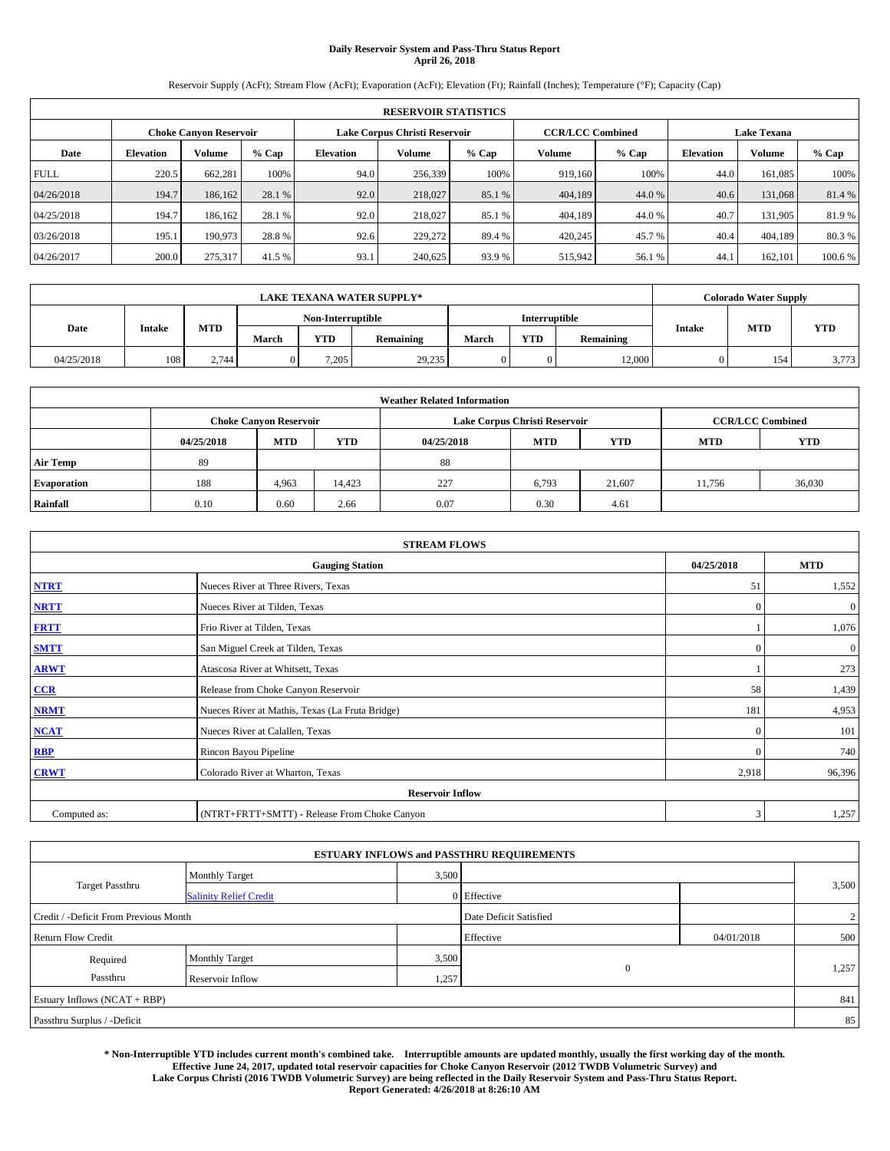# **Daily Reservoir System and Pass-Thru Status Report April 26, 2018**

Reservoir Supply (AcFt); Stream Flow (AcFt); Evaporation (AcFt); Elevation (Ft); Rainfall (Inches); Temperature (°F); Capacity (Cap)

|             | <b>RESERVOIR STATISTICS</b> |                               |         |                  |                               |         |         |                                               |                  |         |        |  |  |
|-------------|-----------------------------|-------------------------------|---------|------------------|-------------------------------|---------|---------|-----------------------------------------------|------------------|---------|--------|--|--|
|             |                             | <b>Choke Canvon Reservoir</b> |         |                  | Lake Corpus Christi Reservoir |         |         | <b>CCR/LCC Combined</b><br><b>Lake Texana</b> |                  |         |        |  |  |
| Date        | <b>Elevation</b>            | Volume                        | $%$ Cap | <b>Elevation</b> | Volume                        | $%$ Cap | Volume  | $%$ Cap                                       | <b>Elevation</b> | Volume  | % Cap  |  |  |
| <b>FULL</b> | 220.5                       | 662,281                       | 100%    | 94.0             | 256,339                       | 100%    | 919,160 | 100%                                          | 44.0             | 161,085 | 100%   |  |  |
| 04/26/2018  | 194.7                       | 186,162                       | 28.1 %  | 92.0             | 218,027                       | 85.1 %  | 404,189 | 44.0%                                         | 40.6             | 131,068 | 81.4%  |  |  |
| 04/25/2018  | 194.7                       | 186,162                       | 28.1 %  | 92.0             | 218,027                       | 85.1 %  | 404,189 | 44.0%                                         | 40.7             | 131,905 | 81.9%  |  |  |
| 03/26/2018  | 195.1                       | 190,973                       | 28.8%   | 92.6             | 229,272                       | 89.4 %  | 420.245 | 45.7 %                                        | 40.4             | 404,189 | 80.3 % |  |  |
| 04/26/2017  | 200.0                       | 275,317                       | 41.5 %  | 93.1             | 240,625                       | 93.9 %  | 515,942 | 56.1 %                                        | 44.1             | 162,101 | 100.6% |  |  |

|            | <b>LAKE TEXANA WATER SUPPLY*</b> |       |       |                   |           |                                  |                      |        |            | <b>Colorado Water Supply</b> |       |
|------------|----------------------------------|-------|-------|-------------------|-----------|----------------------------------|----------------------|--------|------------|------------------------------|-------|
|            |                                  |       |       | Non-Interruptible |           |                                  | <b>Interruptible</b> |        |            |                              |       |
| Date       | <b>Intake</b>                    | MTD   | March | <b>YTD</b>        | Remaining | <b>YTD</b><br>March<br>Remaining |                      | Intake | <b>MTD</b> | <b>YTD</b>                   |       |
| 04/25/2018 | 108                              | 2.744 |       | 7.205             | 29,235    |                                  | 0                    | 12,000 |            | 154                          | 3,773 |

| <b>Weather Related Information</b> |            |                               |            |            |                               |                         |            |            |  |  |
|------------------------------------|------------|-------------------------------|------------|------------|-------------------------------|-------------------------|------------|------------|--|--|
|                                    |            | <b>Choke Canyon Reservoir</b> |            |            | Lake Corpus Christi Reservoir | <b>CCR/LCC Combined</b> |            |            |  |  |
|                                    | 04/25/2018 | <b>MTD</b>                    | <b>YTD</b> | 04/25/2018 | <b>MTD</b>                    | <b>YTD</b>              | <b>MTD</b> | <b>YTD</b> |  |  |
| <b>Air Temp</b>                    | 89         |                               |            | 88         |                               |                         |            |            |  |  |
| <b>Evaporation</b>                 | 188        | 4,963                         | 14,423     | 227        | 6,793                         | 21.607                  | 11,756     | 36,030     |  |  |
| Rainfall                           | 0.10       | 0.60                          | 2.66       | 0.07       | 0.30                          | 4.61                    |            |            |  |  |

|              | <b>STREAM FLOWS</b>                             |              |              |  |  |  |  |  |  |  |
|--------------|-------------------------------------------------|--------------|--------------|--|--|--|--|--|--|--|
|              | <b>Gauging Station</b>                          | 04/25/2018   | <b>MTD</b>   |  |  |  |  |  |  |  |
| <b>NTRT</b>  | Nueces River at Three Rivers, Texas             | 51           | 1,552        |  |  |  |  |  |  |  |
| <b>NRTT</b>  | Nueces River at Tilden, Texas                   | $\mathbf{0}$ | $\mathbf{0}$ |  |  |  |  |  |  |  |
| <b>FRTT</b>  | Frio River at Tilden, Texas                     |              | 1,076        |  |  |  |  |  |  |  |
| <b>SMTT</b>  | San Miguel Creek at Tilden, Texas               | $\mathbf{0}$ | $\mathbf{0}$ |  |  |  |  |  |  |  |
| <b>ARWT</b>  | Atascosa River at Whitsett, Texas               |              | 273          |  |  |  |  |  |  |  |
| CCR          | Release from Choke Canyon Reservoir             | 58           | 1,439        |  |  |  |  |  |  |  |
| <b>NRMT</b>  | Nueces River at Mathis, Texas (La Fruta Bridge) | 181          | 4,953        |  |  |  |  |  |  |  |
| <b>NCAT</b>  | Nueces River at Calallen, Texas                 | $\mathbf{0}$ | 101          |  |  |  |  |  |  |  |
| <b>RBP</b>   | Rincon Bayou Pipeline                           | $\Omega$     | 740          |  |  |  |  |  |  |  |
| <b>CRWT</b>  | Colorado River at Wharton, Texas                | 2,918        | 96,396       |  |  |  |  |  |  |  |
|              | <b>Reservoir Inflow</b>                         |              |              |  |  |  |  |  |  |  |
| Computed as: | (NTRT+FRTT+SMTT) - Release From Choke Canyon    | 3            | 1,257        |  |  |  |  |  |  |  |

| <b>ESTUARY INFLOWS and PASSTHRU REQUIREMENTS</b> |                               |                        |              |                |       |  |  |  |  |  |
|--------------------------------------------------|-------------------------------|------------------------|--------------|----------------|-------|--|--|--|--|--|
|                                                  | <b>Monthly Target</b>         | 3,500                  |              |                |       |  |  |  |  |  |
| <b>Target Passthru</b>                           | <b>Salinity Relief Credit</b> |                        | 0 Effective  |                | 3,500 |  |  |  |  |  |
| Credit / -Deficit From Previous Month            |                               | Date Deficit Satisfied |              | $\overline{2}$ |       |  |  |  |  |  |
| <b>Return Flow Credit</b>                        |                               |                        | Effective    | 04/01/2018     | 500   |  |  |  |  |  |
| Required                                         | <b>Monthly Target</b>         | 3,500                  |              |                |       |  |  |  |  |  |
| Passthru                                         | Reservoir Inflow              | 1,257                  | $\mathbf{0}$ |                | 1,257 |  |  |  |  |  |
| Estuary Inflows (NCAT + RBP)                     |                               |                        |              |                | 841   |  |  |  |  |  |
| Passthru Surplus / -Deficit                      |                               |                        |              |                | 85    |  |  |  |  |  |

**\* Non-Interruptible YTD includes current month's combined take. Interruptible amounts are updated monthly, usually the first working day of the month. Effective June 24, 2017, updated total reservoir capacities for Choke Canyon Reservoir (2012 TWDB Volumetric Survey) and Lake Corpus Christi (2016 TWDB Volumetric Survey) are being reflected in the Daily Reservoir System and Pass-Thru Status Report. Report Generated: 4/26/2018 at 8:26:10 AM**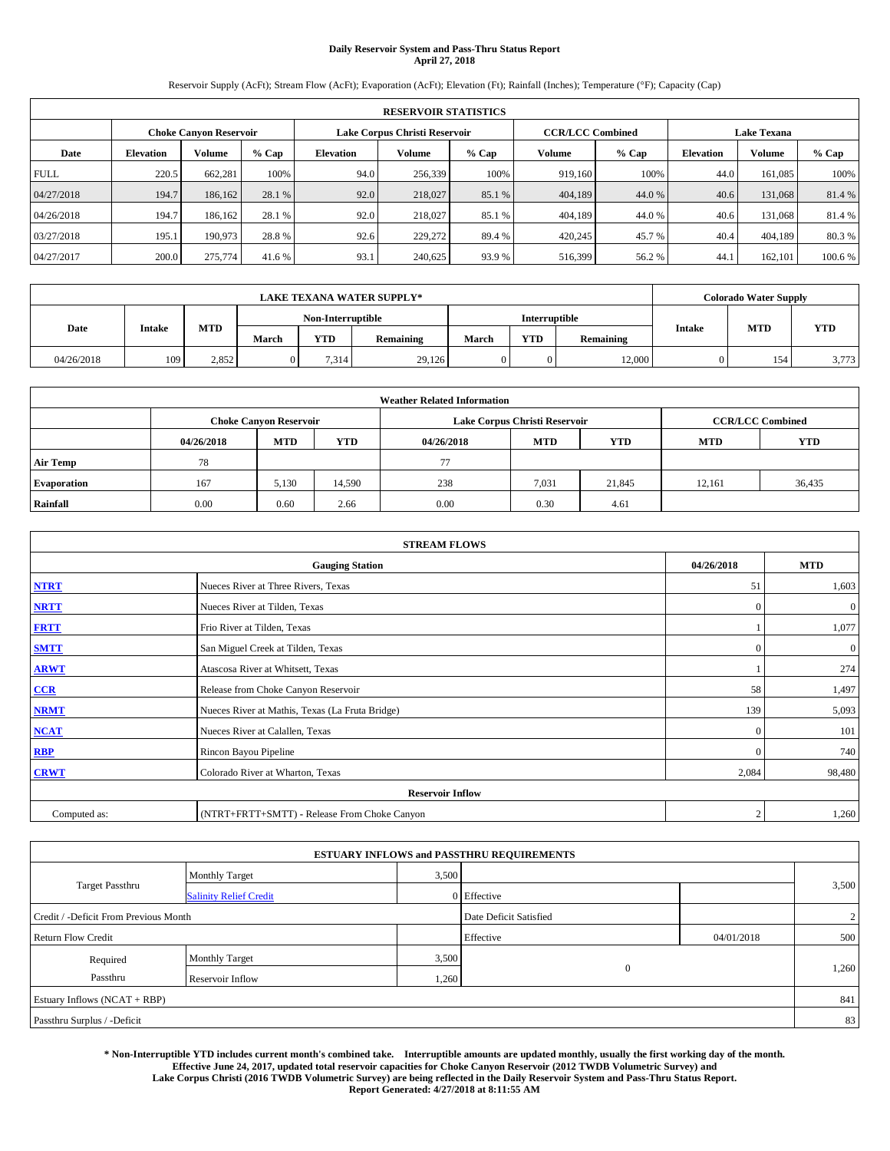# **Daily Reservoir System and Pass-Thru Status Report April 27, 2018**

Reservoir Supply (AcFt); Stream Flow (AcFt); Evaporation (AcFt); Elevation (Ft); Rainfall (Inches); Temperature (°F); Capacity (Cap)

|             | <b>RESERVOIR STATISTICS</b> |                        |         |                  |                               |                         |         |         |                  |                    |        |  |  |
|-------------|-----------------------------|------------------------|---------|------------------|-------------------------------|-------------------------|---------|---------|------------------|--------------------|--------|--|--|
|             |                             | Choke Canvon Reservoir |         |                  | Lake Corpus Christi Reservoir | <b>CCR/LCC Combined</b> |         |         |                  | <b>Lake Texana</b> |        |  |  |
| Date        | <b>Elevation</b>            | Volume                 | $%$ Cap | <b>Elevation</b> | <b>Volume</b>                 | $%$ Cap                 | Volume  | $%$ Cap | <b>Elevation</b> | <b>Volume</b>      | % Cap  |  |  |
| <b>FULL</b> | 220.5                       | 662,281                | 100%    | 94.0             | 256,339                       | 100%                    | 919.160 | 100%    | 44.0             | 161.085            | 100%   |  |  |
| 04/27/2018  | 194.7                       | 186,162                | 28.1 %  | 92.0             | 218,027                       | 85.1 %                  | 404,189 | 44.0 %  | 40.6             | 131,068            | 81.4%  |  |  |
| 04/26/2018  | 194.7                       | 186.162                | 28.1 %  | 92.0             | 218,027                       | 85.1 %                  | 404,189 | 44.0%   | 40.6             | 131.068            | 81.4 % |  |  |
| 03/27/2018  | 195.1                       | 190,973                | 28.8%   | 92.6             | 229,272                       | 89.4 %                  | 420,245 | 45.7 %  | 40.4             | 404,189            | 80.3%  |  |  |
| 04/27/2017  | 200.0                       | 275,774                | 41.6 %  | 93.1             | 240,625                       | 93.9%                   | 516,399 | 56.2%   | 44.              | 162,101            | 100.6% |  |  |

|            | <b>LAKE TEXANA WATER SUPPLY*</b> |       |       |                   |                  |               |     |                  |               |            | <b>Colorado Water Supply</b> |
|------------|----------------------------------|-------|-------|-------------------|------------------|---------------|-----|------------------|---------------|------------|------------------------------|
|            |                                  |       |       | Non-Interruptible |                  | Interruptible |     |                  |               |            |                              |
| Date       | <b>Intake</b>                    | MTD   | March | YTD               | <b>Remaining</b> | March         | YTD | <b>Remaining</b> | <b>Intake</b> | <b>MTD</b> | YTD                          |
| 04/26/2018 | 109                              | 2.852 |       | 7.314             | 29.126           |               |     | 12,000           |               | 154        | 3,773                        |

| <b>Weather Related Information</b> |            |                               |            |            |                               |                         |        |        |  |
|------------------------------------|------------|-------------------------------|------------|------------|-------------------------------|-------------------------|--------|--------|--|
|                                    |            | <b>Choke Canyon Reservoir</b> |            |            | Lake Corpus Christi Reservoir | <b>CCR/LCC Combined</b> |        |        |  |
|                                    | 04/26/2018 | <b>MTD</b>                    | <b>YTD</b> | 04/26/2018 | <b>YTD</b>                    |                         |        |        |  |
| <b>Air Temp</b>                    | 78         |                               |            | 77         |                               |                         |        |        |  |
| <b>Evaporation</b>                 | 167        | 5,130                         | 14,590     | 238        | 7,031                         | 21,845                  | 12.161 | 36,435 |  |
| Rainfall                           | 0.00       | 0.60                          | 2.66       | 0.00       | 0.30                          | 4.61                    |        |        |  |

| <b>STREAM FLOWS</b> |                                                 |                |              |  |  |  |  |  |  |
|---------------------|-------------------------------------------------|----------------|--------------|--|--|--|--|--|--|
|                     | 04/26/2018                                      | <b>MTD</b>     |              |  |  |  |  |  |  |
| <b>NTRT</b>         | Nueces River at Three Rivers, Texas             | 51             | 1,603        |  |  |  |  |  |  |
| <b>NRTT</b>         | Nueces River at Tilden, Texas                   | $\mathbf{0}$   | $\mathbf{0}$ |  |  |  |  |  |  |
| <b>FRTT</b>         | Frio River at Tilden, Texas                     |                | 1,077        |  |  |  |  |  |  |
| <b>SMTT</b>         | San Miguel Creek at Tilden, Texas               | $\mathbf{0}$   | $\mathbf{0}$ |  |  |  |  |  |  |
| <b>ARWT</b>         | Atascosa River at Whitsett, Texas               |                | 274          |  |  |  |  |  |  |
| CCR                 | Release from Choke Canyon Reservoir             | 58             | 1,497        |  |  |  |  |  |  |
| <b>NRMT</b>         | Nueces River at Mathis, Texas (La Fruta Bridge) | 139            | 5,093        |  |  |  |  |  |  |
| <b>NCAT</b>         | Nueces River at Calallen, Texas                 | $\mathbf{0}$   | 101          |  |  |  |  |  |  |
| <b>RBP</b>          | Rincon Bayou Pipeline                           | $\Omega$       | 740          |  |  |  |  |  |  |
| <b>CRWT</b>         | Colorado River at Wharton, Texas                | 2,084          | 98,480       |  |  |  |  |  |  |
|                     |                                                 |                |              |  |  |  |  |  |  |
| Computed as:        | (NTRT+FRTT+SMTT) - Release From Choke Canyon    | $\overline{2}$ | 1,260        |  |  |  |  |  |  |

|                                       |                               |       | <b>ESTUARY INFLOWS and PASSTHRU REQUIREMENTS</b> |            |                |
|---------------------------------------|-------------------------------|-------|--------------------------------------------------|------------|----------------|
|                                       | <b>Monthly Target</b>         | 3,500 |                                                  |            |                |
| <b>Target Passthru</b>                | <b>Salinity Relief Credit</b> |       | 0 Effective                                      |            | 3,500          |
| Credit / -Deficit From Previous Month |                               |       | Date Deficit Satisfied                           |            | $\overline{2}$ |
| <b>Return Flow Credit</b>             |                               |       | Effective                                        | 04/01/2018 | 500            |
| Required                              | <b>Monthly Target</b>         | 3,500 |                                                  |            |                |
| Passthru                              | Reservoir Inflow              | 1,260 | $\mathbf{0}$                                     |            | 1,260          |
| Estuary Inflows (NCAT + RBP)          |                               |       |                                                  |            | 841            |
| Passthru Surplus / -Deficit           |                               |       |                                                  |            | 83             |

**\* Non-Interruptible YTD includes current month's combined take. Interruptible amounts are updated monthly, usually the first working day of the month. Effective June 24, 2017, updated total reservoir capacities for Choke Canyon Reservoir (2012 TWDB Volumetric Survey) and Lake Corpus Christi (2016 TWDB Volumetric Survey) are being reflected in the Daily Reservoir System and Pass-Thru Status Report. Report Generated: 4/27/2018 at 8:11:55 AM**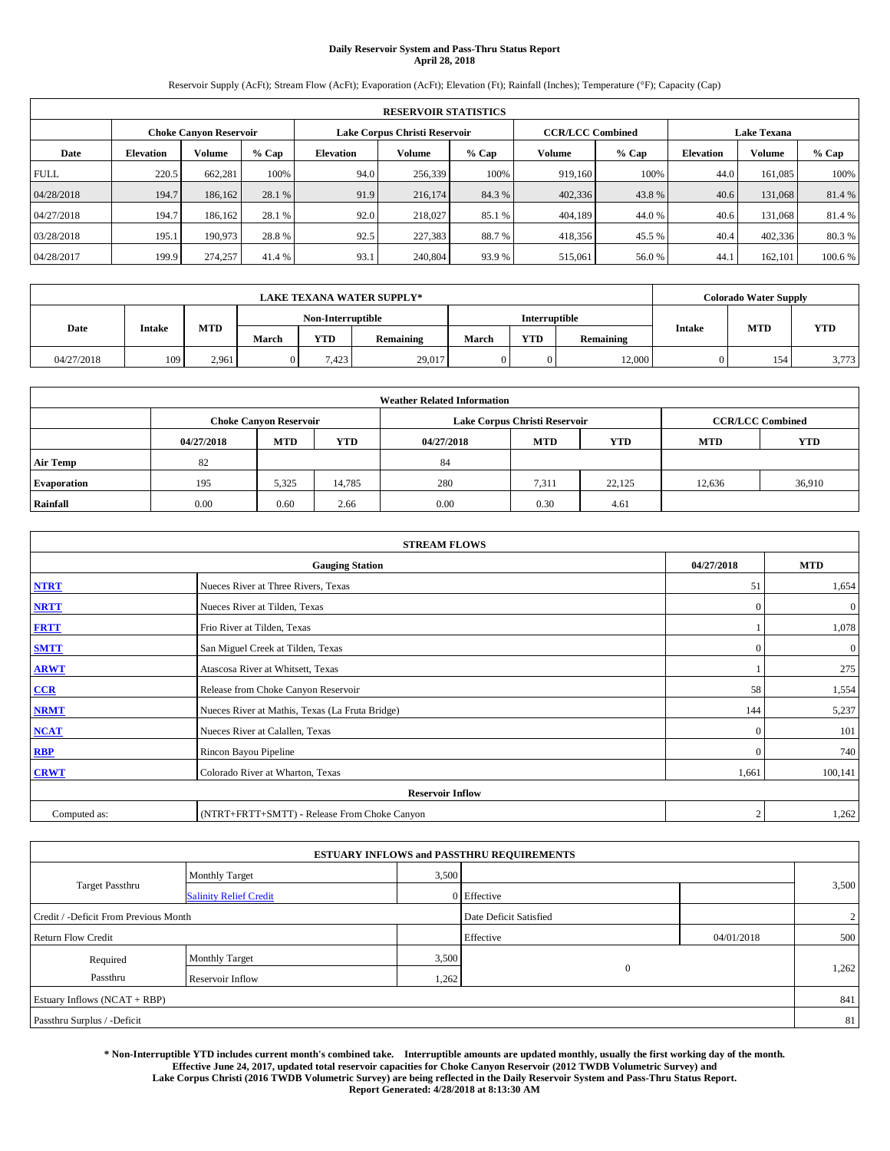# **Daily Reservoir System and Pass-Thru Status Report April 28, 2018**

Reservoir Supply (AcFt); Stream Flow (AcFt); Evaporation (AcFt); Elevation (Ft); Rainfall (Inches); Temperature (°F); Capacity (Cap)

| <b>RESERVOIR STATISTICS</b> |                  |                        |         |                  |                               |         |                         |         |                  |                    |        |  |
|-----------------------------|------------------|------------------------|---------|------------------|-------------------------------|---------|-------------------------|---------|------------------|--------------------|--------|--|
|                             |                  | Choke Canvon Reservoir |         |                  | Lake Corpus Christi Reservoir |         | <b>CCR/LCC Combined</b> |         |                  | <b>Lake Texana</b> |        |  |
| Date                        | <b>Elevation</b> | Volume                 | $%$ Cap | <b>Elevation</b> | <b>Volume</b>                 | $%$ Cap | Volume                  | $%$ Cap | <b>Elevation</b> | <b>Volume</b>      | % Cap  |  |
| <b>FULL</b>                 | 220.5            | 662,281                | 100%    | 94.0             | 256,339                       | 100%    | 919.160                 | 100%    | 44.0             | 161.085            | 100%   |  |
| 04/28/2018                  | 194.7            | 186,162                | 28.1 %  | 91.9             | 216,174                       | 84.3 %  | 402,336                 | 43.8%   | 40.6             | 131,068            | 81.4%  |  |
| 04/27/2018                  | 194.7            | 186.162                | 28.1 %  | 92.0             | 218,027                       | 85.1 %  | 404,189                 | 44.0%   | 40.6             | 131.068            | 81.4 % |  |
| 03/28/2018                  | 195.1            | 190,973                | 28.8%   | 92.5             | 227,383                       | 88.7%   | 418,356                 | 45.5 %  | 40.4             | 402,336            | 80.3%  |  |
| 04/28/2017                  | 199.9            | 274,257                | 41.4 %  | 93.1             | 240,804                       | 93.9%   | 515,061                 | 56.0%   | 44.              | 162,101            | 100.6% |  |

| <b>LAKE TEXANA WATER SUPPLY*</b> |               |       |       |                   |           |       |               |           |        | <b>Colorado Water Supply</b> |            |
|----------------------------------|---------------|-------|-------|-------------------|-----------|-------|---------------|-----------|--------|------------------------------|------------|
|                                  |               |       |       | Non-Interruptible |           |       | Interruptible |           |        |                              |            |
| Date                             | <b>Intake</b> | MTD   | March | <b>YTD</b>        | Remaining | March | <b>YTD</b>    | Remaining | Intake | <b>MTD</b>                   | <b>YTD</b> |
| 04/27/2018                       | 109           | 2.961 |       | 7.423             | 29,017    |       |               | 12,000    |        | 154                          | 3,773      |

| <b>Weather Related Information</b> |            |                               |            |            |                                        |                         |        |        |  |  |  |
|------------------------------------|------------|-------------------------------|------------|------------|----------------------------------------|-------------------------|--------|--------|--|--|--|
|                                    |            | <b>Choke Canyon Reservoir</b> |            |            | Lake Corpus Christi Reservoir          | <b>CCR/LCC Combined</b> |        |        |  |  |  |
|                                    | 04/27/2018 | <b>MTD</b>                    | <b>YTD</b> | 04/27/2018 | <b>MTD</b><br><b>MTD</b><br><b>YTD</b> |                         |        |        |  |  |  |
| <b>Air Temp</b>                    | 82         |                               |            | 84         |                                        |                         |        |        |  |  |  |
| <b>Evaporation</b>                 | 195        | 5,325                         | 14,785     | 280        | 7,311                                  | 22,125                  | 12,636 | 36,910 |  |  |  |
| Rainfall                           | 0.00       | 0.60                          | 2.66       | 0.00       | 0.30                                   | 4.61                    |        |        |  |  |  |

| <b>STREAM FLOWS</b> |                                                 |                |              |  |  |  |  |  |
|---------------------|-------------------------------------------------|----------------|--------------|--|--|--|--|--|
|                     | 04/27/2018                                      | <b>MTD</b>     |              |  |  |  |  |  |
| <b>NTRT</b>         | Nueces River at Three Rivers, Texas             | 51             | 1,654        |  |  |  |  |  |
| <b>NRTT</b>         | Nueces River at Tilden, Texas                   | $\mathbf{0}$   | $\mathbf{0}$ |  |  |  |  |  |
| <b>FRTT</b>         | Frio River at Tilden, Texas                     |                | 1,078        |  |  |  |  |  |
| <b>SMTT</b>         | San Miguel Creek at Tilden, Texas               | $\mathbf{0}$   | $\mathbf{0}$ |  |  |  |  |  |
| <b>ARWT</b>         | Atascosa River at Whitsett, Texas               |                | 275          |  |  |  |  |  |
| CCR                 | Release from Choke Canyon Reservoir             | 58             | 1,554        |  |  |  |  |  |
| <b>NRMT</b>         | Nueces River at Mathis, Texas (La Fruta Bridge) | 144            | 5,237        |  |  |  |  |  |
| <b>NCAT</b>         | Nueces River at Calallen, Texas                 | $\mathbf{0}$   | 101          |  |  |  |  |  |
| <b>RBP</b>          | Rincon Bayou Pipeline                           | $\Omega$       | 740          |  |  |  |  |  |
| <b>CRWT</b>         | Colorado River at Wharton, Texas                | 1,661          | 100,141      |  |  |  |  |  |
|                     |                                                 |                |              |  |  |  |  |  |
| Computed as:        | (NTRT+FRTT+SMTT) - Release From Choke Canyon    | $\overline{2}$ | 1,262        |  |  |  |  |  |

|                                       |                               |       | <b>ESTUARY INFLOWS and PASSTHRU REQUIREMENTS</b> |            |                |
|---------------------------------------|-------------------------------|-------|--------------------------------------------------|------------|----------------|
|                                       | <b>Monthly Target</b>         | 3,500 |                                                  |            |                |
| <b>Target Passthru</b>                | <b>Salinity Relief Credit</b> |       | 0 Effective                                      |            | 3,500          |
| Credit / -Deficit From Previous Month |                               |       | Date Deficit Satisfied                           |            | $\overline{2}$ |
| <b>Return Flow Credit</b>             |                               |       | Effective                                        | 04/01/2018 | 500            |
| Required                              | Monthly Target                | 3,500 |                                                  |            |                |
| Passthru                              | Reservoir Inflow              | 1,262 | $\mathbf{0}$                                     |            | 1,262          |
| Estuary Inflows (NCAT + RBP)          |                               |       |                                                  |            | 841            |
| Passthru Surplus / -Deficit           |                               |       |                                                  |            | 81             |

**\* Non-Interruptible YTD includes current month's combined take. Interruptible amounts are updated monthly, usually the first working day of the month. Effective June 24, 2017, updated total reservoir capacities for Choke Canyon Reservoir (2012 TWDB Volumetric Survey) and Lake Corpus Christi (2016 TWDB Volumetric Survey) are being reflected in the Daily Reservoir System and Pass-Thru Status Report. Report Generated: 4/28/2018 at 8:13:30 AM**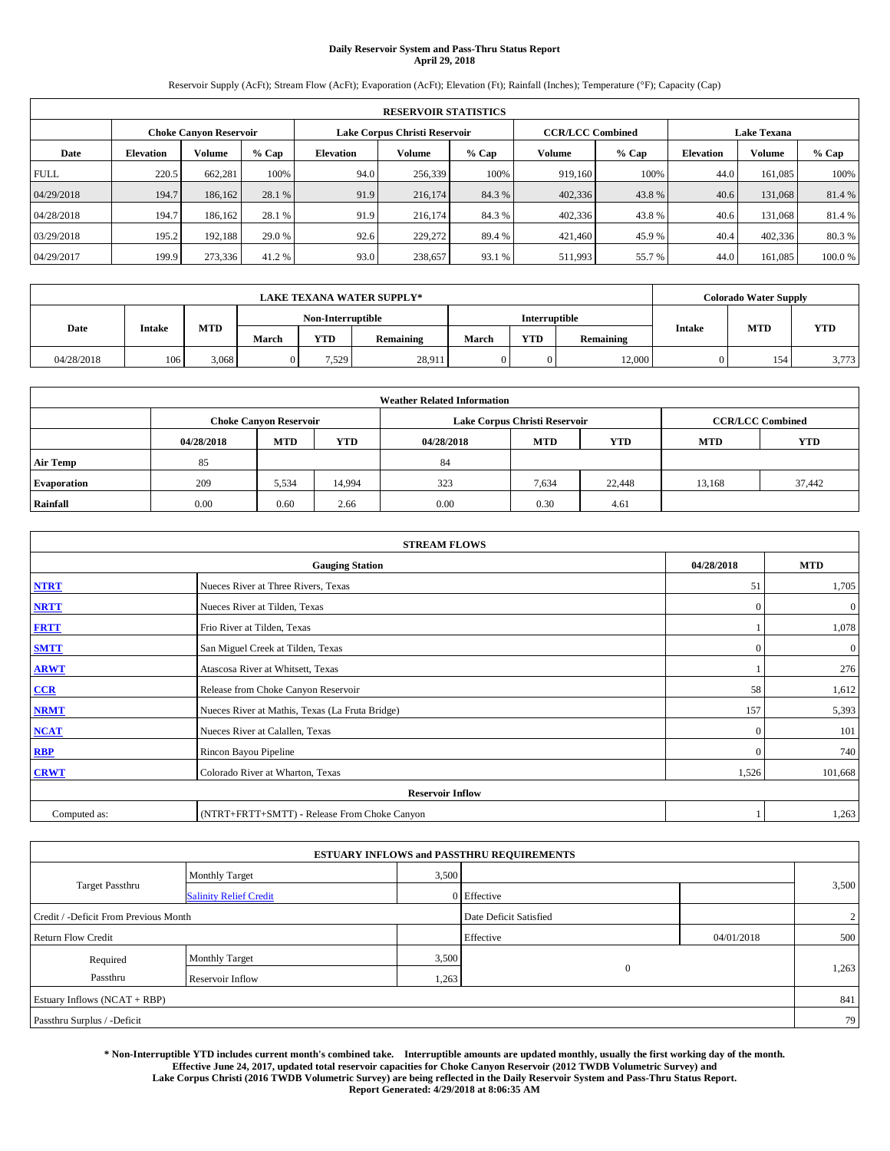# **Daily Reservoir System and Pass-Thru Status Report April 29, 2018**

Reservoir Supply (AcFt); Stream Flow (AcFt); Evaporation (AcFt); Elevation (Ft); Rainfall (Inches); Temperature (°F); Capacity (Cap)

|             | <b>RESERVOIR STATISTICS</b> |                               |         |                  |                               |         |                         |         |                  |                    |        |
|-------------|-----------------------------|-------------------------------|---------|------------------|-------------------------------|---------|-------------------------|---------|------------------|--------------------|--------|
|             |                             | <b>Choke Canvon Reservoir</b> |         |                  | Lake Corpus Christi Reservoir |         | <b>CCR/LCC Combined</b> |         |                  | <b>Lake Texana</b> |        |
| Date        | <b>Elevation</b>            | Volume                        | $%$ Cap | <b>Elevation</b> | <b>Volume</b>                 | $%$ Cap | Volume                  | $%$ Cap | <b>Elevation</b> | Volume             | % Cap  |
| <b>FULL</b> | 220.5                       | 662,281                       | 100%    | 94.0             | 256,339                       | 100%    | 919,160                 | 100%    | 44.0             | 161,085            | 100%   |
| 04/29/2018  | 194.7                       | 186,162                       | 28.1 %  | 91.9             | 216,174                       | 84.3 %  | 402,336                 | 43.8%   | 40.6             | 131,068            | 81.4%  |
| 04/28/2018  | 194.7                       | 186,162                       | 28.1 %  | 91.9             | 216,174                       | 84.3 %  | 402,336                 | 43.8%   | 40.6             | 131,068            | 81.4 % |
| 03/29/2018  | 195.2                       | 192.188                       | 29.0 %  | 92.6             | 229,272                       | 89.4 %  | 421.460                 | 45.9 %  | 40.4             | 402,336            | 80.3 % |
| 04/29/2017  | 199.9                       | 273,336                       | 41.2%   | 93.0             | 238,657                       | 93.1 %  | 511,993                 | 55.7%   | 44.0             | 161,085            | 100.0% |

| <b>LAKE TEXANA WATER SUPPLY*</b> |               |       |       |                   |           |       |               |           | <b>Colorado Water Supply</b> |            |            |
|----------------------------------|---------------|-------|-------|-------------------|-----------|-------|---------------|-----------|------------------------------|------------|------------|
|                                  |               |       |       | Non-Interruptible |           |       | Interruptible |           |                              |            |            |
| Date                             | <b>Intake</b> | MTD   | March | <b>YTD</b>        | Remaining | March | <b>YTD</b>    | Remaining | Intake                       | <b>MTD</b> | <b>YTD</b> |
| 04/28/2018                       | 106           | 3.068 |       | 7.529             | 28,911    |       | 0             | 12,000    |                              | 154        | 3,773      |

| <b>Weather Related Information</b> |            |                               |            |            |                               |                         |            |        |  |
|------------------------------------|------------|-------------------------------|------------|------------|-------------------------------|-------------------------|------------|--------|--|
|                                    |            | <b>Choke Canyon Reservoir</b> |            |            | Lake Corpus Christi Reservoir | <b>CCR/LCC Combined</b> |            |        |  |
|                                    | 04/28/2018 | <b>MTD</b>                    | <b>YTD</b> | 04/28/2018 | <b>MTD</b>                    | <b>MTD</b>              | <b>YTD</b> |        |  |
| <b>Air Temp</b>                    | 85         |                               |            | 84         |                               |                         |            |        |  |
| <b>Evaporation</b>                 | 209        | 5,534                         | 14,994     | 323        | 7,634                         | 22,448                  | 13,168     | 37,442 |  |
| Rainfall                           | 0.00       | 0.60                          | 2.66       | 0.00       | 0.30                          | 4.61                    |            |        |  |

| <b>STREAM FLOWS</b> |                                                 |              |              |  |  |  |  |  |
|---------------------|-------------------------------------------------|--------------|--------------|--|--|--|--|--|
|                     | 04/28/2018                                      | <b>MTD</b>   |              |  |  |  |  |  |
| <b>NTRT</b>         | Nueces River at Three Rivers, Texas             | 51           | 1,705        |  |  |  |  |  |
| <b>NRTT</b>         | Nueces River at Tilden, Texas                   | $\Omega$     | $\mathbf{0}$ |  |  |  |  |  |
| <b>FRTT</b>         | Frio River at Tilden, Texas                     |              | 1,078        |  |  |  |  |  |
| <b>SMTT</b>         | San Miguel Creek at Tilden, Texas               | $\mathbf{0}$ | $\mathbf{0}$ |  |  |  |  |  |
| <b>ARWT</b>         | Atascosa River at Whitsett, Texas               |              | 276          |  |  |  |  |  |
| CCR                 | Release from Choke Canyon Reservoir             | 58           | 1,612        |  |  |  |  |  |
| <b>NRMT</b>         | Nueces River at Mathis, Texas (La Fruta Bridge) | 157          | 5,393        |  |  |  |  |  |
| <b>NCAT</b>         | Nueces River at Calallen, Texas                 | $\theta$     | 101          |  |  |  |  |  |
| RBP                 | Rincon Bayou Pipeline                           | $\mathbf{0}$ | 740          |  |  |  |  |  |
| <b>CRWT</b>         | Colorado River at Wharton, Texas                | 1,526        | 101,668      |  |  |  |  |  |
|                     |                                                 |              |              |  |  |  |  |  |
| Computed as:        |                                                 | 1,263        |              |  |  |  |  |  |

|                                       |                               |       | <b>ESTUARY INFLOWS and PASSTHRU REQUIREMENTS</b> |            |       |
|---------------------------------------|-------------------------------|-------|--------------------------------------------------|------------|-------|
|                                       | <b>Monthly Target</b>         | 3,500 |                                                  |            |       |
| <b>Target Passthru</b>                | <b>Salinity Relief Credit</b> |       | 0 Effective                                      |            | 3,500 |
| Credit / -Deficit From Previous Month |                               |       | Date Deficit Satisfied                           |            | 2     |
| <b>Return Flow Credit</b>             |                               |       | Effective                                        | 04/01/2018 | 500   |
| Required                              | <b>Monthly Target</b>         | 3,500 |                                                  |            |       |
| Passthru                              | Reservoir Inflow              | 1,263 | $\mathbf{0}$                                     |            | 1,263 |
| Estuary Inflows (NCAT + RBP)          |                               |       |                                                  |            | 841   |
| Passthru Surplus / -Deficit           |                               |       |                                                  |            | 79    |

**\* Non-Interruptible YTD includes current month's combined take. Interruptible amounts are updated monthly, usually the first working day of the month. Effective June 24, 2017, updated total reservoir capacities for Choke Canyon Reservoir (2012 TWDB Volumetric Survey) and Lake Corpus Christi (2016 TWDB Volumetric Survey) are being reflected in the Daily Reservoir System and Pass-Thru Status Report. Report Generated: 4/29/2018 at 8:06:35 AM**